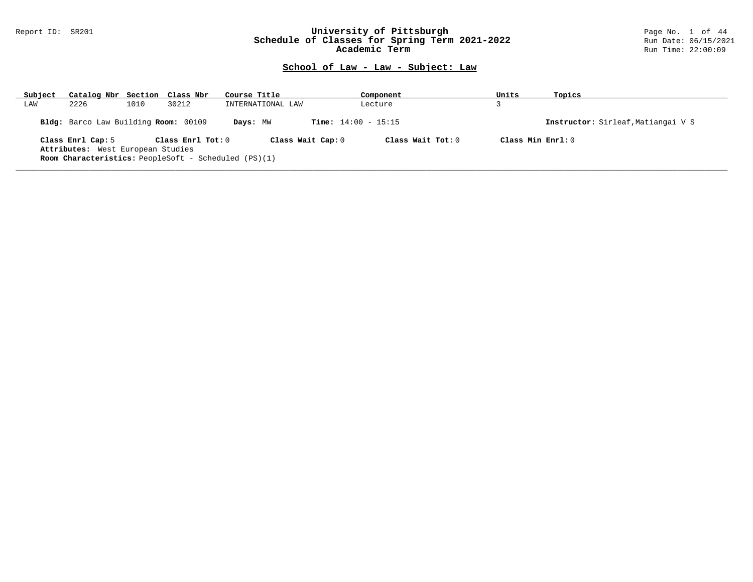### Report ID: SR201 **University of Pittsburgh** Page No. 1 of 44 **Schedule of Classes for Spring Term 2021-2022** Run Date: 06/15/2021 **Academic Term Run Time: 22:00:09** Run Time: 22:00:09

| Subject | Catalog Nbr Section Class Nbr        |      |                       | Course Title                                                | Component                    | Units | Topics                             |
|---------|--------------------------------------|------|-----------------------|-------------------------------------------------------------|------------------------------|-------|------------------------------------|
| LAW     | 2226                                 | 1010 | 30212                 | INTERNATIONAL LAW                                           | Lecture                      |       |                                    |
|         | Bldg: Barco Law Building Room: 00109 |      |                       | Days: MW                                                    | <b>Time:</b> $14:00 - 15:15$ |       | Instructor: Sirleaf, Matiangai V S |
|         | Class Enrl Cap: 5                    |      | Class $Enr1$ Tot: $0$ | Class Wait Cap: 0                                           | Class Wait $Tot: 0$          |       | Class Min $Enr1:0$                 |
|         | Attributes: West European Studies    |      |                       |                                                             |                              |       |                                    |
|         |                                      |      |                       | <b>Room Characteristics:</b> PeopleSoft - Scheduled (PS)(1) |                              |       |                                    |
|         |                                      |      |                       |                                                             |                              |       |                                    |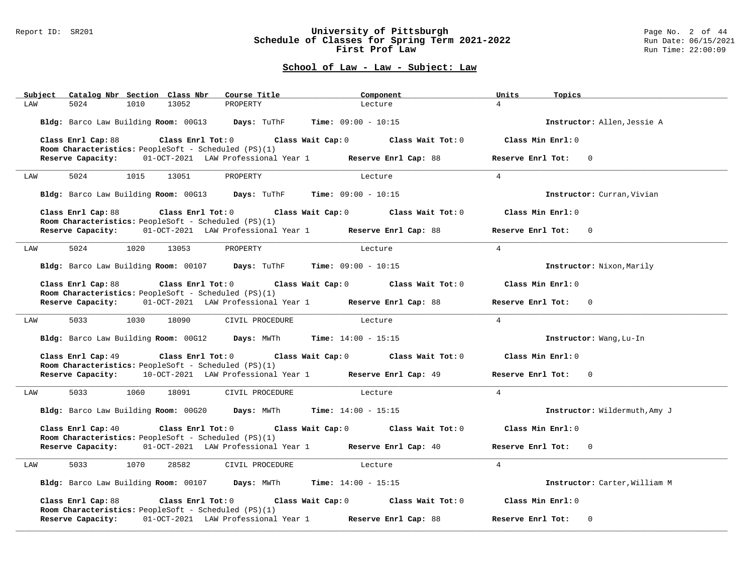#### Report ID: SR201 **University of Pittsburgh** Page No. 2 of 44 **Schedule of Classes for Spring Term 2021-2022** Run Date: 06/15/2021 **First Prof Law Run Time: 22:00:09** Run Time: 22:00:09

| Subject            | Catalog Nbr Section Class Nbr                                                   | Course Title                                                               | Component                                                   | Units<br>Topics                     |
|--------------------|---------------------------------------------------------------------------------|----------------------------------------------------------------------------|-------------------------------------------------------------|-------------------------------------|
| 5024<br>LAW        | 1010<br>13052                                                                   | PROPERTY                                                                   | Lecture                                                     | $\overline{4}$                      |
|                    | Bldg: Barco Law Building Room: 00G13 Days: TuThF                                |                                                                            | <b>Time:</b> $09:00 - 10:15$                                | Instructor: Allen, Jessie A         |
| Class Enrl Cap: 88 | $Class$ $Enr1$ $Tot: 0$<br>Room Characteristics: PeopleSoft - Scheduled (PS)(1) | Class Wait Cap: 0                                                          | Class Wait Tot: 0                                           | Class Min Enrl: 0                   |
|                    |                                                                                 | Reserve Capacity: 01-OCT-2021 LAW Professional Year 1 Reserve Enrl Cap: 88 |                                                             | Reserve Enrl Tot:<br>$\mathbf{0}$   |
| 5024<br>LAW        | 13051<br>1015                                                                   | PROPERTY                                                                   | Lecture                                                     | $\overline{4}$                      |
|                    |                                                                                 | Bldg: Barco Law Building Room: 00G13 Days: TuThF Time: 09:00 - 10:15       |                                                             | Instructor: Curran, Vivian          |
| Class Enrl Cap: 88 | Room Characteristics: PeopleSoft - Scheduled (PS)(1)                            |                                                                            | Class Enrl Tot: $0$ Class Wait Cap: $0$ Class Wait Tot: $0$ | Class Min Enrl: 0                   |
|                    |                                                                                 | Reserve Capacity: 01-OCT-2021 LAW Professional Year 1 Reserve Enrl Cap: 88 |                                                             | Reserve Enrl Tot:<br>$\mathbf 0$    |
| 5024<br>LAW        | 1020<br>13053                                                                   | PROPERTY                                                                   | Lecture                                                     | $\overline{4}$                      |
|                    |                                                                                 | Bldg: Barco Law Building Room: 00107 Days: TuThF Time: 09:00 - 10:15       |                                                             | Instructor: Nixon, Marily           |
| Class Enrl Cap: 88 | $Class$ $Enrl$ $Tot: 0$                                                         |                                                                            | Class Wait Cap: 0 Class Wait Tot: 0                         | Class Min Enrl: 0                   |
| Reserve Capacity:  | Room Characteristics: PeopleSoft - Scheduled (PS)(1)                            | 01-OCT-2021 LAW Professional Year 1 Reserve Enrl Cap: 88                   |                                                             | Reserve Enrl Tot:<br>$\overline{0}$ |
| 5033<br>LAW        | 1030<br>18090                                                                   | CIVIL PROCEDURE                                                            | Lecture                                                     | $\overline{4}$                      |
|                    |                                                                                 | Bldg: Barco Law Building Room: 00G12 Days: MWTh Time: 14:00 - 15:15        |                                                             | Instructor: Wang, Lu-In             |
| Class Enrl Cap: 49 | Class Enrl Tot: 0<br>Room Characteristics: PeopleSoft - Scheduled (PS)(1)       |                                                                            | Class Wait Cap: 0 Class Wait Tot: 0                         | Class Min Enrl: 0                   |
|                    |                                                                                 | Reserve Capacity: 10-OCT-2021 LAW Professional Year 1 Reserve Enrl Cap: 49 |                                                             | Reserve Enrl Tot:<br>$\mathbf 0$    |
| 5033<br>LAW        | 1060<br>18091                                                                   | CIVIL PROCEDURE                                                            | Lecture                                                     | $\overline{4}$                      |
|                    |                                                                                 | Bldg: Barco Law Building Room: 00G20 Days: MWTh Time: 14:00 - 15:15        |                                                             | Instructor: Wildermuth, Amy J       |
| Class Enrl Cap: 40 | Class Enrl Tot: 0<br>Room Characteristics: PeopleSoft - Scheduled (PS)(1)       |                                                                            | Class Wait Cap: 0 Class Wait Tot: 0                         | Class Min Enrl: 0                   |
|                    |                                                                                 | Reserve Capacity: 01-OCT-2021 LAW Professional Year 1 Reserve Enrl Cap: 40 |                                                             | Reserve Enrl Tot:<br>$\mathbf{0}$   |
| 5033<br>LAW        | 1070<br>28582                                                                   | CIVIL PROCEDURE                                                            | Lecture                                                     | $\overline{4}$                      |
|                    |                                                                                 | Bldg: Barco Law Building Room: 00107 Days: MWTh Time: 14:00 - 15:15        |                                                             | Instructor: Carter, William M       |
| Class Enrl Cap: 88 | Class Enrl Tot: 0<br>Room Characteristics: PeopleSoft - Scheduled (PS)(1)       |                                                                            | Class Wait Cap: 0 Class Wait Tot: 0                         | Class Min Enrl: 0                   |
| Reserve Capacity:  |                                                                                 | 01-OCT-2021 LAW Professional Year 1 Reserve Enrl Cap: 88                   |                                                             | Reserve Enrl Tot:<br>$\mathbf{0}$   |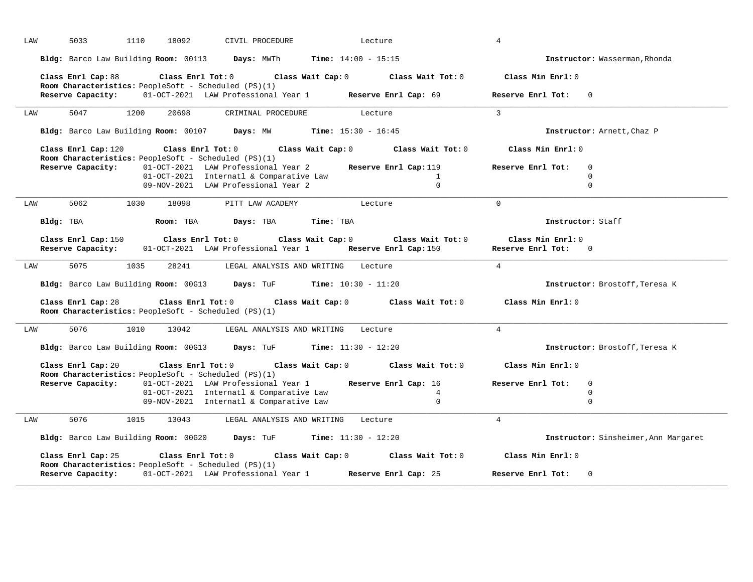| LAW | 5033                                     | 1110          | 18092<br>CIVIL PROCEDURE                                                                                         |                                               | Lecture                             |                   | 4                                        |                                      |
|-----|------------------------------------------|---------------|------------------------------------------------------------------------------------------------------------------|-----------------------------------------------|-------------------------------------|-------------------|------------------------------------------|--------------------------------------|
|     |                                          |               | Bldg: Barco Law Building Room: 00113 Days: MWTh                                                                  |                                               | <b>Time:</b> $14:00 - 15:15$        |                   |                                          | Instructor: Wasserman, Rhonda        |
|     | Class Enrl Cap: 88                       |               | $Class$ $Enrl$ $Tot: 0$                                                                                          |                                               | Class Wait Cap: 0 Class Wait Tot: 0 |                   | Class Min Enrl: 0                        |                                      |
|     | Reserve Capacity:                        |               | Room Characteristics: PeopleSoft - Scheduled (PS)(1)<br>01-OCT-2021 LAW Professional Year 1 Reserve Enrl Cap: 69 |                                               |                                     |                   | Reserve Enrl Tot:                        | $\Omega$                             |
| LAW | 5047                                     | 1200          | 20698<br>CRIMINAL PROCEDURE                                                                                      |                                               | Lecture                             |                   | $\overline{3}$                           |                                      |
|     |                                          |               | Bldg: Barco Law Building Room: 00107 Days: MW                                                                    |                                               | <b>Time:</b> $15:30 - 16:45$        |                   |                                          | Instructor: Arnett, Chaz P           |
|     | Class Enrl Cap: 120                      |               | Class Enrl Tot: $0$                                                                                              | Class Wait Cap: 0                             |                                     | Class Wait Tot: 0 | Class Min Enrl: 0                        |                                      |
|     | Reserve Capacity:                        |               | Room Characteristics: PeopleSoft - Scheduled (PS)(1)<br>01-OCT-2021 LAW Professional Year 2                      |                                               | Reserve Enrl Cap: 119               |                   | Reserve Enrl Tot:                        | $\mathbf{0}$                         |
|     |                                          |               | 01-OCT-2021 Internatl & Comparative Law                                                                          |                                               |                                     | $\mathbf{1}$      |                                          | $\Omega$                             |
|     |                                          |               | 09-NOV-2021 LAW Professional Year 2                                                                              |                                               |                                     | $\mathbf 0$       |                                          | $\mathbf 0$                          |
| LAW | 5062                                     | 1030<br>18098 | PITT LAW ACADEMY                                                                                                 |                                               | Lecture                             |                   | $\Omega$                                 |                                      |
|     | Bldg: TBA                                | Room: TBA     | Days: TBA                                                                                                        | Time: TBA                                     |                                     |                   |                                          | Instructor: Staff                    |
|     | Class Enrl Cap: 150<br>Reserve Capacity: |               | Class Enrl Tot: 0<br>01-OCT-2021 LAW Professional Year 1                                                         | Class Wait Cap: 0                             | Reserve Enrl Cap: 150               | Class Wait Tot: 0 | Class Min Enrl: 0<br>Reserve Enrl Tot: 0 |                                      |
| LAW | 5075                                     | 1035          | 28241                                                                                                            | LEGAL ANALYSIS AND WRITING                    | Lecture                             |                   | $\overline{4}$                           |                                      |
|     | Bldg: Barco Law Building Room: 00G13     |               |                                                                                                                  | <b>Days:</b> TuF <b>Time:</b> $10:30 - 11:20$ |                                     |                   |                                          | Instructor: Brostoff, Teresa K       |
|     | Class Enrl Cap: 28                       |               | Class Enrl Tot: 0<br>Room Characteristics: PeopleSoft - Scheduled (PS)(1)                                        | Class Wait Cap: 0                             | Class Wait Tot: 0                   |                   | Class Min Enrl: 0                        |                                      |
| LAW | 5076                                     | 1010<br>13042 |                                                                                                                  | LEGAL ANALYSIS AND WRITING                    | Lecture                             |                   | $\overline{4}$                           |                                      |
|     |                                          |               | Bldg: Barco Law Building Room: 00G13 Days: TuF Time: 11:30 - 12:20                                               |                                               |                                     |                   |                                          | Instructor: Brostoff, Teresa K       |
|     | Class Enrl Cap: 20                       |               | Class Enrl Tot: 0<br>Room Characteristics: PeopleSoft - Scheduled (PS)(1)                                        |                                               | Class Wait Cap: 0 Class Wait Tot: 0 |                   | Class Min Enrl: 0                        |                                      |
|     | Reserve Capacity:                        |               | 01-OCT-2021 LAW Professional Year 1                                                                              |                                               | Reserve Enrl Cap: 16                |                   | Reserve Enrl Tot:                        | $\mathbf{0}$                         |
|     |                                          |               | 01-OCT-2021 Internatl & Comparative Law                                                                          |                                               |                                     | 4                 |                                          | 0                                    |
|     |                                          |               | 09-NOV-2021 Internatl & Comparative Law                                                                          |                                               |                                     | $\mathbf 0$       |                                          | $\mathbf 0$                          |
| LAW | 5076                                     | 1015<br>13043 |                                                                                                                  | LEGAL ANALYSIS AND WRITING                    | Lecture                             |                   | $\overline{4}$                           |                                      |
|     |                                          |               | Bldg: Barco Law Building Room: 00G20 Days: TuF                                                                   |                                               | <b>Time:</b> $11:30 - 12:20$        |                   |                                          | Instructor: Sinsheimer, Ann Margaret |
|     | Class Enrl Cap: 25                       |               | Class Enrl Tot: 0<br>Room Characteristics: PeopleSoft - Scheduled (PS)(1)                                        | Class Wait Cap: 0                             | Class Wait Tot: 0                   |                   | Class Min Enrl: 0                        |                                      |
|     | Reserve Capacity:                        |               | 01-OCT-2021 LAW Professional Year 1 Reserve Enrl Cap: 25                                                         |                                               |                                     |                   | Reserve Enrl Tot:                        | $\mathbf{0}$                         |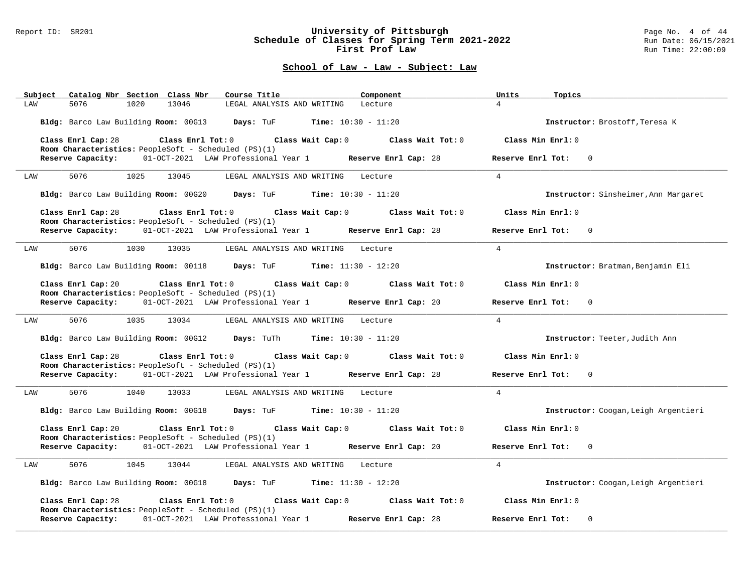#### Report ID: SR201 **University of Pittsburgh** Page No. 4 of 44 **Schedule of Classes for Spring Term 2021-2022** Run Date: 06/15/2021 **First Prof Law Run Time: 22:00:09** Run Time: 22:00:09

| Catalog Nbr Section Class Nbr<br>Course Title<br>Component<br>Subject                                                                        | Units<br>Topics                      |
|----------------------------------------------------------------------------------------------------------------------------------------------|--------------------------------------|
| 5076<br>1020<br>13046<br>LEGAL ANALYSIS AND WRITING<br>LAW<br>Lecture                                                                        | $\overline{4}$                       |
| Bldg: Barco Law Building Room: 00G13 Days: TuF Time: 10:30 - 11:20                                                                           | Instructor: Brostoff, Teresa K       |
| Class Enrl Cap: 28 $\hbox{Class Enrl Tot:0}$ Class Wait Cap: 0 $\hbox{Class Nuid:1}$<br>Room Characteristics: PeopleSoft - Scheduled (PS)(1) | Class Min Enrl: 0                    |
| Reserve Capacity: 01-OCT-2021 LAW Professional Year 1 Reserve Enrl Cap: 28                                                                   | Reserve Enrl Tot:<br>$\Omega$        |
| 5076<br>13045<br>1025<br>LEGAL ANALYSIS AND WRITING Lecture<br>LAW                                                                           | $\overline{4}$                       |
| Bldg: Barco Law Building Room: 00G20 Days: TuF Time: 10:30 - 11:20                                                                           | Instructor: Sinsheimer, Ann Margaret |
| Class Enrl Cap: 28 Class Enrl Tot: 0 Class Wait Cap: 0 Class Wait Tot: 0<br>Room Characteristics: PeopleSoft - Scheduled (PS)(1)             | Class Min Enrl: 0                    |
| Reserve Capacity: 01-OCT-2021 LAW Professional Year 1 Reserve Enrl Cap: 28                                                                   | Reserve Enrl Tot: 0                  |
| 5076 507<br>1030 13035<br>LEGAL ANALYSIS AND WRITING Lecture<br>LAW                                                                          | $\overline{4}$                       |
| Bldg: Barco Law Building Room: 00118 Days: TuF Time: 11:30 - 12:20                                                                           | Instructor: Bratman, Benjamin Eli    |
| Class Enrl Cap: 20<br>Class Enrl Tot: $0$ Class Wait Cap: $0$ Class Wait Tot: $0$<br>Room Characteristics: PeopleSoft - Scheduled (PS)(1)    | Class Min $Enr1:0$                   |
| Reserve Capacity: 01-OCT-2021 LAW Professional Year 1 Reserve Enrl Cap: 20                                                                   | Reserve Enrl Tot: 0                  |
| 5076 70<br>1035<br>13034<br>LEGAL ANALYSIS AND WRITING Lecture<br>LAW                                                                        | $\overline{4}$                       |
| Bldg: Barco Law Building Room: 00G12 Days: TuTh Time: 10:30 - 11:20                                                                          | Instructor: Teeter, Judith Ann       |
| Class Enrl Cap: 28<br>Class Enrl Tot: $0$ Class Wait Cap: $0$ Class Wait Tot: $0$<br>Room Characteristics: PeopleSoft - Scheduled (PS)(1)    | Class Min Enrl: 0                    |
| Reserve Capacity: 01-OCT-2021 LAW Professional Year 1 Reserve Enrl Cap: 28                                                                   | Reserve Enrl Tot: 0                  |
| 5076 70<br>1040<br>13033<br>LAW<br>LEGAL ANALYSIS AND WRITING Lecture                                                                        | $\overline{4}$                       |
| Bldg: Barco Law Building Room: 00G18 Days: TuF Time: 10:30 - 11:20                                                                           | Instructor: Coogan, Leigh Argentieri |
| Class Enrl Cap: 20<br>Class Enrl Tot: $0$ Class Wait Cap: $0$ Class Wait Tot: $0$<br>Room Characteristics: PeopleSoft - Scheduled (PS)(1)    | Class Min Enrl: 0                    |
| Reserve Capacity: 01-OCT-2021 LAW Professional Year 1 Reserve Enrl Cap: 20                                                                   | Reserve Enrl Tot: 0                  |
| 5076 1045<br>13044<br>LAW<br>LEGAL ANALYSIS AND WRITING Lecture                                                                              | $\overline{4}$                       |
| Bldg: Barco Law Building Room: 00G18 Days: TuF Time: 11:30 - 12:20                                                                           | Instructor: Coogan, Leigh Argentieri |
| Class Enrl Tot: $0$ Class Wait Cap: $0$ Class Wait Tot: $0$<br>Class Enrl Cap: 28<br>Room Characteristics: PeopleSoft - Scheduled (PS)(1)    | Class Min Enrl: 0                    |
| 01-OCT-2021 LAW Professional Year 1 Reserve Enrl Cap: 28<br>Reserve Capacity:                                                                | Reserve Enrl Tot:<br>$\Omega$        |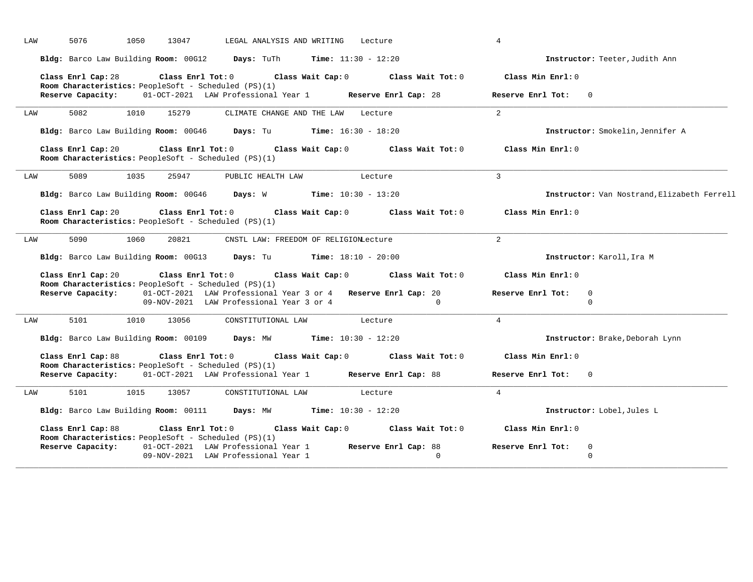| Instructor: Teeter, Judith Ann              |
|---------------------------------------------|
|                                             |
|                                             |
|                                             |
| Instructor: Smokelin, Jennifer A            |
|                                             |
|                                             |
| Instructor: Van Nostrand, Elizabeth Ferrell |
|                                             |
|                                             |
|                                             |
|                                             |
|                                             |
|                                             |
| Instructor: Brake, Deborah Lynn             |
|                                             |
|                                             |
|                                             |
|                                             |
|                                             |
|                                             |
|                                             |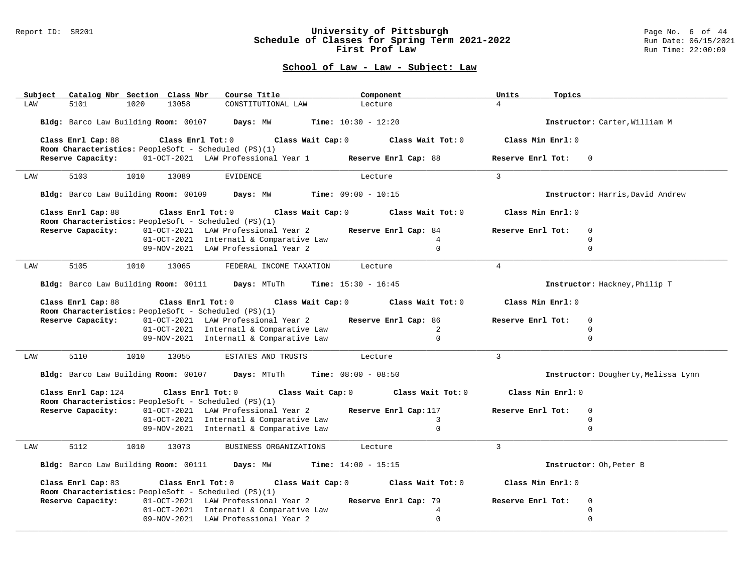#### Report ID: SR201 **University of Pittsburgh** Page No. 6 of 44 **Schedule of Classes for Spring Term 2021-2022** Run Date: 06/15/2021 **First Prof Law Run Time: 22:00:09** Run Time: 22:00:09

| Catalog Nbr Section Class Nbr<br>Subject                                                                                                                    | Course Title                                                | Component                    | Units<br>Topics   |                                     |
|-------------------------------------------------------------------------------------------------------------------------------------------------------------|-------------------------------------------------------------|------------------------------|-------------------|-------------------------------------|
| LAW<br>5101<br>1020<br>13058                                                                                                                                | CONSTITUTIONAL LAW                                          | Lecture                      | $\overline{4}$    |                                     |
| Bldg: Barco Law Building Room: 00107 Days: MW                                                                                                               |                                                             | <b>Time:</b> $10:30 - 12:20$ |                   | Instructor: Carter, William M       |
| Class Enrl Cap: 88 $\qquad$ Class Enrl Tot: 0 $\qquad$ Class Wait Cap: 0 $\qquad$ Class Wait Tot: 0<br>Room Characteristics: PeopleSoft - Scheduled (PS)(1) |                                                             |                              | Class Min Enrl: 0 |                                     |
| Reserve Capacity: 01-OCT-2021 LAW Professional Year 1 Reserve Enrl Cap: 88                                                                                  |                                                             |                              | Reserve Enrl Tot: | $\Omega$                            |
| 5103<br>1010<br>13089<br>LAW                                                                                                                                | <b>EVIDENCE</b>                                             | Lecture                      | $\overline{3}$    |                                     |
| Bldg: Barco Law Building Room: 00109 Days: MW Time: 09:00 - 10:15                                                                                           |                                                             |                              |                   | Instructor: Harris, David Andrew    |
| Class Enrl Cap: 88<br>Room Characteristics: PeopleSoft - Scheduled (PS)(1)                                                                                  | Class Enrl Tot: $0$ Class Wait Cap: $0$ Class Wait Tot: $0$ |                              | Class Min Enrl: 0 |                                     |
| Reserve Capacity:                                                                                                                                           | 01-OCT-2021 LAW Professional Year 2                         | Reserve Enrl Cap: 84         | Reserve Enrl Tot: | $\Omega$                            |
|                                                                                                                                                             | 01-OCT-2021 Internatl & Comparative Law                     | $\overline{4}$               |                   | $\Omega$                            |
|                                                                                                                                                             | 09-NOV-2021 LAW Professional Year 2                         | $\Omega$                     |                   | $\Omega$                            |
| 5105<br>1010<br>13065<br>LAW                                                                                                                                | FEDERAL INCOME TAXATION                                     | Lecture                      | $\overline{4}$    |                                     |
| Bldg: Barco Law Building Room: 00111 Days: MTuTh                                                                                                            |                                                             | <b>Time:</b> $15:30 - 16:45$ |                   | Instructor: Hackney, Philip T       |
| Class Enrl Cap: 88                                                                                                                                          | Class Enrl Tot: 0<br>Class Wait Cap: 0                      | Class Wait Tot: 0            | Class Min Enrl: 0 |                                     |
| Room Characteristics: PeopleSoft - Scheduled (PS)(1)<br>Reserve Capacity:                                                                                   | 01-OCT-2021 LAW Professional Year 2 Reserve Enrl Cap: 86    |                              | Reserve Enrl Tot: | $\Omega$                            |
|                                                                                                                                                             | 01-OCT-2021 Internatl & Comparative Law                     | 2                            |                   | $\Omega$                            |
|                                                                                                                                                             | 09-NOV-2021 Internatl & Comparative Law                     | $\Omega$                     |                   | $\Omega$                            |
| 5110<br>1010<br>13055<br>LAW                                                                                                                                | ESTATES AND TRUSTS                                          | Lecture                      | $\overline{3}$    |                                     |
| Bldg: Barco Law Building Room: 00107 Days: MTuTh                                                                                                            |                                                             | $Time: 08:00 - 08:50$        |                   | Instructor: Dougherty, Melissa Lynn |
| Class Enrl Cap: 124<br>Room Characteristics: PeopleSoft - Scheduled (PS)(1)                                                                                 | $Class$ $Enr1$ $Tot: 0$<br>Class Wait Cap: 0                | Class Wait Tot: 0            | Class Min Enrl: 0 |                                     |
| Reserve Capacity:                                                                                                                                           | 01-OCT-2021 LAW Professional Year 2 Reserve Enrl Cap:117    |                              | Reserve Enrl Tot: | $\mathbf 0$                         |
|                                                                                                                                                             | 01-OCT-2021 Internatl & Comparative Law                     | $\overline{3}$               |                   | $\mathbf 0$                         |
|                                                                                                                                                             | 09-NOV-2021 Internatl & Comparative Law                     | $\Omega$                     |                   | $\Omega$                            |
| 5112<br>1010<br>13073<br>LAW                                                                                                                                | BUSINESS ORGANIZATIONS                                      | Lecture                      | $\mathbf{3}$      |                                     |
| Bldg: Barco Law Building Room: 00111 Days: MW                                                                                                               |                                                             | <b>Time:</b> $14:00 - 15:15$ |                   | Instructor: Oh, Peter B             |
| Class Enrl Cap: 83<br>Room Characteristics: PeopleSoft - Scheduled (PS)(1)                                                                                  | Class Enrl Tot: 0 Class Wait Cap: 0 Class Wait Tot: 0       |                              | Class Min Enrl: 0 |                                     |
| Reserve Capacity:                                                                                                                                           | 01-OCT-2021 LAW Professional Year 2                         | Reserve Enrl Cap: 79         | Reserve Enrl Tot: | $\mathbf 0$                         |
|                                                                                                                                                             | 01-OCT-2021 Internatl & Comparative Law                     | 4                            |                   | $\mathbf 0$                         |
|                                                                                                                                                             | 09-NOV-2021 LAW Professional Year 2                         | $\Omega$                     |                   | $\mathbf 0$                         |
|                                                                                                                                                             |                                                             |                              |                   |                                     |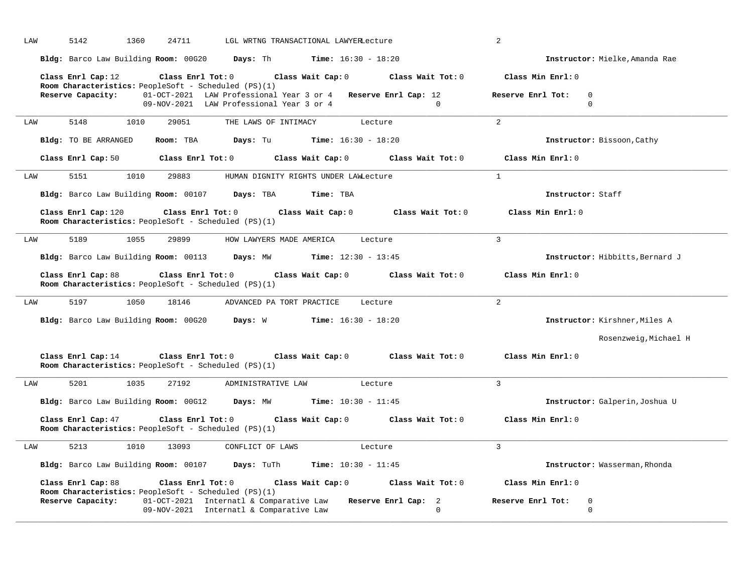| LAW<br>5142<br>1360<br>24711<br>LGL WRTNG TRANSACTIONAL LAWYERLecture                                                                      | 2                                            |
|--------------------------------------------------------------------------------------------------------------------------------------------|----------------------------------------------|
| <b>Days:</b> Th <b>Time:</b> $16:30 - 18:20$<br>Bldg: Barco Law Building Room: 00G20                                                       | Instructor: Mielke, Amanda Rae               |
| Class Enrl Cap: 12<br>Class Enrl Tot: 0<br>Class Wait Cap: 0<br>Class Wait Tot: 0<br>Room Characteristics: PeopleSoft - Scheduled (PS)(1)  | Class Min Enrl: 0                            |
| Reserve Capacity:<br>01-OCT-2021 LAW Professional Year 3 or 4 Reserve Enrl Cap: 12                                                         | Reserve Enrl Tot:<br>$\Omega$                |
| 09-NOV-2021 LAW Professional Year 3 or 4<br>$\cap$                                                                                         | $\Omega$                                     |
|                                                                                                                                            |                                              |
| 5148<br>1010<br>29051<br>THE LAWS OF INTIMACY<br>Lecture<br>LAW                                                                            | $\overline{2}$                               |
| Bldg: TO BE ARRANGED<br>Room: TBA<br>Days: Tu<br><b>Time:</b> $16:30 - 18:20$                                                              | Instructor: Bissoon, Cathy                   |
| Class Enrl Cap: 50 Class Enrl Tot: 0<br>Class Wait Cap: 0<br>Class Wait Tot: 0                                                             | Class Min Enrl: 0                            |
| 1010<br>5151<br>29883<br>LAW<br>HUMAN DIGNITY RIGHTS UNDER LAWLecture                                                                      | 1                                            |
| Bldg: Barco Law Building Room: 00107 Days: TBA<br>Time: TBA                                                                                | Instructor: Staff                            |
| Class Enrl Cap: 120<br>Class Enrl Tot: 0<br>Class Wait Cap: 0<br>Class Wait Tot: 0<br>Room Characteristics: PeopleSoft - Scheduled (PS)(1) | Class Min Enrl: 0                            |
| 5189<br>1055<br>29899<br>HOW LAWYERS MADE AMERICA<br>Lecture<br>LAW                                                                        | $\overline{3}$                               |
| Bldg: Barco Law Building Room: 00113 Days: MW<br><b>Time:</b> $12:30 - 13:45$                                                              | Instructor: Hibbitts, Bernard J              |
| Class Enrl Tot: 0<br>Class Wait Cap: 0 Class Wait Tot: 0<br>Class Enrl Cap: 88                                                             | Class Min Enrl: 0                            |
| Room Characteristics: PeopleSoft - Scheduled (PS)(1)                                                                                       |                                              |
| 5197<br>18146<br>1050<br>ADVANCED PA TORT PRACTICE<br>Lecture<br>LAW                                                                       | $\overline{2}$                               |
| Bldg: Barco Law Building Room: 00G20 Days: W Time: 16:30 - 18:20                                                                           | Instructor: Kirshner, Miles A                |
|                                                                                                                                            | Rosenzweig, Michael H                        |
| Class Enrl Cap: 14<br>Class Enrl Tot: 0 Class Wait Cap: 0 Class Wait Tot: 0<br>Room Characteristics: PeopleSoft - Scheduled (PS)(1)        | Class Min Enrl: 0                            |
| 5201<br>1035<br>27192<br>ADMINISTRATIVE LAW<br>Lecture<br>LAW                                                                              | 3                                            |
| Bldg: Barco Law Building Room: 00G12<br>Days: MW<br><b>Time:</b> $10:30 - 11:45$                                                           | Instructor: Galperin, Joshua U               |
|                                                                                                                                            |                                              |
| Class Enrl Cap: 47<br>Class Enrl Tot: 0<br>Class Wait Cap: 0 Class Wait Tot: 0                                                             |                                              |
| Room Characteristics: PeopleSoft - Scheduled (PS)(1)                                                                                       | Class Min Enrl: 0                            |
| 5213<br>1010<br>13093<br>CONFLICT OF LAWS<br>Lecture<br>LAW                                                                                | $\mathcal{L}$                                |
| Bldg: Barco Law Building Room: 00107 Days: TuTh<br>Time: $10:30 - 11:45$                                                                   | Instructor: Wasserman, Rhonda                |
| Class Enrl Cap: 88<br>$Class$ $Enrl$ $Tot: 0$<br>Class Wait Cap: 0 Class Wait Tot: 0                                                       | Class Min Enrl: 0                            |
| Room Characteristics: PeopleSoft - Scheduled (PS)(1)                                                                                       |                                              |
| Reserve Capacity:<br>01-OCT-2021 Internatl & Comparative Law<br>Reserve Enrl Cap: 2<br>09-NOV-2021 Internatl & Comparative Law<br>$\Omega$ | Reserve Enrl Tot:<br>$\Omega$<br>$\mathbf 0$ |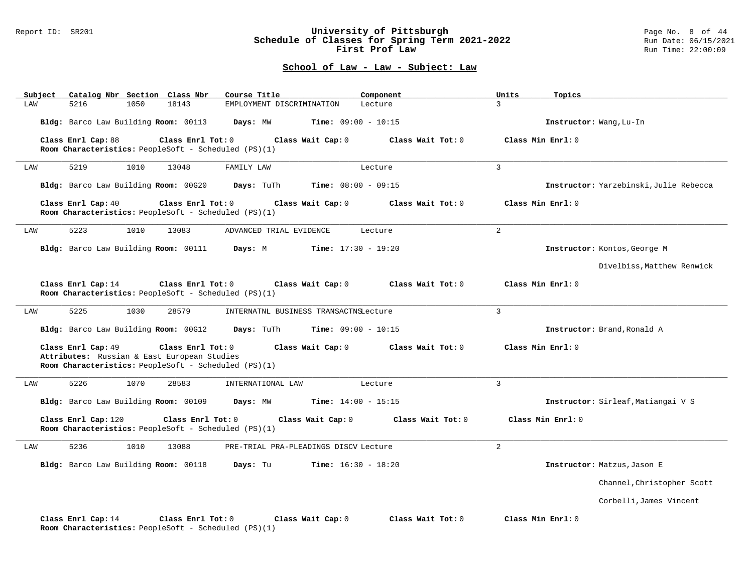#### Report ID: SR201 **University of Pittsburgh** Page No. 8 of 44 **Schedule of Classes for Spring Term 2021-2022** Run Date: 06/15/2021 **First Prof Law Run Time: 22:00:09** Run Time: 22:00:09

| Subject | Catalog Nbr Section Class Nbr                                                                                             |                   | Course Title                               | Component         | Units<br>Topics   |                                        |
|---------|---------------------------------------------------------------------------------------------------------------------------|-------------------|--------------------------------------------|-------------------|-------------------|----------------------------------------|
| LAW     | 5216<br>1050                                                                                                              | 18143             | EMPLOYMENT DISCRIMINATION                  | Lecture           | $\mathcal{L}$     |                                        |
|         | Bldg: Barco Law Building Room: 00113                                                                                      |                   | Days: MW<br><b>Time:</b> $09:00 - 10:15$   |                   |                   | Instructor: Wang, Lu-In                |
|         | Class Enrl Cap: 88<br>Room Characteristics: PeopleSoft - Scheduled (PS)(1)                                                | Class Enrl Tot: 0 | Class Wait Cap: 0                          | Class Wait Tot: 0 | Class Min Enrl: 0 |                                        |
|         | 5219<br>1010                                                                                                              | 13048             |                                            |                   | 3                 |                                        |
| LAW     |                                                                                                                           |                   | FAMILY LAW                                 | Lecture           |                   |                                        |
|         | Bldg: Barco Law Building Room: 00G20                                                                                      |                   | Days: TuTh<br><b>Time:</b> $08:00 - 09:15$ |                   |                   | Instructor: Yarzebinski, Julie Rebecca |
|         | Class Enrl Cap: 40<br>Room Characteristics: PeopleSoft - Scheduled (PS)(1)                                                | Class Enrl Tot: 0 | Class Wait Cap: 0                          | Class Wait Tot: 0 | Class Min Enrl: 0 |                                        |
| LAW     | 5223<br>1010                                                                                                              | 13083             | ADVANCED TRIAL EVIDENCE                    | Lecture           | 2                 |                                        |
|         | Bldg: Barco Law Building Room: 00111                                                                                      |                   | Days: M<br><b>Time:</b> $17:30 - 19:20$    |                   |                   | Instructor: Kontos, George M           |
|         |                                                                                                                           |                   |                                            |                   |                   | Divelbiss. Matthew Renwick             |
|         | Class Enrl Cap: 14<br>Room Characteristics: PeopleSoft - Scheduled (PS)(1)                                                | Class Enrl Tot: 0 | Class Wait Cap: 0                          | Class Wait Tot: 0 | Class Min Enrl: 0 |                                        |
| LAW     | 5225<br>1030                                                                                                              | 28579             | INTERNATNL BUSINESS TRANSACTNSLecture      |                   | $\overline{3}$    |                                        |
|         | Bldg: Barco Law Building Room: 00G12                                                                                      |                   | Days: TuTh<br><b>Time:</b> $09:00 - 10:15$ |                   |                   | Instructor: Brand, Ronald A            |
|         | Class Enrl Cap: 49<br>Attributes: Russian & East European Studies<br>Room Characteristics: PeopleSoft - Scheduled (PS)(1) | Class Enrl Tot: 0 | Class Wait Cap: 0                          | Class Wait Tot: 0 | Class Min Enrl: 0 |                                        |
| LAW     | 5226<br>1070                                                                                                              | 28583             | INTERNATIONAL LAW                          | Lecture           | 3                 |                                        |
|         | Bldg: Barco Law Building Room: 00109                                                                                      |                   | Days: MW<br><b>Time:</b> $14:00 - 15:15$   |                   |                   | Instructor: Sirleaf, Matiangai V S     |
|         | Class Enrl Cap: 120<br>Room Characteristics: PeopleSoft - Scheduled (PS)(1)                                               | Class Enrl Tot: 0 | Class Wait Cap: 0                          | Class Wait Tot: 0 | Class Min Enrl: 0 |                                        |
| LAW     | 5236<br>1010                                                                                                              | 13088             | PRE-TRIAL PRA-PLEADINGS DISCV Lecture      |                   | 2                 |                                        |
|         | Bldg: Barco Law Building Room: 00118                                                                                      |                   | Days: Tu<br><b>Time:</b> $16:30 - 18:20$   |                   |                   | Instructor: Matzus, Jason E            |
|         |                                                                                                                           |                   |                                            |                   |                   | Channel, Christopher Scott             |
|         |                                                                                                                           |                   |                                            |                   |                   | Corbelli, James Vincent                |
|         | Class Enrl Cap: 14<br>Room Characteristics: PeopleSoft - Scheduled (PS)(1)                                                | Class Enrl Tot: 0 | Class Wait Cap: 0                          | Class Wait Tot: 0 | Class Min Enrl: 0 |                                        |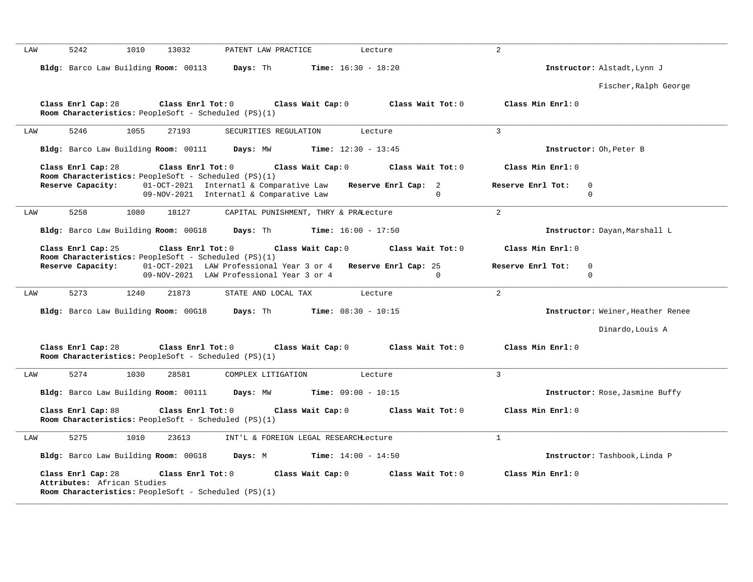| 5242<br>1010<br>13032<br>PATENT LAW PRACTICE<br>LAW<br>Lecture                                                                                                           | $\overline{2}$                    |
|--------------------------------------------------------------------------------------------------------------------------------------------------------------------------|-----------------------------------|
| Bldg: Barco Law Building Room: 00113<br><b>Time:</b> $16:30 - 18:20$<br>Days: Th                                                                                         | Instructor: Alstadt, Lynn J       |
|                                                                                                                                                                          | Fischer, Ralph George             |
| Class Enrl Tot: 0<br>Class Wait Cap: 0<br>Class Wait Tot: 0<br>Class Enrl Cap: 28                                                                                        | Class Min Enrl: 0                 |
| Room Characteristics: PeopleSoft - Scheduled (PS)(1)                                                                                                                     |                                   |
| 5246<br>1055<br>27193<br>SECURITIES REGULATION<br>Lecture<br>LAW                                                                                                         | 3                                 |
| Bldg: Barco Law Building Room: 00111<br>Days: MW<br><b>Time:</b> $12:30 - 13:45$                                                                                         | Instructor: Oh, Peter B           |
| Class Enrl Cap: 28<br>Class Enrl Tot: 0<br>Class Wait Cap: 0<br>Class Wait Tot: 0                                                                                        | Class Min Enrl: 0                 |
| Room Characteristics: PeopleSoft - Scheduled (PS)(1)<br>Reserve Capacity:<br>01-OCT-2021 Internatl & Comparative Law<br>Reserve Enrl Cap: 2                              | Reserve Enrl Tot:<br>0            |
| 09-NOV-2021 Internatl & Comparative Law<br>$\Omega$                                                                                                                      | $\mathbf 0$                       |
| 5258<br>1080<br>18127<br>CAPITAL PUNISHMENT, THRY & PRALecture<br>LAW                                                                                                    | $\overline{2}$                    |
| Bldg: Barco Law Building Room: 00G18<br>Days: Th<br><b>Time:</b> $16:00 - 17:50$                                                                                         | Instructor: Dayan, Marshall L     |
| Class Enrl Cap: 25<br>Class Enrl Tot: 0<br>Class Wait Cap: 0<br>Class Wait Tot: 0                                                                                        | Class Min Enrl: 0                 |
| Room Characteristics: PeopleSoft - Scheduled (PS)(1)<br>Reserve Capacity:<br>01-OCT-2021 LAW Professional Year 3 or 4 Reserve Enrl Cap: 25                               | Reserve Enrl Tot:<br>$\mathbf 0$  |
| 09-NOV-2021 LAW Professional Year 3 or 4<br>$\Omega$                                                                                                                     | $\mathbf 0$                       |
| 5273<br>1240<br>21873<br>LAW<br>STATE AND LOCAL TAX<br>Lecture                                                                                                           | $\overline{2}$                    |
| Bldg: Barco Law Building Room: 00G18<br>Days: Th<br><b>Time:</b> $08:30 - 10:15$                                                                                         | Instructor: Weiner, Heather Renee |
|                                                                                                                                                                          | Dinardo, Louis A                  |
| Class Wait Cap: 0<br>Class Wait Tot: 0<br>Class Enrl Cap: 28<br>Class Enrl Tot: 0<br>Room Characteristics: PeopleSoft - Scheduled (PS)(1)                                | Class Min Enrl: 0                 |
| 5274<br>1030<br>28581<br>COMPLEX LITIGATION<br>LAW<br>Lecture                                                                                                            | 3                                 |
| Bldg: Barco Law Building Room: 00111<br>Days: MW<br><b>Time:</b> $09:00 - 10:15$                                                                                         | Instructor: Rose, Jasmine Buffy   |
| Class Wait Tot: 0<br>Class Enrl Cap: 88<br>Class Enrl Tot: 0<br>Class Wait Cap: 0<br>Room Characteristics: PeopleSoft - Scheduled (PS)(1)                                | Class Min Enrl: 0                 |
| 5275<br>1010<br>INT'L & FOREIGN LEGAL RESEARCHLecture<br>LAW<br>23613                                                                                                    | $\mathbf{1}$                      |
| Bldg: Barco Law Building Room: 00G18<br>Days: M<br><b>Time:</b> $14:00 - 14:50$                                                                                          | Instructor: Tashbook, Linda P     |
| Class Enrl Cap: 28<br>Class Enrl Tot: 0<br>Class Wait Cap: 0<br>Class Wait Tot: 0<br>Attributes: African Studies<br>Room Characteristics: PeopleSoft - Scheduled (PS)(1) | Class Min Enrl: 0                 |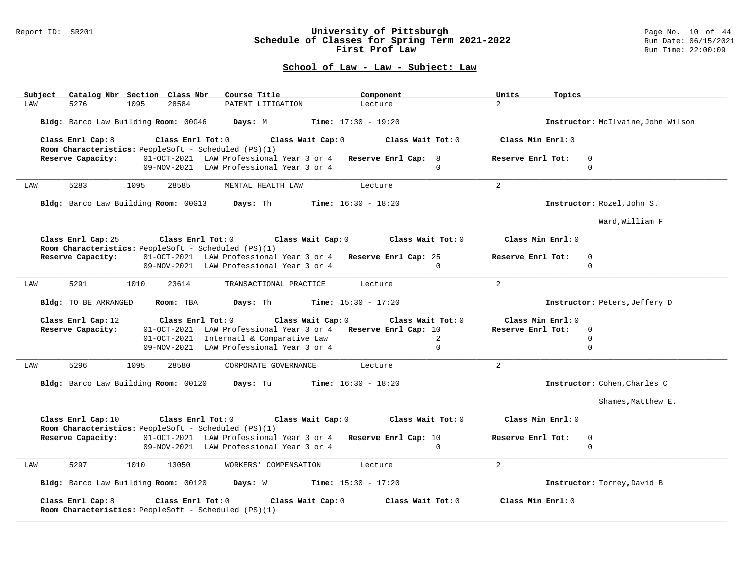#### Report ID: SR201 **University of Pittsburgh** Page No. 10 of 44 **Schedule of Classes for Spring Term 2021-2022** Run Date: 06/15/2021 **First Prof Law Run Time: 22:00:09** Run Time: 22:00:09

| Catalog Nbr Section Class Nbr<br>Subject                                                       | Course Title                                                                                             | Component                                                   | Units<br>Topics                              |                                    |
|------------------------------------------------------------------------------------------------|----------------------------------------------------------------------------------------------------------|-------------------------------------------------------------|----------------------------------------------|------------------------------------|
| 28584<br>LAW<br>5276<br>1095                                                                   | PATENT LITIGATION                                                                                        | Lecture                                                     | $\overline{2}$                               |                                    |
| Bldg: Barco Law Building Room: 00G46 Days: M Time: 17:30 - 19:20                               |                                                                                                          |                                                             |                                              | Instructor: McIlvaine, John Wilson |
| Class Enrl Cap: 8<br>Room Characteristics: PeopleSoft - Scheduled (PS)(1)                      |                                                                                                          | Class Enrl Tot: $0$ Class Wait Cap: $0$ Class Wait Tot: $0$ | Class Min Enrl: 0                            |                                    |
| Reserve Capacity:                                                                              | 01-OCT-2021 LAW Professional Year 3 or 4 Reserve Enrl Cap: 8<br>09-NOV-2021 LAW Professional Year 3 or 4 | $\cap$                                                      | Reserve Enrl Tot:<br>$\mathbf 0$<br>$\Omega$ |                                    |
| 5283<br>1095<br>28585<br>LAW                                                                   | MENTAL HEALTH LAW                                                                                        | Lecture                                                     | 2                                            |                                    |
| Bldg: Barco Law Building Room: 00G13 Days: Th                                                  |                                                                                                          | <b>Time:</b> $16:30 - 18:20$                                |                                              | Instructor: Rozel, John S.         |
|                                                                                                |                                                                                                          |                                                             |                                              | Ward, William F                    |
| Class Enrl Cap: 25<br>Room Characteristics: PeopleSoft - Scheduled (PS)(1)                     |                                                                                                          | Class Enrl Tot: $0$ Class Wait Cap: $0$ Class Wait Tot: $0$ | Class Min Enrl: 0                            |                                    |
| Reserve Capacity:                                                                              | 01-OCT-2021 LAW Professional Year 3 or 4 Reserve Enrl Cap: 25                                            |                                                             | Reserve Enrl Tot:<br>$\Omega$                |                                    |
|                                                                                                | 09-NOV-2021 LAW Professional Year 3 or 4                                                                 | $\Omega$                                                    | 0                                            |                                    |
| 5291<br>1010<br>23614<br>LAW                                                                   | TRANSACTIONAL PRACTICE                                                                                   | Lecture                                                     | 2                                            |                                    |
| Bldg: TO BE ARRANGED<br>Room: TBA                                                              | <b>Days:</b> Th <b>Time:</b> $15:30 - 17:20$                                                             |                                                             |                                              | Instructor: Peters, Jeffery D      |
| Class Enrl Cap: 12<br>Class Enrl Tot: 0                                                        | Class Wait Cap: 0                                                                                        | Class Wait Tot: 0                                           | Class Min Enrl: 0                            |                                    |
| Reserve Capacity:                                                                              | 01-OCT-2021 LAW Professional Year 3 or 4 Reserve Enrl Cap: 10                                            |                                                             | Reserve Enrl Tot:<br>$\Omega$                |                                    |
|                                                                                                | 01-OCT-2021 Internatl & Comparative Law                                                                  | 2                                                           | $\Omega$                                     |                                    |
|                                                                                                | 09-NOV-2021 LAW Professional Year 3 or 4                                                                 | $\mathbf{0}$                                                | $\mathbf 0$                                  |                                    |
| 5296<br>1095<br>28580<br>LAW                                                                   | CORPORATE GOVERNANCE                                                                                     | Lecture                                                     | 2                                            |                                    |
| Bldg: Barco Law Building Room: 00120                                                           | <b>Days:</b> Tu <b>Time:</b> $16:30 - 18:20$                                                             |                                                             |                                              | Instructor: Cohen, Charles C       |
|                                                                                                |                                                                                                          |                                                             |                                              | Shames, Matthew E.                 |
| Class Enrl Cap: 10<br>Room Characteristics: PeopleSoft - Scheduled (PS)(1)                     |                                                                                                          | Class Enrl Tot: $0$ Class Wait Cap: $0$ Class Wait Tot: $0$ | Class Min Enrl: 0                            |                                    |
| Reserve Capacity: 01-OCT-2021 LAW Professional Year 3 or 4 Reserve Enrl Cap: 10                |                                                                                                          |                                                             | Reserve Enrl Tot:<br>$\mathbf 0$             |                                    |
|                                                                                                | 09-NOV-2021 LAW Professional Year 3 or 4                                                                 | $\Omega$                                                    | $\Omega$                                     |                                    |
| 5297<br>1010<br>13050<br>LAW                                                                   | WORKERS' COMPENSATION                                                                                    | Lecture                                                     | $\overline{2}$                               |                                    |
| Bldg: Barco Law Building Room: 00120 Days: W Time: 15:30 - 17:20                               |                                                                                                          |                                                             |                                              | Instructor: Torrey, David B        |
| Class Enrl Cap: 8<br>Class Enrl Tot: 0<br>Room Characteristics: PeopleSoft - Scheduled (PS)(1) | Class Wait Cap: 0                                                                                        | Class Wait Tot: 0                                           | Class Min Enrl: 0                            |                                    |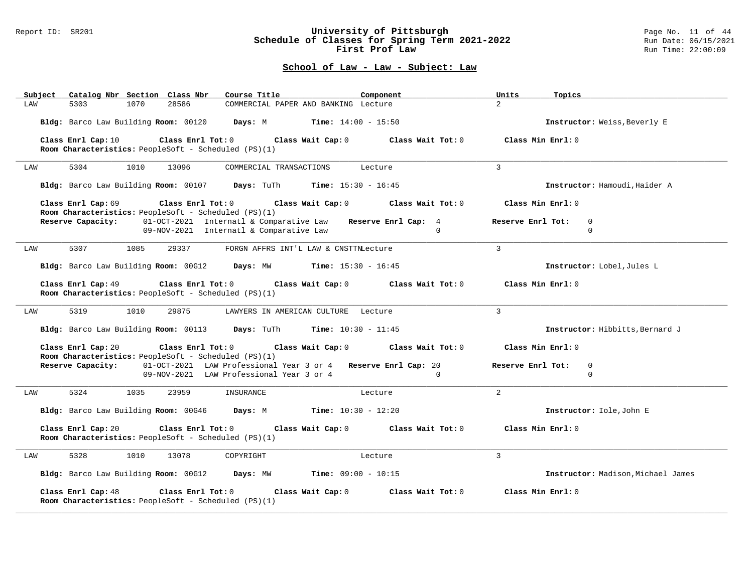#### Report ID: SR201 **University of Pittsburgh** Page No. 11 of 44 **Schedule of Classes for Spring Term 2021-2022** Run Date: 06/15/2021 **First Prof Law Run Time: 22:00:09** Run Time: 22:00:09

| Catalog Nbr Section Class Nbr<br>Course Title<br>Subject                                                                                                        | Component                                                     | Units<br>Topics                       |
|-----------------------------------------------------------------------------------------------------------------------------------------------------------------|---------------------------------------------------------------|---------------------------------------|
| 5303<br>1070<br>28586<br>LAW                                                                                                                                    | COMMERCIAL PAPER AND BANKING Lecture                          | $\overline{a}$                        |
| Bldg: Barco Law Building Room: 00120                                                                                                                            | <b>Days:</b> M <b>Time:</b> $14:00 - 15:50$                   | Instructor: Weiss, Beverly E          |
| Class Enrl Cap: 10<br>Class Enrl Tot: 0<br>Room Characteristics: PeopleSoft - Scheduled (PS)(1)                                                                 | Class Wait Cap: 0<br>Class Wait Tot: 0                        | Class Min Enrl: 0                     |
|                                                                                                                                                                 |                                                               |                                       |
| 5304<br>1010<br>13096<br>LAW                                                                                                                                    | COMMERCIAL TRANSACTIONS<br>Lecture                            | $\mathbf{3}$                          |
| Bldg: Barco Law Building Room: 00107 Days: TuTh Time: 15:30 - 16:45                                                                                             |                                                               | Instructor: Hamoudi, Haider A         |
| Class Enrl Cap: 69<br>Class Enrl Tot: 0                                                                                                                         | Class Wait Cap: 0 Class Wait Tot: 0                           | Class Min Enrl: 0                     |
| Room Characteristics: PeopleSoft - Scheduled (PS)(1)<br>01-OCT-2021 Internatl & Comparative Law<br>Reserve Capacity:<br>09-NOV-2021 Internatl & Comparative Law | Reserve Enrl Cap: 4<br>$\Omega$                               | Reserve Enrl Tot:<br>0<br>$\mathbf 0$ |
| 5307<br>1085<br>29337<br>LAW                                                                                                                                    | FORGN AFFRS INT'L LAW & CNSTTNLecture                         | $\overline{3}$                        |
| Bldg: Barco Law Building Room: 00G12 Days: MW                                                                                                                   | <b>Time:</b> $15:30 - 16:45$                                  | Instructor: Lobel, Jules L            |
| Class Enrl Tot: 0 Class Wait Cap: 0<br>Class Enrl Cap: 49<br>Room Characteristics: PeopleSoft - Scheduled (PS)(1)                                               | Class Wait Tot: 0                                             | Class Min Enrl: 0                     |
| 5319<br>1010<br>29875<br>LAW                                                                                                                                    | LAWYERS IN AMERICAN CULTURE Lecture                           | $\mathbf{3}$                          |
| Bldg: Barco Law Building Room: 00113 Days: TuTh Time: 10:30 - 11:45                                                                                             |                                                               | Instructor: Hibbitts, Bernard J       |
| Class Enrl Cap: 20<br>$Class$ $Enr1$ $Tot: 0$<br>Room Characteristics: PeopleSoft - Scheduled (PS)(1)                                                           | Class Wait Cap: 0<br>Class Wait Tot: 0                        | Class Min Enrl: 0                     |
| Reserve Capacity:                                                                                                                                               | 01-OCT-2021 LAW Professional Year 3 or 4 Reserve Enrl Cap: 20 | Reserve Enrl Tot:<br>0                |
| 09-NOV-2021 LAW Professional Year 3 or 4                                                                                                                        | $\mathbf 0$                                                   | $\mathbf 0$                           |
| 5324<br>1035<br>23959<br>INSURANCE<br>LAW                                                                                                                       | Lecture                                                       | 2                                     |
| Bldg: Barco Law Building Room: 00G46 Days: M Time: 10:30 - 12:20                                                                                                |                                                               | Instructor: Iole, John E              |
| Class Enrl Cap: 20<br>Class Enrl Tot: 0<br>Room Characteristics: PeopleSoft - Scheduled (PS)(1)                                                                 | Class Wait Cap: 0 Class Wait Tot: 0                           | Class Min Enrl: 0                     |
| 5328<br>1010<br>13078<br>COPYRIGHT<br>LAW                                                                                                                       | Lecture                                                       | 3                                     |
| Bldg: Barco Law Building Room: 00G12 Days: MW Time: 09:00 - 10:15                                                                                               |                                                               | Instructor: Madison, Michael James    |
| Class Enrl Cap: 48<br>Class Enrl Tot: 0<br>Room Characteristics: PeopleSoft - Scheduled (PS)(1)                                                                 | Class Wait Cap: 0<br>Class Wait Tot: 0                        | Class Min Enrl: 0                     |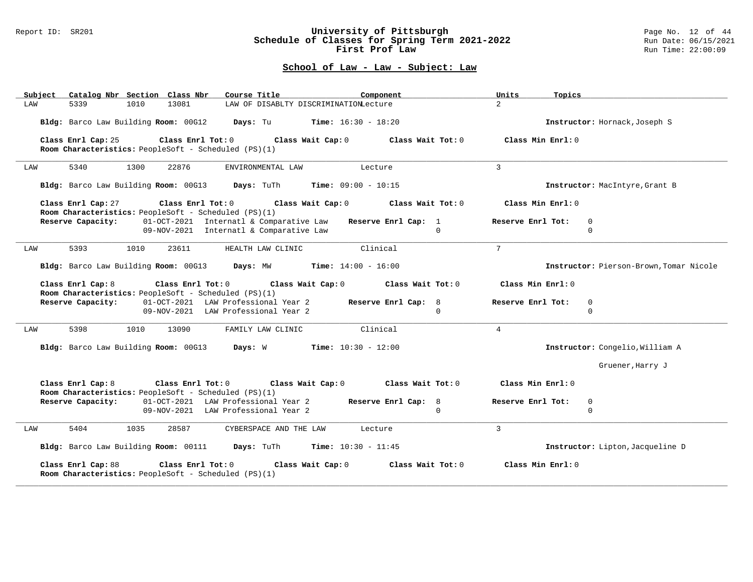#### Report ID: SR201 **University of Pittsburgh** Page No. 12 of 44 **Schedule of Classes for Spring Term 2021-2022** Run Date: 06/15/2021 **First Prof Law Run Time: 22:00:09** Run Time: 22:00:09

| Catalog Nbr Section Class Nbr<br>Subject                                                              | Course Title<br>Component                                                                                   | Units<br>Topics                                               |
|-------------------------------------------------------------------------------------------------------|-------------------------------------------------------------------------------------------------------------|---------------------------------------------------------------|
| 13081<br>LAW<br>5339<br>1010                                                                          | LAW OF DISABLTY DISCRIMINATIONLecture                                                                       | $\overline{2}$                                                |
| Bldg: Barco Law Building Room: 00G12                                                                  | <b>Time:</b> $16:30 - 18:20$<br>Days: Tu                                                                    | Instructor: Hornack, Joseph S                                 |
| Class Enrl Cap: 25<br>Room Characteristics: PeopleSoft - Scheduled (PS)(1)                            | Class Enrl Tot: 0 Class Wait Cap: 0<br>Class Wait Tot: 0                                                    | Class Min Enrl: $0$                                           |
| 5340<br>1300<br>22876<br>LAW                                                                          | ENVIRONMENTAL LAW<br>Lecture                                                                                | $\overline{3}$                                                |
| Bldg: Barco Law Building Room: 00G13                                                                  | Days: TuTh<br><b>Time:</b> $09:00 - 10:15$                                                                  | Instructor: MacIntyre, Grant B                                |
| $Class$ $Enrl$ $Tot: 0$<br>Class Enrl Cap: 27<br>Room Characteristics: PeopleSoft - Scheduled (PS)(1) | Class Wait Cap: 0<br>Class Wait Tot: 0                                                                      | Class Min Enrl: 0                                             |
| Reserve Capacity:                                                                                     | 01-OCT-2021 Internatl & Comparative Law<br>Reserve Enrl Cap: $1$<br>09-NOV-2021 Internatl & Comparative Law | Reserve Enrl Tot:<br>$\mathbf{0}$<br>$\Omega$<br>$\mathbf{0}$ |
| 5393<br>LAW<br>1010<br>23611                                                                          | Clinical<br>HEALTH LAW CLINIC                                                                               | $7\overline{ }$                                               |
| Bldg: Barco Law Building Room: 00G13 Days: MW                                                         | <b>Time:</b> $14:00 - 16:00$                                                                                | Instructor: Pierson-Brown, Tomar Nicole                       |
| Class Enrl Cap: 8<br>Room Characteristics: PeopleSoft - Scheduled (PS)(1)                             | Class Enrl Tot: $0$ Class Wait Cap: $0$<br>Class Wait Tot: 0                                                | Class Min Enrl: 0                                             |
| Reserve Capacity: 01-OCT-2021 LAW Professional Year 2                                                 | Reserve Enrl Cap: 8<br>09-NOV-2021 LAW Professional Year 2                                                  | Reserve Enrl Tot:<br>$\Omega$<br>$\Omega$<br>$\Omega$         |
| 5398<br>1010<br>13090<br>LAW                                                                          | Clinical<br>FAMILY LAW CLINIC                                                                               | $\overline{4}$                                                |
| Bldg: Barco Law Building Room: 00G13 Days: W                                                          | $Time: 10:30 - 12:00$                                                                                       | Instructor: Congelio, William A                               |
|                                                                                                       |                                                                                                             | Gruener, Harry J                                              |
| Class Enrl Cap: 8<br>Class Enrl Tot: $0$<br>Room Characteristics: PeopleSoft - Scheduled (PS)(1)      | Class Wait Cap: 0<br>Class Wait Tot: 0                                                                      | Class Min Enrl: 0                                             |
| Reserve Capacity:                                                                                     | 01-OCT-2021 LAW Professional Year 2<br>Reserve Enrl Cap: 8<br>09-NOV-2021 LAW Professional Year 2           | Reserve Enrl Tot:<br>$\mathbf{0}$<br>$\Omega$<br>$\Omega$     |
| 5404<br>1035<br>28587<br>LAW                                                                          | CYBERSPACE AND THE LAW<br>Lecture                                                                           | 3                                                             |
| Bldg: Barco Law Building Room: 00111 Days: TuTh                                                       | <b>Time:</b> $10:30 - 11:45$                                                                                | Instructor: Lipton, Jacqueline D                              |
| Class Enrl Cap: 88<br>Class Enrl Tot: 0<br>Room Characteristics: PeopleSoft - Scheduled (PS)(1)       | Class Wait Cap: 0<br>Class Wait Tot: 0                                                                      | Class Min Enrl: 0                                             |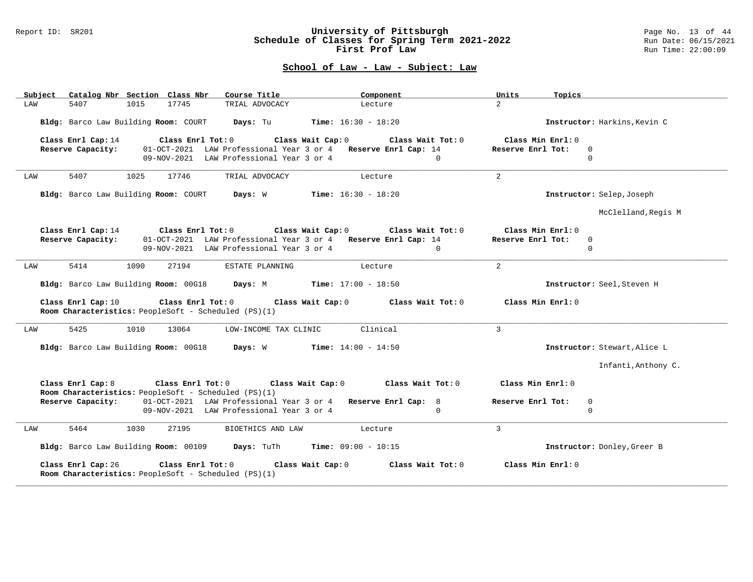#### Report ID: SR201 **University of Pittsburgh** Page No. 13 of 44 **Schedule of Classes for Spring Term 2021-2022** Run Date: 06/15/2021 **First Prof Law Run Time: 22:00:09** Run Time: 22:00:09

| Subject | Catalog Nbr Section Class Nbr        |      |                         | Course Title                                                              | Component                                                                 | Units<br>Topics   |                              |
|---------|--------------------------------------|------|-------------------------|---------------------------------------------------------------------------|---------------------------------------------------------------------------|-------------------|------------------------------|
| LAW     | 5407                                 | 1015 | 17745                   | TRIAL ADVOCACY                                                            | Lecture                                                                   | $\overline{2}$    |                              |
|         | Bldg: Barco Law Building Room: COURT |      |                         | Days: Tu                                                                  | <b>Time:</b> $16:30 - 18:20$                                              |                   | Instructor: Harkins, Kevin C |
|         | Class Enrl Cap: 14                   |      | Class Enrl Tot: 0       |                                                                           | Class Wait Cap: 0<br>Class Wait Tot: 0                                    | Class Min Enrl: 0 |                              |
|         | Reserve Capacity:                    |      |                         | 09-NOV-2021 LAW Professional Year 3 or 4                                  | 01-OCT-2021 LAW Professional Year 3 or 4 Reserve Enrl Cap: 14<br>$\Omega$ | Reserve Enrl Tot: | $\Omega$<br>$\mathbf 0$      |
|         |                                      |      |                         |                                                                           |                                                                           |                   |                              |
| LAW     | 5407                                 | 1025 | 17746                   | TRIAL ADVOCACY                                                            | Lecture                                                                   | $\overline{2}$    |                              |
|         |                                      |      |                         | Bldg: Barco Law Building Room: COURT Days: W                              | <b>Time:</b> $16:30 - 18:20$                                              |                   | Instructor: Selep, Joseph    |
|         |                                      |      |                         |                                                                           |                                                                           |                   | McClelland, Regis M          |
|         | Class Enrl Cap: 14                   |      |                         | Class Enrl Tot: 0 Class Wait Cap: 0                                       | Class Wait Tot: 0                                                         | Class Min Enrl: 0 |                              |
|         | Reserve Capacity:                    |      |                         |                                                                           | 01-OCT-2021 LAW Professional Year 3 or 4 Reserve Enrl Cap: 14             | Reserve Enrl Tot: | $\mathbf 0$                  |
|         |                                      |      |                         | 09-NOV-2021 LAW Professional Year 3 or 4                                  | $\Omega$                                                                  |                   | $\Omega$                     |
| LAW     | 5414                                 | 1090 | 27194                   | ESTATE PLANNING                                                           | Lecture                                                                   | $\overline{a}$    |                              |
|         | Bldg: Barco Law Building Room: 00G18 |      |                         |                                                                           | <b>Days:</b> M <b>Time:</b> $17:00 - 18:50$                               |                   | Instructor: Seel, Steven H   |
|         | Class Enrl Cap: 10                   |      | Class Enrl Tot: 0       | Room Characteristics: PeopleSoft - Scheduled (PS)(1)                      | Class Wait Cap: 0<br>Class Wait Tot: 0                                    | Class Min Enrl: 0 |                              |
| LAW     | 5425                                 | 1010 | 13064                   | LOW-INCOME TAX CLINIC                                                     | Clinical                                                                  | 3                 |                              |
|         | Bldg: Barco Law Building Room: 00G18 |      |                         | Days: W                                                                   | $Time: 14:00 - 14:50$                                                     |                   | Instructor: Stewart, Alice L |
|         |                                      |      |                         |                                                                           |                                                                           |                   | Infanti, Anthony C.          |
|         | Class Enrl Cap: 8                    |      | $Class$ $Enr1$ $Tot: 0$ | Class Wait Cap: 0<br>Room Characteristics: PeopleSoft - Scheduled (PS)(1) | Class Wait Tot: 0                                                         | Class Min Enrl: 0 |                              |
|         | Reserve Capacity:                    |      |                         |                                                                           | 01-OCT-2021 LAW Professional Year 3 or 4 Reserve Enrl Cap: 8              | Reserve Enrl Tot: | 0                            |
|         |                                      |      |                         | 09-NOV-2021 LAW Professional Year 3 or 4                                  | $\Omega$                                                                  |                   | $\Omega$                     |
| LAW     | 5464                                 | 1030 | 27195                   | BIOETHICS AND LAW                                                         | Lecture                                                                   | 3                 |                              |
|         | Bldg: Barco Law Building Room: 00109 |      |                         | Days: TuTh                                                                | <b>Time:</b> $09:00 - 10:15$                                              |                   | Instructor: Donley, Greer B  |
|         | Class Enrl Cap: 26                   |      | Class Enrl Tot: 0       | Room Characteristics: PeopleSoft - Scheduled (PS)(1)                      | Class Wait Cap: 0<br>Class Wait Tot: 0                                    | Class Min Enrl: 0 |                              |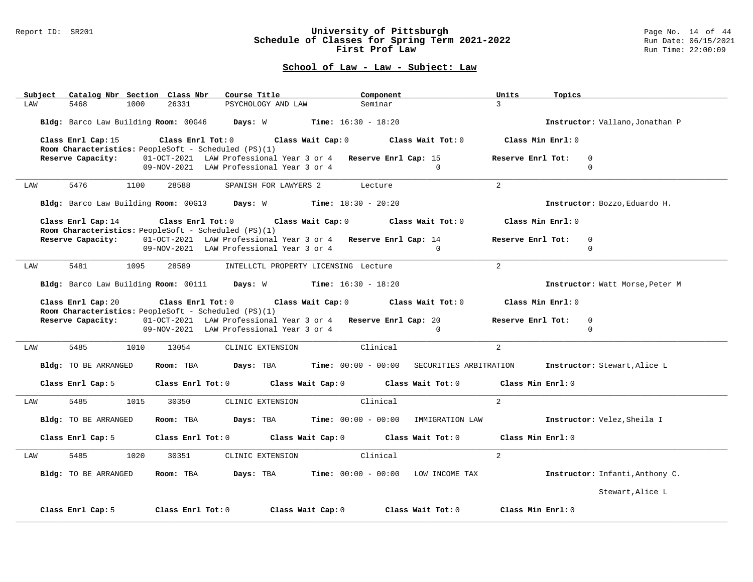#### Report ID: SR201 **University of Pittsburgh** Page No. 14 of 44 **Schedule of Classes for Spring Term 2021-2022** Run Date: 06/15/2021 **First Prof Law Run Time: 22:00:09** Run Time: 22:00:09

| Subject Catalog Nbr Section Class Nbr                                                                                                               | Course Title                                                                    | Component                                                                                       | Units<br>Topics                                                                             |  |  |  |  |  |  |
|-----------------------------------------------------------------------------------------------------------------------------------------------------|---------------------------------------------------------------------------------|-------------------------------------------------------------------------------------------------|---------------------------------------------------------------------------------------------|--|--|--|--|--|--|
| 5468<br>1000<br>LAW                                                                                                                                 | 26331<br>PSYCHOLOGY AND LAW                                                     | Seminar                                                                                         | $\mathcal{R}$                                                                               |  |  |  |  |  |  |
|                                                                                                                                                     | Bldg: Barco Law Building Room: 00G46 Days: W Time: 16:30 - 18:20                |                                                                                                 | Instructor: Vallano, Jonathan P                                                             |  |  |  |  |  |  |
| Class Enrl Cap: 15                                                                                                                                  | Room Characteristics: PeopleSoft - Scheduled (PS)(1)                            | Class Enrl Tot: $0$ Class Wait Cap: $0$ Class Wait Tot: $0$                                     | Class Min Enrl: 0                                                                           |  |  |  |  |  |  |
|                                                                                                                                                     | Reserve Capacity: 01-OCT-2021 LAW Professional Year 3 or 4 Reserve Enrl Cap: 15 |                                                                                                 | Reserve Enrl Tot:<br>$\Omega$                                                               |  |  |  |  |  |  |
|                                                                                                                                                     | 09-NOV-2021 LAW Professional Year 3 or 4                                        | $\Omega$                                                                                        | $\Omega$                                                                                    |  |  |  |  |  |  |
| 5476<br>1100<br>LAW                                                                                                                                 | 28588                                                                           | SPANISH FOR LAWYERS 2 Lecture                                                                   | 2                                                                                           |  |  |  |  |  |  |
|                                                                                                                                                     | Bldg: Barco Law Building Room: 00G13 Days: W Time: 18:30 - 20:20                |                                                                                                 | Instructor: Bozzo, Eduardo H.                                                               |  |  |  |  |  |  |
|                                                                                                                                                     | Room Characteristics: PeopleSoft - Scheduled (PS)(1)                            | Class Enrl Cap: 14 (class Enrl Tot: 0 (class Wait Cap: 0 (class Wait Tot: 0 $\sim$              | Class Min Enrl: 0                                                                           |  |  |  |  |  |  |
|                                                                                                                                                     | Reserve Capacity: 01-OCT-2021 LAW Professional Year 3 or 4 Reserve Enrl Cap: 14 |                                                                                                 | Reserve Enrl Tot:<br>$\mathbf 0$                                                            |  |  |  |  |  |  |
|                                                                                                                                                     | 09-NOV-2021 LAW Professional Year 3 or 4                                        | $\Omega$                                                                                        | $\Omega$                                                                                    |  |  |  |  |  |  |
| 5481<br>1095<br>LAW                                                                                                                                 | 28589                                                                           | INTELLCTL PROPERTY LICENSING Lecture                                                            | 2                                                                                           |  |  |  |  |  |  |
|                                                                                                                                                     | Bldg: Barco Law Building Room: 00111 Days: W Time: 16:30 - 18:20                |                                                                                                 | Instructor: Watt Morse, Peter M                                                             |  |  |  |  |  |  |
| Class Enrl Tot: $0$ Class Wait Cap: $0$ Class Wait Tot: $0$<br>Class Enrl Cap: 20<br>Class Min Enrl: 0                                              |                                                                                 |                                                                                                 |                                                                                             |  |  |  |  |  |  |
| Room Characteristics: PeopleSoft - Scheduled (PS)(1)<br>Reserve Capacity: 01-OCT-2021 LAW Professional Year 3 or 4 Reserve Enrl Cap: 20<br>$\Omega$ |                                                                                 |                                                                                                 |                                                                                             |  |  |  |  |  |  |
|                                                                                                                                                     | 09-NOV-2021 LAW Professional Year 3 or 4                                        | $\Omega$                                                                                        | Reserve Enrl Tot:<br>$\Omega$                                                               |  |  |  |  |  |  |
|                                                                                                                                                     |                                                                                 |                                                                                                 |                                                                                             |  |  |  |  |  |  |
| 5485<br>1010<br>LAW                                                                                                                                 | 13054<br>CLINIC EXTENSION                                                       | Clinical                                                                                        | $\overline{a}$                                                                              |  |  |  |  |  |  |
| Bldg: TO BE ARRANGED                                                                                                                                |                                                                                 |                                                                                                 | Room: TBA Days: TBA Time: 00:00 - 00:00 SECURITIES ARBITRATION Instructor: Stewart, Alice L |  |  |  |  |  |  |
|                                                                                                                                                     |                                                                                 | Class Enrl Cap: 5 Class Enrl Tot: 0 Class Wait Cap: 0 Class Wait Tot: 0 Class Min Enrl: 0       |                                                                                             |  |  |  |  |  |  |
| 1015<br>LAW                                                                                                                                         | 30350<br>CLINIC EXTENSION                                                       | Clinical                                                                                        | 2                                                                                           |  |  |  |  |  |  |
| Bldg: TO BE ARRANGED                                                                                                                                |                                                                                 | Room: TBA Days: TBA Time: 00:00 - 00:00 IMMIGRATION LAW Instructor: Velez, Sheila I             |                                                                                             |  |  |  |  |  |  |
|                                                                                                                                                     |                                                                                 | Class Enrl Cap: 5 Class Enrl Tot: 0 Class Wait Cap: 0 Class Wait Tot: 0 Class Min Enrl: 0       |                                                                                             |  |  |  |  |  |  |
| 1020<br>LAW                                                                                                                                         | 30351<br>CLINIC EXTENSION                                                       | Clinical                                                                                        | 2                                                                                           |  |  |  |  |  |  |
| Bldg: TO BE ARRANGED                                                                                                                                |                                                                                 | <b>Room:</b> TBA $\qquad$ <b>Days:</b> TBA $\qquad$ <b>Time:</b> $00:00 - 00:00$ LOW INCOME TAX | Instructor: Infanti, Anthony C.                                                             |  |  |  |  |  |  |
|                                                                                                                                                     |                                                                                 |                                                                                                 | Stewart, Alice L                                                                            |  |  |  |  |  |  |
| Class Enrl Cap: 5                                                                                                                                   | Class Enrl Tot: 0<br>Class Wait Cap: 0                                          | Class Wait Tot: 0                                                                               | Class Min Enrl: 0                                                                           |  |  |  |  |  |  |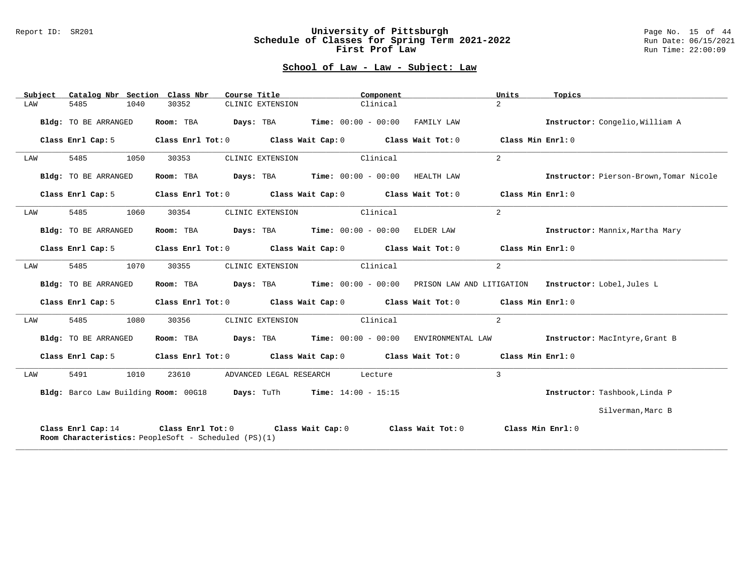#### Report ID: SR201 **University of Pittsburgh** Page No. 15 of 44 **Schedule of Classes for Spring Term 2021-2022** Run Date: 06/15/2021 **First Prof Law Run Time: 22:00:09** Run Time: 22:00:09

## **School of Law - Law - Subject: Law**

|     | Subject | Catalog Nbr Section Class Nbr                                       |      |           |  | Course Title                               |  | Component |                                                                | Units                                                                                              | Topics                                                                                      |
|-----|---------|---------------------------------------------------------------------|------|-----------|--|--------------------------------------------|--|-----------|----------------------------------------------------------------|----------------------------------------------------------------------------------------------------|---------------------------------------------------------------------------------------------|
| LAW |         | 5485                                                                | 1040 | 30352     |  | CLINIC EXTENSION                           |  | Clinical  |                                                                | $\overline{2}$                                                                                     |                                                                                             |
|     |         | Bldg: TO BE ARRANGED                                                |      | Room: TBA |  | $Days: TBA$ Time: $00:00 - 00:00$          |  |           | FAMILY LAW                                                     |                                                                                                    | Instructor: Congelio, William A                                                             |
|     |         | Class Enrl Cap: 5                                                   |      |           |  |                                            |  |           | Class Enrl Tot: 0 Class Wait Cap: 0 Class Wait Tot: 0          | Class Min Enrl: 0                                                                                  |                                                                                             |
| LAW |         | 5485                                                                | 1050 | 30353     |  | CLINIC EXTENSION                           |  | Clinical  |                                                                | $\overline{a}$                                                                                     |                                                                                             |
|     |         | Bldg: TO BE ARRANGED                                                |      | Room: TBA |  |                                            |  |           | $\texttt{Days:}$ TBA $\texttt{Time:}$ 00:00 - 00:00 HEALTH LAW |                                                                                                    | Instructor: Pierson-Brown, Tomar Nicole                                                     |
|     |         | Class Enrl Cap: 5                                                   |      |           |  |                                            |  |           | Class Enrl Tot: 0 Class Wait Cap: 0 Class Wait Tot: 0          | Class Min Enrl: 0                                                                                  |                                                                                             |
| LAW |         | 5485                                                                | 1060 | 30354     |  | CLINIC EXTENSION Clinical                  |  |           |                                                                | $\overline{a}$                                                                                     |                                                                                             |
|     |         | Bldg: TO BE ARRANGED                                                |      |           |  |                                            |  |           | <b>Room:</b> TBA $Days:$ TBA $Time:$ $00:00 - 00:00$ ELDER LAW |                                                                                                    | Instructor: Mannix, Martha Mary                                                             |
|     |         | Class Enrl Cap: 5                                                   |      |           |  |                                            |  |           | Class Enrl Tot: 0 Class Wait Cap: 0 Class Wait Tot: 0          | Class Min Enrl: 0                                                                                  |                                                                                             |
| LAW |         | 5485                                                                | 1070 | 30355     |  | CLINIC EXTENSION                           |  | Clinical  |                                                                | 2                                                                                                  |                                                                                             |
|     |         | Bldg: TO BE ARRANGED                                                |      | Room: TBA |  |                                            |  |           |                                                                |                                                                                                    | Days: TBA       Time: 00:00 - 00:00   PRISON LAW AND LITIGATION   Instructor: Lobel,Jules L |
|     |         | Class Enrl Cap: 5                                                   |      |           |  |                                            |  |           |                                                                | Class Enrl Tot: 0 $\qquad$ Class Wait Cap: 0 $\qquad$ Class Wait Tot: 0 $\qquad$ Class Min Enrl: 0 |                                                                                             |
| LAW |         | 5485                                                                | 1080 | 30356     |  | CLINIC EXTENSION                           |  | Clinical  |                                                                | $\overline{2}$                                                                                     |                                                                                             |
|     |         | Bldg: TO BE ARRANGED                                                |      | Room: TBA |  | $\texttt{DayS:}$ TBA Time: $00:00 - 00:00$ |  |           |                                                                |                                                                                                    | ENVIRONMENTAL LAW <b>Instructor:</b> MacIntyre, Grant B                                     |
|     |         | Class Enrl Cap: 5                                                   |      |           |  |                                            |  |           |                                                                | Class Enrl Tot: $0$ Class Wait Cap: $0$ Class Wait Tot: $0$ Class Min Enrl: $0$                    |                                                                                             |
| LAW |         | 5491                                                                | 1010 | 23610     |  | ADVANCED LEGAL RESEARCH                    |  | Lecture   |                                                                | 3                                                                                                  |                                                                                             |
|     |         | Bldg: Barco Law Building Room: 00G18 Days: TuTh Time: 14:00 - 15:15 |      |           |  |                                            |  |           |                                                                |                                                                                                    | Instructor: Tashbook, Linda P                                                               |
|     |         |                                                                     |      |           |  |                                            |  |           |                                                                |                                                                                                    | Silverman, Marc B                                                                           |
|     |         | Room Characteristics: PeopleSoft - Scheduled (PS)(1)                |      |           |  |                                            |  |           |                                                                | Class Enrl Cap: 14 Class Enrl Tot: 0 Class Wait Cap: 0 Class Wait Tot: 0 Class Min Enrl: 0         |                                                                                             |

**\_\_\_\_\_\_\_\_\_\_\_\_\_\_\_\_\_\_\_\_\_\_\_\_\_\_\_\_\_\_\_\_\_\_\_\_\_\_\_\_\_\_\_\_\_\_\_\_\_\_\_\_\_\_\_\_\_\_\_\_\_\_\_\_\_\_\_\_\_\_\_\_\_\_\_\_\_\_\_\_\_\_\_\_\_\_\_\_\_\_\_\_\_\_\_\_\_\_\_\_\_\_\_\_\_\_\_\_\_\_\_\_\_\_\_\_\_\_\_\_\_\_\_\_\_\_\_\_\_\_\_\_\_\_\_\_\_\_\_\_\_\_\_\_\_\_\_\_\_\_\_\_\_\_\_\_**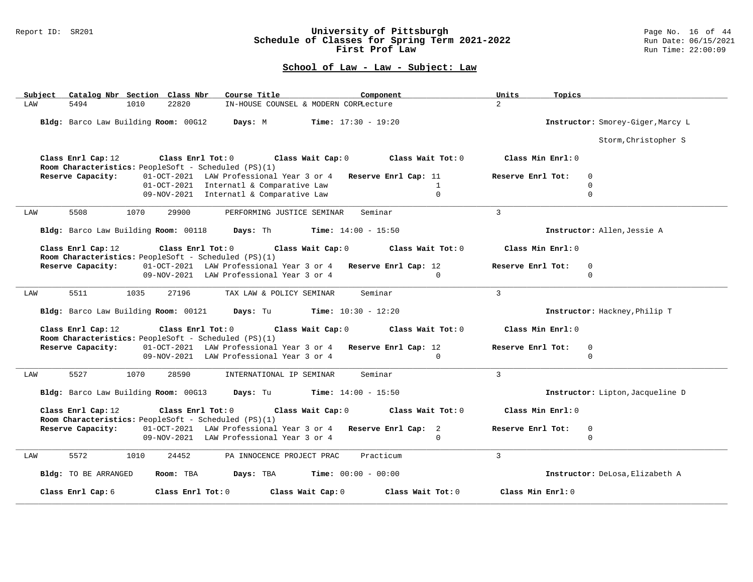### Report ID: SR201 **University of Pittsburgh** Page No. 16 of 44 **Schedule of Classes for Spring Term 2021-2022** Run Date: 06/15/2021 **First Prof Law Run Time: 22:00:09** Run Time: 22:00:09

|     | Subject Catalog Nbr Section Class Nbr        |      |                   | Course Title                                                                                |                                              | Component                                                   | Units             | Topics                            |  |
|-----|----------------------------------------------|------|-------------------|---------------------------------------------------------------------------------------------|----------------------------------------------|-------------------------------------------------------------|-------------------|-----------------------------------|--|
| LAW | 5494                                         | 1010 | 22820             | IN-HOUSE COUNSEL & MODERN CORPLecture                                                       |                                              |                                                             | $\overline{2}$    |                                   |  |
|     | Bldg: Barco Law Building Room: 00G12 Days: M |      |                   |                                                                                             | $Time: 17:30 - 19:20$                        |                                                             |                   | Instructor: Smorey-Giger, Marcy L |  |
|     |                                              |      |                   |                                                                                             |                                              |                                                             |                   | Storm, Christopher S              |  |
|     | Class Enrl Cap: 12                           |      |                   | Class Enrl Tot: 0 Class Wait Cap: 0<br>Room Characteristics: PeopleSoft - Scheduled (PS)(1) |                                              | Class Wait Tot: 0                                           |                   | Class Min Enrl: 0                 |  |
|     | Reserve Capacity:                            |      |                   | 01-OCT-2021 LAW Professional Year 3 or 4 Reserve Enrl Cap: 11                               |                                              |                                                             | Reserve Enrl Tot: | $\Omega$                          |  |
|     |                                              |      |                   | 01-OCT-2021 Internatl & Comparative Law                                                     |                                              | $\mathbf{1}$                                                |                   | $\Omega$                          |  |
|     |                                              |      |                   | 09-NOV-2021 Internatl & Comparative Law                                                     |                                              | $\Omega$                                                    |                   | $\Omega$                          |  |
| LAW | 5508                                         | 1070 | 29900             | PERFORMING JUSTICE SEMINAR                                                                  |                                              | Seminar                                                     | $\mathbf{3}$      |                                   |  |
|     |                                              |      |                   | Bldg: Barco Law Building Room: 00118 Days: Th Time: 14:00 - 15:50                           |                                              |                                                             |                   | Instructor: Allen, Jessie A       |  |
|     | Class Enrl Cap: 12                           |      |                   | Room Characteristics: PeopleSoft - Scheduled (PS)(1)                                        |                                              | Class Enrl Tot: $0$ Class Wait Cap: $0$ Class Wait Tot: $0$ |                   | Class Min Enrl: 0                 |  |
|     | Reserve Capacity:                            |      |                   | 01-OCT-2021 LAW Professional Year 3 or 4 Reserve Enrl Cap: 12                               |                                              |                                                             | Reserve Enrl Tot: | $\Omega$                          |  |
|     |                                              |      |                   | 09-NOV-2021 LAW Professional Year 3 or 4                                                    |                                              | $\Omega$                                                    |                   | $\Omega$                          |  |
| LAW | 5511                                         | 1035 | 27196             | TAX LAW & POLICY SEMINAR                                                                    |                                              | Seminar                                                     | $\mathbf{3}$      |                                   |  |
|     |                                              |      |                   | Bldg: Barco Law Building Room: 00121 Days: Tu Time: 10:30 - 12:20                           |                                              |                                                             |                   | Instructor: Hackney, Philip T     |  |
|     | Class Enrl Cap: 12                           |      | Class Enrl Tot: 0 | Class Wait Cap: 0<br>Room Characteristics: PeopleSoft - Scheduled (PS)(1)                   |                                              | Class Wait Tot: 0                                           |                   | Class Min Enrl: 0                 |  |
|     | Reserve Capacity:                            |      |                   | 01-OCT-2021 LAW Professional Year 3 or 4 Reserve Enrl Cap: 12                               |                                              |                                                             | Reserve Enrl Tot: | $\mathbf 0$                       |  |
|     |                                              |      |                   | 09-NOV-2021 LAW Professional Year 3 or 4                                                    |                                              | $\Omega$                                                    |                   | $\Omega$                          |  |
| LAW | 5527                                         | 1070 | 28590             | INTERNATIONAL IP SEMINAR                                                                    |                                              | Seminar                                                     | $\overline{3}$    |                                   |  |
|     | Bldg: Barco Law Building Room: 00G13         |      |                   |                                                                                             | <b>Days:</b> Tu <b>Time:</b> $14:00 - 15:50$ |                                                             |                   | Instructor: Lipton, Jacqueline D  |  |
|     | Class Enrl Cap: 12                           |      | Class Enrl Tot: 0 | Room Characteristics: PeopleSoft - Scheduled (PS)(1)                                        | Class Wait Cap: 0                            | Class Wait Tot: 0                                           |                   | Class Min Enrl: 0                 |  |
|     | Reserve Capacity:                            |      |                   | 01-OCT-2021 LAW Professional Year 3 or 4 Reserve Enrl Cap: 2                                |                                              |                                                             | Reserve Enrl Tot: | 0                                 |  |
|     |                                              |      |                   | 09-NOV-2021 LAW Professional Year 3 or 4                                                    |                                              | $\Omega$                                                    |                   | $\mathbf 0$                       |  |
| LAW | 5572                                         | 1010 | 24452             | PA INNOCENCE PROJECT PRAC                                                                   |                                              | Practicum                                                   | $\mathbf{3}$      |                                   |  |
|     | Bldg: TO BE ARRANGED                         |      | Room: TBA         | Days: TBA                                                                                   | <b>Time:</b> $00:00 - 00:00$                 |                                                             |                   | Instructor: DeLosa, Elizabeth A   |  |
|     | Class Enrl Cap: 6                            |      | Class Enrl Tot: 0 |                                                                                             | Class Wait Cap: 0                            | Class Wait Tot: 0                                           | Class Min Enrl: 0 |                                   |  |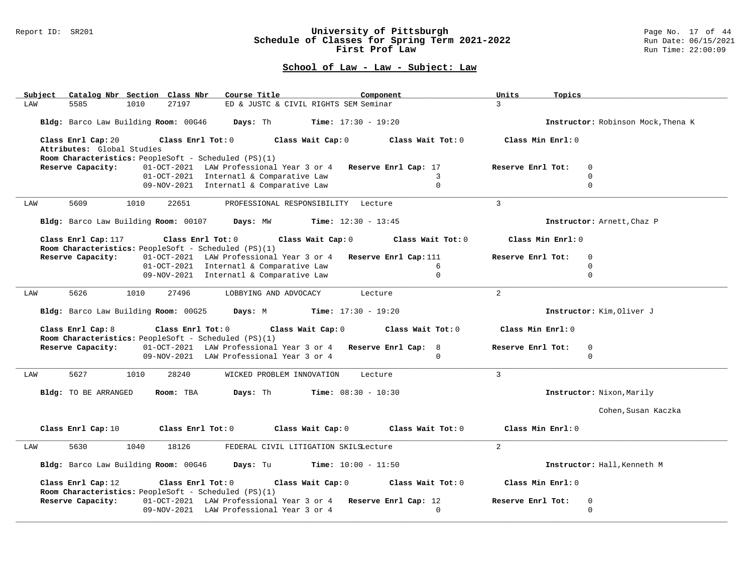#### Report ID: SR201 **University of Pittsburgh** Page No. 17 of 44 **Schedule of Classes for Spring Term 2021-2022** Run Date: 06/15/2021 **First Prof Law Run Time: 22:00:09** Run Time: 22:00:09

| Course Title<br>Catalog Nbr Section Class Nbr<br>Component<br>Subject                   | Units<br>Topics                     |
|-----------------------------------------------------------------------------------------|-------------------------------------|
| 27197<br>ED & JUSTC & CIVIL RIGHTS SEM Seminar<br>LAW<br>5585<br>1010                   | $\overline{3}$                      |
|                                                                                         |                                     |
| Bldg: Barco Law Building Room: 00G46 Days: Th Time: 17:30 - 19:20                       | Instructor: Robinson Mock, Thena K  |
|                                                                                         |                                     |
| Class Enrl Cap: 20<br>$Class$ $Enrl$ $Tot: 0$<br>Class Wait Cap: 0<br>Class Wait Tot: 0 | Class Min Enrl: 0                   |
| Attributes: Global Studies                                                              |                                     |
| Room Characteristics: PeopleSoft - Scheduled (PS)(1)                                    |                                     |
| 01-OCT-2021 LAW Professional Year 3 or 4 Reserve Enrl Cap: 17<br>Reserve Capacity:      | Reserve Enrl Tot:<br>$\mathbf 0$    |
| 01-OCT-2021 Internatl & Comparative Law<br>$\mathcal{R}$                                | $\Omega$                            |
| $\Omega$<br>09-NOV-2021 Internatl & Comparative Law                                     | $\Omega$                            |
|                                                                                         |                                     |
| 5609<br>1010<br>22651<br>LAW<br>PROFESSIONAL RESPONSIBILITY Lecture                     | $\overline{3}$                      |
|                                                                                         |                                     |
| Bldg: Barco Law Building Room: 00107 Days: MW Time: 12:30 - 13:45                       | Instructor: Arnett, Chaz P          |
|                                                                                         |                                     |
| Class Enrl Cap: 117<br>Class Enrl Tot:0<br>Class Wait Cap: 0<br>Class Wait Tot: 0       | Class Min Enrl: 0                   |
| Room Characteristics: PeopleSoft - Scheduled (PS)(1)                                    |                                     |
| 01-OCT-2021 LAW Professional Year 3 or 4 Reserve Enrl Cap: 111<br>Reserve Capacity:     | Reserve Enrl Tot:<br>$\mathbf 0$    |
| 01-OCT-2021 Internatl & Comparative Law<br>6                                            | $\Omega$                            |
| $\mathbf{0}$<br>09-NOV-2021 Internatl & Comparative Law                                 | $\Omega$                            |
|                                                                                         |                                     |
| 5626<br>1010<br>27496<br>LOBBYING AND ADVOCACY<br>Lecture<br>LAW                        | $\overline{2}$                      |
|                                                                                         |                                     |
| Bldg: Barco Law Building Room: 00G25<br><b>Days:</b> M <b>Time:</b> $17:30 - 19:20$     | Instructor: Kim, Oliver J           |
|                                                                                         |                                     |
|                                                                                         |                                     |
|                                                                                         |                                     |
| Class Enrl Cap: 8<br>Class Enrl Tot: 0 Class Wait Cap: 0<br>Class Wait Tot: 0           | Class Min Enrl: 0                   |
| Room Characteristics: PeopleSoft - Scheduled (PS)(1)                                    |                                     |
| 01-OCT-2021 LAW Professional Year 3 or 4 Reserve Enrl Cap: 8<br>Reserve Capacity:       | $\Omega$<br>Reserve Enrl Tot:       |
| 09-NOV-2021 LAW Professional Year 3 or 4<br>$\Omega$                                    | $\Omega$                            |
|                                                                                         |                                     |
| 5627<br>1010<br>28240<br>WICKED PROBLEM INNOVATION<br>LAW<br>Lecture                    | $\overline{3}$                      |
|                                                                                         |                                     |
| <b>Days:</b> Th <b>Time:</b> $08:30 - 10:30$<br>Bldg: TO BE ARRANGED<br>Room: TBA       | Instructor: Nixon, Marily           |
|                                                                                         |                                     |
|                                                                                         | Cohen, Susan Kaczka                 |
|                                                                                         |                                     |
| Class Wait Cap: 0<br>Class Enrl Cap: 10<br>Class Enrl Tot: 0                            | Class Wait Tot: 0 Class Min Enrl: 0 |
|                                                                                         |                                     |
| 5630<br>1040<br>18126<br>FEDERAL CIVIL LITIGATION SKILSLecture<br>LAW                   | $\overline{2}$                      |
|                                                                                         |                                     |
| Bldg: Barco Law Building Room: 00G46<br>Days: Tu<br><b>Time:</b> $10:00 - 11:50$        | Instructor: Hall, Kenneth M         |
|                                                                                         |                                     |
| Class Enrl Cap: 12<br>Class Enrl Tot: 0<br>Class Wait Cap: 0 Class Wait Tot: 0          | Class Min Enrl: 0                   |
| Room Characteristics: PeopleSoft - Scheduled (PS)(1)                                    |                                     |
| 01-OCT-2021 LAW Professional Year 3 or 4 Reserve Enrl Cap: 12<br>Reserve Capacity:      | Reserve Enrl Tot:<br>$\mathbf 0$    |
| 09-NOV-2021 LAW Professional Year 3 or 4<br>$\Omega$                                    | $\Omega$                            |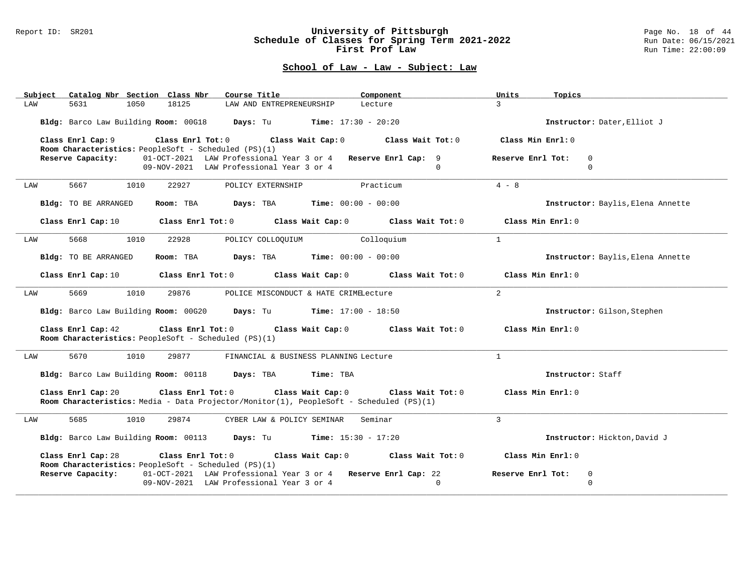#### Report ID: SR201 **University of Pittsburgh** Page No. 18 of 44 **Schedule of Classes for Spring Term 2021-2022** Run Date: 06/15/2021 **First Prof Law Run Time: 22:00:09** Run Time: 22:00:09

|     | Subject Catalog Nbr Section Class Nbr |      |                         | Course Title                                                                                                                   | Component         |                   | Units<br>Topics   |                                   |
|-----|---------------------------------------|------|-------------------------|--------------------------------------------------------------------------------------------------------------------------------|-------------------|-------------------|-------------------|-----------------------------------|
| LAW | 5631                                  | 1050 | 18125                   | LAW AND ENTREPRENEURSHIP                                                                                                       | Lecture           |                   | $\overline{3}$    |                                   |
|     |                                       |      |                         | Bldg: Barco Law Building Room: 00G18 Days: Tu Time: 17:30 - 20:20                                                              |                   |                   |                   | Instructor: Dater, Elliot J       |
|     | Class Enrl Cap: 9                     |      | Class Enrl Tot: $0$     | Class Wait Cap: 0<br>Room Characteristics: PeopleSoft - Scheduled (PS)(1)                                                      | Class Wait Tot: 0 |                   | Class Min Enrl: 0 |                                   |
|     | Reserve Capacity:                     |      |                         | 01-OCT-2021 LAW Professional Year 3 or 4 Reserve Enrl Cap: 9<br>09-NOV-2021 LAW Professional Year 3 or 4                       |                   | $\Omega$          | Reserve Enrl Tot: | $\mathbf 0$<br>$\Omega$           |
| LAW | 5667                                  | 1010 | 22927                   | POLICY EXTERNSHIP                                                                                                              | Practicum         |                   | $4 - 8$           |                                   |
|     | Bldg: TO BE ARRANGED                  |      | Room: TBA               | <b>Days:</b> TBA <b>Time:</b> $00:00 - 00:00$                                                                                  |                   |                   |                   | Instructor: Baylis, Elena Annette |
|     |                                       |      |                         | Class Enrl Cap: $10$ Class Enrl Tot: 0 Class Wait Cap: 0                                                                       |                   | Class Wait Tot: 0 | Class Min Enrl: 0 |                                   |
| LAW | 5668                                  | 1010 | 22928                   | POLICY COLLOQUIUM                                                                                                              | Colloquium        |                   | $\mathbf{1}$      |                                   |
|     | Bldg: TO BE ARRANGED                  |      |                         | Room: TBA $Days:$ TBA $Time: 00:00 - 00:00$                                                                                    |                   |                   |                   | Instructor: Baylis, Elena Annette |
|     | Class Enrl Cap: 10                    |      | $Class$ $Enr1$ $Tot: 0$ | Class Wait Cap: 0                                                                                                              |                   | Class Wait Tot: 0 | Class Min Enrl: 0 |                                   |
| LAW | 5669                                  | 1010 | 29876                   | POLICE MISCONDUCT & HATE CRIMELecture                                                                                          |                   |                   | $\overline{a}$    |                                   |
|     |                                       |      |                         | Bldg: Barco Law Building Room: 00G20 Days: Tu Time: 17:00 - 18:50                                                              |                   |                   |                   | Instructor: Gilson, Stephen       |
|     | Class Enrl Cap: 42                    |      |                         | Class Enrl Tot: 0 Class Wait Cap: 0 Class Wait Tot: 0<br>Room Characteristics: PeopleSoft - Scheduled (PS)(1)                  |                   |                   | Class Min Enrl: 0 |                                   |
| LAW | 5670                                  | 1010 | 29877                   | FINANCIAL & BUSINESS PLANNING Lecture                                                                                          |                   |                   | $\mathbf{1}$      |                                   |
|     |                                       |      |                         | Bldg: Barco Law Building Room: 00118 Days: TBA<br>Time: TBA                                                                    |                   |                   |                   | Instructor: Staff                 |
|     | Class Enrl Cap: 20                    |      |                         | Class Enrl Tot: 0 Class Wait Cap: 0<br>Room Characteristics: Media - Data Projector/Monitor(1), PeopleSoft - Scheduled (PS)(1) |                   | Class Wait Tot: 0 | Class Min Enrl: 0 |                                   |
| LAW | 5685                                  | 1010 | 29874                   | CYBER LAW & POLICY SEMINAR                                                                                                     | Seminar           |                   | 3                 |                                   |
|     |                                       |      |                         | Bldg: Barco Law Building Room: 00113 Days: Tu Time: 15:30 - 17:20                                                              |                   |                   |                   | Instructor: Hickton, David J      |
|     | Class Enrl Cap: 28                    |      | Class Enrl Tot: 0       | Class Wait Cap: 0<br>Room Characteristics: PeopleSoft - Scheduled (PS)(1)                                                      | Class Wait Tot: 0 |                   | Class Min Enrl: 0 |                                   |
|     | Reserve Capacity:                     |      |                         | 01-OCT-2021 LAW Professional Year 3 or 4 Reserve Enrl Cap: 22<br>09-NOV-2021 LAW Professional Year 3 or 4                      |                   | $\Omega$          | Reserve Enrl Tot: | 0<br>$\Omega$                     |
|     |                                       |      |                         |                                                                                                                                |                   |                   |                   |                                   |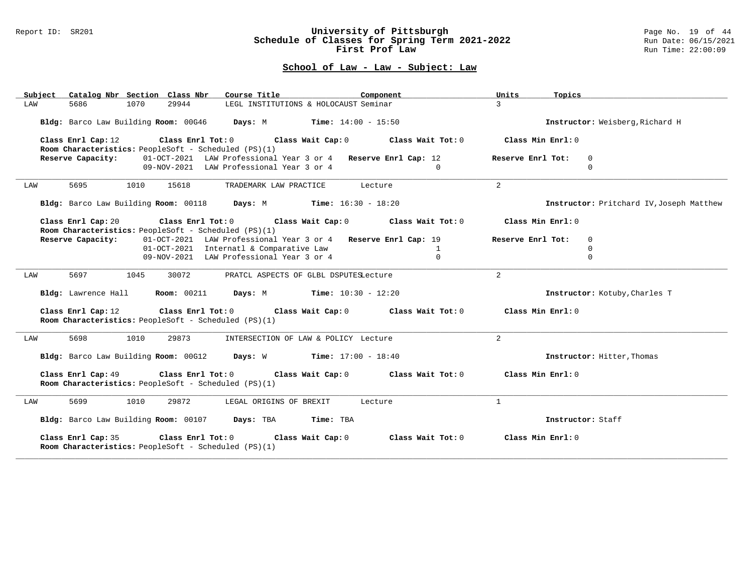#### Report ID: SR201 **University of Pittsburgh** Page No. 19 of 44 **Schedule of Classes for Spring Term 2021-2022** Run Date: 06/15/2021 **First Prof Law Run Time: 22:00:09** Run Time: 22:00:09

|     | Subject Catalog Nbr Section Class Nbr |      |       | Course Title                                                                                    |           | Component                                                                       | Units             | Topics                          |                                          |  |
|-----|---------------------------------------|------|-------|-------------------------------------------------------------------------------------------------|-----------|---------------------------------------------------------------------------------|-------------------|---------------------------------|------------------------------------------|--|
| LAW | 5686                                  | 1070 | 29944 | LEGL INSTITUTIONS & HOLOCAUST Seminar                                                           |           |                                                                                 | $\mathcal{L}$     |                                 |                                          |  |
|     |                                       |      |       | Bldg: Barco Law Building Room: 00G46 Days: M Time: 14:00 - 15:50                                |           |                                                                                 |                   | Instructor: Weisberg, Richard H |                                          |  |
|     | Class Enrl Cap: 12                    |      |       | Room Characteristics: PeopleSoft - Scheduled (PS)(1)                                            |           | Class Enrl Tot: $0$ Class Wait Cap: $0$ Class Wait Tot: $0$                     |                   | Class Min Enrl: $0$             |                                          |  |
|     | Reserve Capacity:                     |      |       | 01-OCT-2021 LAW Professional Year 3 or 4 Reserve Enrl Cap: 12                                   |           |                                                                                 | Reserve Enrl Tot: | 0                               |                                          |  |
|     |                                       |      |       | 09-NOV-2021 LAW Professional Year 3 or 4                                                        |           | $\Omega$                                                                        |                   | $\Omega$                        |                                          |  |
| LAW |                                       | 1010 | 15618 | TRADEMARK LAW PRACTICE                                                                          | Lecture   |                                                                                 | 2                 |                                 |                                          |  |
|     |                                       |      |       | Bldg: Barco Law Building Room: 00118 Days: M Time: 16:30 - 18:20                                |           |                                                                                 |                   |                                 | Instructor: Pritchard IV, Joseph Matthew |  |
|     |                                       |      |       | Room Characteristics: PeopleSoft - Scheduled (PS)(1)                                            |           | Class Enrl Cap: 20 Class Enrl Tot: 0 Class Wait Cap: 0 Class Wait Tot: 0        |                   | Class Min Enrl: 0               |                                          |  |
|     | Reserve Capacity:                     |      |       | 01-OCT-2021 LAW Professional Year 3 or 4 Reserve Enrl Cap: 19                                   |           |                                                                                 | Reserve Enrl Tot: | $\mathbf 0$                     |                                          |  |
|     |                                       |      |       | 01-OCT-2021 Internatl & Comparative Law                                                         |           | $\mathbf{1}$                                                                    |                   | $\mathbf 0$                     |                                          |  |
|     |                                       |      |       | 09-NOV-2021 LAW Professional Year 3 or 4                                                        |           | $\Omega$                                                                        |                   | $\Omega$                        |                                          |  |
|     |                                       |      |       |                                                                                                 |           |                                                                                 |                   |                                 |                                          |  |
| LAW | 5697                                  | 1045 | 30072 | PRATCL ASPECTS OF GLBL DSPUTESLecture                                                           |           |                                                                                 | 2                 |                                 |                                          |  |
|     |                                       |      |       | Bldg: Lawrence Hall Room: 00211 Days: M Time: 10:30 - 12:20                                     |           |                                                                                 |                   |                                 | Instructor: Kotuby, Charles T            |  |
|     | Class Enrl Cap: 12                    |      |       | Room Characteristics: PeopleSoft - Scheduled (PS)(1)                                            |           | Class Enrl Tot: $0$ Class Wait Cap: $0$ Class Wait Tot: $0$                     |                   | Class Min Enrl: 0               |                                          |  |
| LAW | 5698                                  | 1010 | 29873 | INTERSECTION OF LAW & POLICY Lecture                                                            |           |                                                                                 | 2                 |                                 |                                          |  |
|     |                                       |      |       | Bldg: Barco Law Building Room: 00G12 Days: W Time: 17:00 - 18:40                                |           |                                                                                 |                   |                                 | Instructor: Hitter, Thomas               |  |
|     | Class Enrl Cap: 49                    |      |       | Room Characteristics: PeopleSoft - Scheduled (PS)(1)                                            |           | Class Enrl Tot: $0$ Class Wait Cap: $0$ Class Wait Tot: $0$ Class Min Enrl: $0$ |                   |                                 |                                          |  |
| LAW | 5699                                  | 1010 | 29872 | LEGAL ORIGINS OF BREXIT                                                                         |           | Lecture                                                                         | $\mathbf{1}$      |                                 |                                          |  |
|     |                                       |      |       | Bldg: Barco Law Building Room: 00107 Days: TBA                                                  | Time: TBA |                                                                                 |                   | Instructor: Staff               |                                          |  |
|     | Class Enrl Cap: 35                    |      |       | Class Enrl Tot: $0$ Class Wait Cap: $0$<br>Room Characteristics: PeopleSoft - Scheduled (PS)(1) |           | Class Wait Tot: 0                                                               |                   | Class Min Enrl: 0               |                                          |  |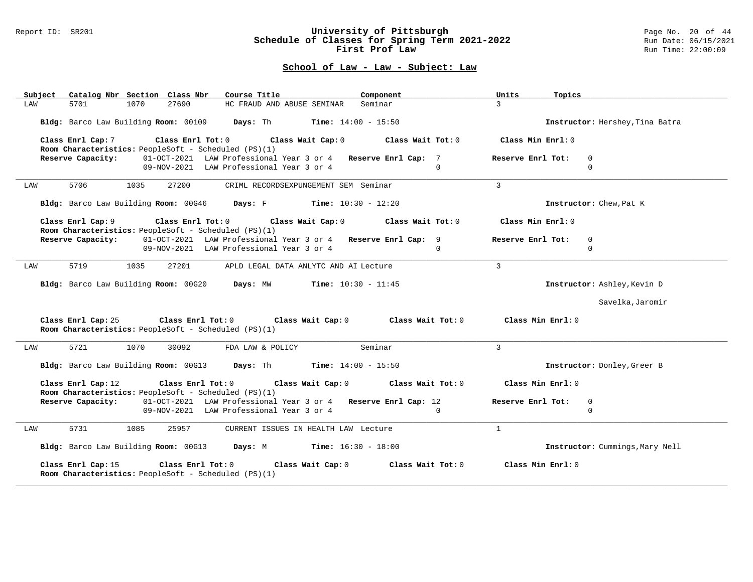#### Report ID: SR201 **University of Pittsburgh** Page No. 20 of 44 **Schedule of Classes for Spring Term 2021-2022** Run Date: 06/15/2021 **First Prof Law Run Time: 22:00:09** Run Time: 22:00:09

| Subject Catalog Nbr Section Class Nbr                                                           | Component<br>Course Title                                                                                            | Units<br>Topics                  |
|-------------------------------------------------------------------------------------------------|----------------------------------------------------------------------------------------------------------------------|----------------------------------|
| 27690<br>LAW<br>5701<br>1070                                                                    | HC FRAUD AND ABUSE SEMINAR Seminar                                                                                   | $\mathcal{R}$                    |
|                                                                                                 | Bldg: Barco Law Building Room: 00109 Days: Th Time: 14:00 - 15:50                                                    | Instructor: Hershey, Tina Batra  |
| Class Enrl Cap: 7<br>Room Characteristics: PeopleSoft - Scheduled (PS)(1)                       | Class Enrl Tot: $0$ Class Wait Cap: $0$ Class Wait Tot: $0$                                                          | Class Min Enrl: 0                |
| Reserve Capacity:                                                                               | 01-OCT-2021 LAW Professional Year 3 or 4 Reserve Enrl Cap: 7<br>09-NOV-2021 LAW Professional Year 3 or 4<br>$\Omega$ | Reserve Enrl Tot:<br>0<br>0      |
| 5706<br>1035<br>27200<br>LAW                                                                    | CRIML RECORDSEXPUNGEMENT SEM Seminar                                                                                 | 3                                |
|                                                                                                 | Bldg: Barco Law Building Room: 00G46 Days: F Time: 10:30 - 12:20                                                     | Instructor: Chew, Pat K          |
| Room Characteristics: PeopleSoft - Scheduled (PS)(1)                                            | Class Enrl Cap: 9 Class Enrl Tot: 0 Class Wait Cap: 0 Class Wait Tot: 0                                              | Class Min Enrl: 0                |
| Reserve Capacity:                                                                               | 01-OCT-2021 LAW Professional Year 3 or 4 Reserve Enrl Cap: 9                                                         | Reserve Enrl Tot:<br>$\mathbf 0$ |
|                                                                                                 | 09-NOV-2021 LAW Professional Year 3 or 4<br>$\Omega$                                                                 | $\Omega$                         |
| 5719<br>1035<br>27201<br>LAW                                                                    | APLD LEGAL DATA ANLYTC AND AI Lecture                                                                                | $\overline{3}$                   |
|                                                                                                 | Bldg: Barco Law Building Room: 00G20 Days: MW Time: 10:30 - 11:45                                                    | Instructor: Ashley, Kevin D      |
|                                                                                                 |                                                                                                                      | Savelka, Jaromir                 |
| Class Enrl Cap: 25<br>Room Characteristics: PeopleSoft - Scheduled (PS)(1)                      | Class Enrl Tot: $0$ Class Wait Cap: $0$ Class Wait Tot: $0$ Class Min Enrl: $0$                                      |                                  |
| 5721<br>1070<br>LAW<br>30092                                                                    | Seminar<br>FDA LAW & POLICY                                                                                          | $\overline{3}$                   |
|                                                                                                 | Bldg: Barco Law Building Room: 00G13 Days: Th Time: 14:00 - 15:50                                                    | Instructor: Donley, Greer B      |
| Class Enrl Cap: 12<br>Room Characteristics: PeopleSoft - Scheduled (PS)(1)                      | Class Enrl Tot: $0$ Class Wait Cap: $0$ Class Wait Tot: $0$                                                          | Class Min Enrl: 0                |
| Reserve Capacity:                                                                               | 01-OCT-2021 LAW Professional Year 3 or 4 Reserve Enrl Cap: 12                                                        | Reserve Enrl Tot:<br>0           |
|                                                                                                 | 09-NOV-2021 LAW Professional Year 3 or 4<br>$\Omega$                                                                 | $\Omega$                         |
| 5731<br>1085<br>LAW<br>25957                                                                    | CURRENT ISSUES IN HEALTH LAW Lecture                                                                                 | $\mathbf{1}$                     |
|                                                                                                 | Bldg: Barco Law Building Room: 00G13 Days: M Time: 16:30 - 18:00                                                     | Instructor: Cummings, Mary Nell  |
| Class Enrl Cap: 15<br>Class Enrl Tot: 0<br>Room Characteristics: PeopleSoft - Scheduled (PS)(1) | Class Wait Cap: 0<br>Class Wait Tot: 0                                                                               | Class Min Enrl: 0                |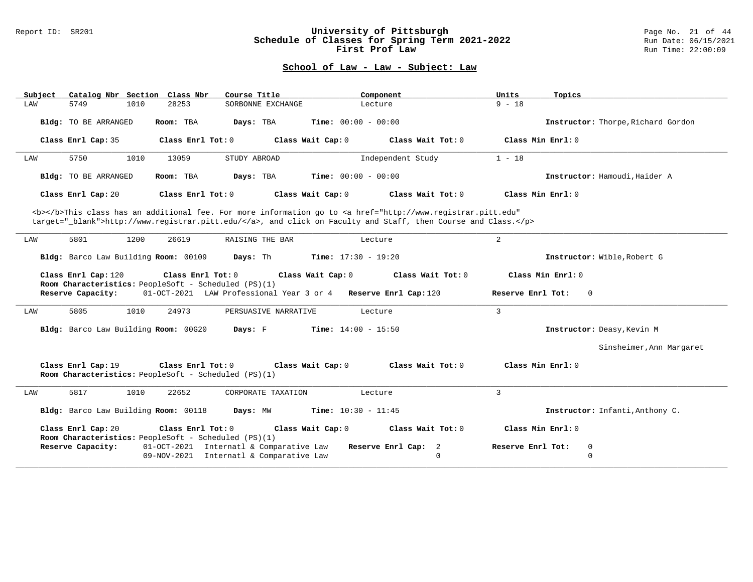#### Report ID: SR201 **University of Pittsburgh** Page No. 21 of 44 **Schedule of Classes for Spring Term 2021-2022** Run Date: 06/15/2021 **First Prof Law Run Time: 22:00:09** Run Time: 22:00:09

| Catalog Nbr Section Class Nbr<br>Subject                                                                                                                                                                                           | Course Title                                                  | Component                 | Units<br>Topics                     |  |  |  |  |  |  |  |
|------------------------------------------------------------------------------------------------------------------------------------------------------------------------------------------------------------------------------------|---------------------------------------------------------------|---------------------------|-------------------------------------|--|--|--|--|--|--|--|
| LAW<br>5749<br>1010                                                                                                                                                                                                                | SORBONNE EXCHANGE<br>28253                                    | Lecture                   | $9 - 18$                            |  |  |  |  |  |  |  |
| <b>Bldg:</b> TO BE ARRANGED                                                                                                                                                                                                        | Room: TBA<br>Days: TBA<br><b>Time:</b> $00:00 - 00:00$        |                           | Instructor: Thorpe, Richard Gordon  |  |  |  |  |  |  |  |
| Class Enrl Cap: 35                                                                                                                                                                                                                 | Class Wait Cap: 0<br>Class $Enr1 Tot: 0$                      | Class Wait $Tot: 0$       | Class Min Enrl: 0                   |  |  |  |  |  |  |  |
| 5750<br>1010<br>LAW                                                                                                                                                                                                                | 13059<br>STUDY ABROAD                                         | Independent Study         | $1 - 18$                            |  |  |  |  |  |  |  |
| Bldg: TO BE ARRANGED                                                                                                                                                                                                               | <b>Time:</b> $00:00 - 00:00$<br>Room: TBA<br>Days: TBA        |                           | Instructor: Hamoudi, Haider A       |  |  |  |  |  |  |  |
| Class Enrl Cap: 20                                                                                                                                                                                                                 | Class Enrl Tot: 0<br>Class Wait Cap: 0                        | Class Wait Tot: 0         | Class Min Enrl: 0                   |  |  |  |  |  |  |  |
| <b></b> This class has an additional fee. For more information go to <a <br="" href="http://www.registrar.pitt.edu">target=" blank"&gt;http://www.registrar.pitt.edu/</a> , and click on Faculty and Staff, then Course and Class. |                                                               |                           |                                     |  |  |  |  |  |  |  |
| 5801<br>1200<br>LAW                                                                                                                                                                                                                | 26619<br>RAISING THE BAR                                      | $\overline{2}$<br>Lecture |                                     |  |  |  |  |  |  |  |
| Bldg: Barco Law Building Room: 00109                                                                                                                                                                                               | Days: Th<br><b>Time:</b> $17:30 - 19:20$                      |                           | Instructor: Wible, Robert G         |  |  |  |  |  |  |  |
| Class Min Enrl: 0<br>Class Enrl Cap: 120<br>Class Enrl Tot: 0<br>Class Wait Cap: 0<br>Class Wait Tot: 0<br>Room Characteristics: PeopleSoft - Scheduled (PS)(1)                                                                    |                                                               |                           |                                     |  |  |  |  |  |  |  |
| Reserve Capacity:                                                                                                                                                                                                                  | 01-OCT-2021 LAW Professional Year 3 or 4 Reserve Enrl Cap:120 |                           | Reserve Enrl Tot:<br>$\overline{0}$ |  |  |  |  |  |  |  |
| 5805<br>1010<br>LAW                                                                                                                                                                                                                | 24973<br>PERSUASIVE NARRATIVE                                 | $\overline{3}$<br>Lecture |                                     |  |  |  |  |  |  |  |
| Bldg: Barco Law Building Room: 00G20                                                                                                                                                                                               | Days: F<br><b>Time:</b> $14:00 - 15:50$                       |                           | Instructor: Deasy, Kevin M          |  |  |  |  |  |  |  |
|                                                                                                                                                                                                                                    |                                                               |                           | Sinsheimer, Ann Margaret            |  |  |  |  |  |  |  |
| Class Enrl Cap: 19<br>Room Characteristics: PeopleSoft - Scheduled (PS)(1)                                                                                                                                                         | Class Wait Cap: 0<br>Class Enrl Tot: 0                        | Class Wait Tot: 0         | Class Min Enrl: 0                   |  |  |  |  |  |  |  |
| 5817<br>1010<br>LAW                                                                                                                                                                                                                | 22652<br>CORPORATE TAXATION                                   | $\overline{3}$<br>Lecture |                                     |  |  |  |  |  |  |  |
| Bldg: Barco Law Building Room: 00118                                                                                                                                                                                               | Days: MW<br><b>Time:</b> $10:30 - 11:45$                      |                           | Instructor: Infanti, Anthony C.     |  |  |  |  |  |  |  |
| Class Enrl Cap: 20<br>Room Characteristics: PeopleSoft - Scheduled (PS)(1)                                                                                                                                                         | Class Enrl Tot: $0$<br>Class Wait Cap: 0                      | Class Wait $Tot: 0$       | Class Min Enrl: 0                   |  |  |  |  |  |  |  |
| Reserve Capacity:                                                                                                                                                                                                                  | 01-OCT-2021 Internatl & Comparative Law                       | Reserve Enrl Cap: 2       | Reserve Enrl Tot:<br>0              |  |  |  |  |  |  |  |
|                                                                                                                                                                                                                                    | 09-NOV-2021 Internatl & Comparative Law                       | $\mathbf 0$               | $\mathbf 0$                         |  |  |  |  |  |  |  |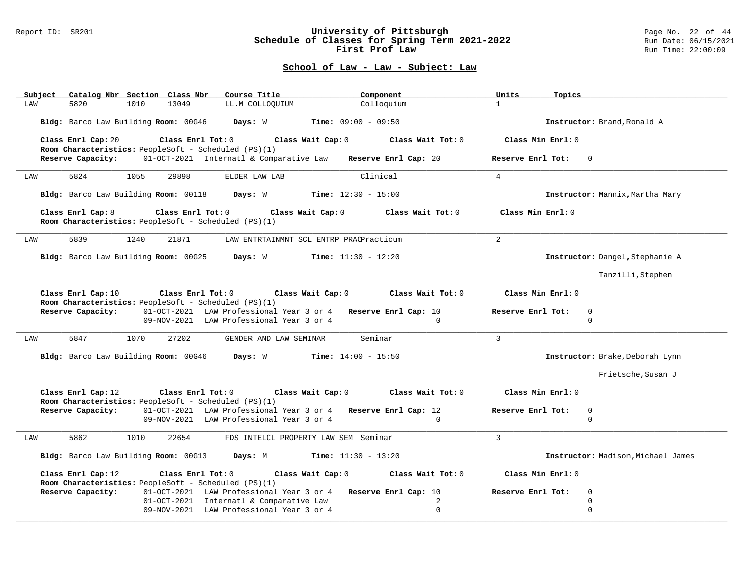#### Report ID: SR201 **University of Pittsburgh** Page No. 22 of 44 **Schedule of Classes for Spring Term 2021-2022** Run Date: 06/15/2021 **First Prof Law Run Time: 22:00:09** Run Time: 22:00:09

| Subject | Catalog Nbr Section Class Nbr                |      |                         | Course Title                                                                                                          |                                      | Component         | Units<br>Topics     |                                    |
|---------|----------------------------------------------|------|-------------------------|-----------------------------------------------------------------------------------------------------------------------|--------------------------------------|-------------------|---------------------|------------------------------------|
| LAW     | 5820                                         | 1010 | 13049                   | LL.M COLLOQUIUM                                                                                                       |                                      | Colloquium        | $\mathbf{1}$        |                                    |
|         | Bldg: Barco Law Building Room: 00G46         |      |                         | Days: W                                                                                                               | <b>Time:</b> $09:00 - 09:50$         |                   |                     | Instructor: Brand, Ronald A        |
|         | Class Enrl Cap: 20                           |      | Class Enrl Tot: 0       | Room Characteristics: PeopleSoft - Scheduled (PS)(1)                                                                  | Class Wait Cap: 0                    | Class Wait Tot: 0 | Class Min Enrl: 0   |                                    |
|         | Reserve Capacity:                            |      |                         | 01-OCT-2021 Internatl & Comparative Law Reserve Enrl Cap: 20                                                          |                                      |                   | Reserve Enrl Tot: 0 |                                    |
| LAW     | 5824                                         | 1055 | 29898                   | ELDER LAW LAB                                                                                                         |                                      | Clinical          | $\overline{4}$      |                                    |
|         | Bldg: Barco Law Building Room: 00118 Days: W |      |                         |                                                                                                                       | $Time: 12:30 - 15:00$                |                   |                     | Instructor: Mannix, Martha Mary    |
|         | Class Enrl Cap: 8                            |      | $Class$ $Enr1$ $Tot: 0$ | Room Characteristics: PeopleSoft - Scheduled (PS)(1)                                                                  | Class Wait Cap: 0                    | Class Wait Tot: 0 | Class Min Enrl: 0   |                                    |
| LAW     | 5839                                         | 1240 | 21871                   | LAW ENTRTAINMNT SCL ENTRP PRACPracticum                                                                               |                                      |                   | $\overline{a}$      |                                    |
|         | Bldg: Barco Law Building Room: 00G25 Days: W |      |                         |                                                                                                                       | $Time: 11:30 - 12:20$                |                   |                     | Instructor: Dangel, Stephanie A    |
|         |                                              |      |                         |                                                                                                                       |                                      |                   |                     | Tanzilli, Stephen                  |
|         | Class Enrl Cap: 10                           |      | Class Enrl Tot: 0       | Class Wait Cap: 0<br>Room Characteristics: PeopleSoft - Scheduled (PS)(1)                                             |                                      | Class Wait Tot: 0 | Class Min Enrl: 0   |                                    |
|         | Reserve Capacity:                            |      |                         | 01-OCT-2021 LAW Professional Year 3 or 4 Reserve Enrl Cap: 10<br>09-NOV-2021 LAW Professional Year 3 or 4             |                                      | $\Omega$          | Reserve Enrl Tot:   | $\Omega$<br>$\Omega$               |
| LAW     | 5847                                         | 1070 | 27202                   | GENDER AND LAW SEMINAR                                                                                                |                                      | Seminar           | $\mathcal{L}$       |                                    |
|         | Bldg: Barco Law Building Room: 00G46 Days: W |      |                         |                                                                                                                       | $Time: 14:00 - 15:50$                |                   |                     | Instructor: Brake, Deborah Lynn    |
|         |                                              |      |                         |                                                                                                                       |                                      |                   |                     |                                    |
|         |                                              |      |                         |                                                                                                                       |                                      |                   |                     | Frietsche, Susan J                 |
|         | Class Enrl Cap: 12                           |      | Class Enrl Tot: 0       |                                                                                                                       | Class Wait Cap: 0                    | Class Wait Tot: 0 | Class Min Enrl: 0   |                                    |
|         | Reserve Capacity:                            |      |                         | Room Characteristics: PeopleSoft - Scheduled (PS)(1)<br>01-OCT-2021 LAW Professional Year 3 or 4 Reserve Enrl Cap: 12 |                                      |                   | Reserve Enrl Tot:   | $\mathbf 0$                        |
|         |                                              |      |                         | 09-NOV-2021 LAW Professional Year 3 or 4                                                                              |                                      | $\Omega$          |                     | $\Omega$                           |
| LAW     | 5862                                         | 1010 | 22654                   |                                                                                                                       | FDS INTELCL PROPERTY LAW SEM Seminar |                   | $\overline{3}$      |                                    |
|         | Bldg: Barco Law Building Room: 00G13         |      |                         | Days: M                                                                                                               | <b>Time:</b> $11:30 - 13:20$         |                   |                     | Instructor: Madison, Michael James |
|         | Class Enrl Cap: 12                           |      | Class Enrl Tot: 0       |                                                                                                                       | Class Wait Cap: 0                    | Class Wait Tot: 0 | Class Min Enrl: 0   |                                    |
|         | Reserve Capacity:                            |      |                         | Room Characteristics: PeopleSoft - Scheduled (PS)(1)<br>01-OCT-2021 LAW Professional Year 3 or 4 Reserve Enrl Cap: 10 |                                      |                   | Reserve Enrl Tot:   | $\mathbf 0$                        |
|         |                                              |      |                         | 01-OCT-2021 Internatl & Comparative Law                                                                               |                                      | 2                 |                     | $\mathbf 0$                        |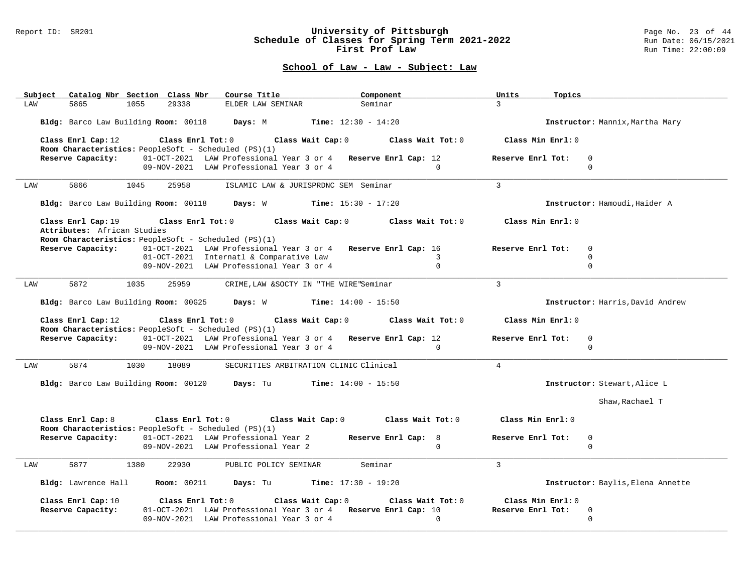#### Report ID: SR201 **University of Pittsburgh** Page No. 23 of 44 **Schedule of Classes for Spring Term 2021-2022** Run Date: 06/15/2021 **First Prof Law Run Time: 22:00:09** Run Time: 22:00:09

| Subject Catalog Nbr Section Class Nbr<br>Course Title                                                                                      | Component                       | Units<br>Topics      |                                   |
|--------------------------------------------------------------------------------------------------------------------------------------------|---------------------------------|----------------------|-----------------------------------|
| 5865<br>1055<br>29338<br>LAW<br>ELDER LAW SEMINAR                                                                                          | Seminar                         | $\mathcal{R}$        |                                   |
| Bldg: Barco Law Building Room: 00118 Days: M                                                                                               | <b>Time:</b> $12:30 - 14:20$    |                      | Instructor: Mannix, Martha Mary   |
| Class Enrl Cap: 12 (class Enrl Tot: 0 (class Wait Cap: 0 (class Wait Tot: 0 $\sim$<br>Room Characteristics: PeopleSoft - Scheduled (PS)(1) |                                 | Class Min Enrl: 0    |                                   |
| Reserve Capacity: 01-OCT-2021 LAW Professional Year 3 or 4 Reserve Enrl Cap: 12                                                            |                                 | Reserve Enrl Tot:    | $\mathbf 0$                       |
| 09-NOV-2021 LAW Professional Year 3 or 4                                                                                                   | $\Omega$                        |                      | $\Omega$                          |
| 5866<br>1045<br>25958<br>ISLAMIC LAW & JURISPRDNC SEM Seminar<br>LAW                                                                       |                                 | $\overline{3}$       |                                   |
| Bldg: Barco Law Building Room: 00118 Days: W Time: 15:30 - 17:20                                                                           |                                 |                      | Instructor: Hamoudi, Haider A     |
| Class Enrl Tot: 0 Class Wait Cap: 0<br>Class Enrl Cap: 19                                                                                  | Class Wait Tot: 0               | Class Min Enrl: 0    |                                   |
| Attributes: African Studies<br>Room Characteristics: PeopleSoft - Scheduled (PS)(1)                                                        |                                 |                      |                                   |
| 01-OCT-2021 LAW Professional Year 3 or 4 Reserve Enrl Cap: 16<br>Reserve Capacity:                                                         |                                 | Reserve Enrl Tot:    | $\mathbf 0$                       |
| 01-OCT-2021 Internatl & Comparative Law                                                                                                    | 3                               |                      | $\Omega$                          |
| 09-NOV-2021 LAW Professional Year 3 or 4                                                                                                   | $\Omega$                        |                      | $\Omega$                          |
| 5872<br>1035<br>25959<br>CRIME, LAW & SOCTY IN "THE WIRE"Seminar<br>LAW                                                                    |                                 | $\mathcal{L}$        |                                   |
| Bldg: Barco Law Building Room: 00G25 Days: W Time: 14:00 - 15:50                                                                           |                                 |                      | Instructor: Harris, David Andrew  |
|                                                                                                                                            |                                 |                      |                                   |
| Class Enrl Cap: 12<br>Class Enrl Tot: 0 Class Wait Cap: 0 Class Wait Tot: 0                                                                |                                 | Class Min Enrl: 0    |                                   |
| Room Characteristics: PeopleSoft - Scheduled (PS)(1)<br>Reserve Capacity: 01-OCT-2021 LAW Professional Year 3 or 4 Reserve Enrl Cap: 12    |                                 | Reserve Enrl Tot:    | $\Omega$                          |
| 09-NOV-2021 LAW Professional Year 3 or 4                                                                                                   | $\Omega$                        |                      | $\mathbf 0$                       |
|                                                                                                                                            |                                 |                      |                                   |
| 5874<br>LAW<br>1030<br>18089<br>SECURITIES ARBITRATION CLINIC Clinical                                                                     |                                 | $\overline{4}$       |                                   |
| Bldg: Barco Law Building Room: 00120 Days: Tu Time: 14:00 - 15:50                                                                          |                                 |                      | Instructor: Stewart, Alice L      |
|                                                                                                                                            |                                 |                      | Shaw, Rachael T                   |
|                                                                                                                                            |                                 | Class Min Enrl: 0    |                                   |
| Class Enrl Cap: 8<br>Class Enrl Tot: $0$ Class Wait Cap: $0$ Class Wait Tot: $0$                                                           |                                 |                      |                                   |
| Room Characteristics: PeopleSoft - Scheduled (PS)(1)                                                                                       |                                 | Reserve Enrl Tot:    | $\mathbf 0$                       |
| Reserve Capacity:<br>01-OCT-2021 LAW Professional Year 2<br>09-NOV-2021 LAW Professional Year 2                                            | Reserve Enrl Cap: 8<br>$\Omega$ |                      | $\Omega$                          |
| 5877<br>1380<br>22930<br>LAW<br>PUBLIC POLICY SEMINAR                                                                                      | Seminar                         | $\overline{3}$       |                                   |
| Bldg: Lawrence Hall<br><b>Room:</b> 00211<br>Days: Tu                                                                                      | <b>Time:</b> $17:30 - 19:20$    |                      | Instructor: Baylis, Elena Annette |
|                                                                                                                                            |                                 |                      |                                   |
| Class Enrl Tot: 0 Class Wait Cap: 0<br>Class Enrl Cap: 10                                                                                  | Class Wait Tot: 0               | $Class Min Ernst: 0$ |                                   |
| Reserve Capacity:<br>01-OCT-2021 LAW Professional Year 3 or 4 Reserve Enrl Cap: 10<br>09-NOV-2021 LAW Professional Year 3 or 4             | $\Omega$                        | Reserve Enrl Tot:    | $\mathbf 0$<br>$\Omega$           |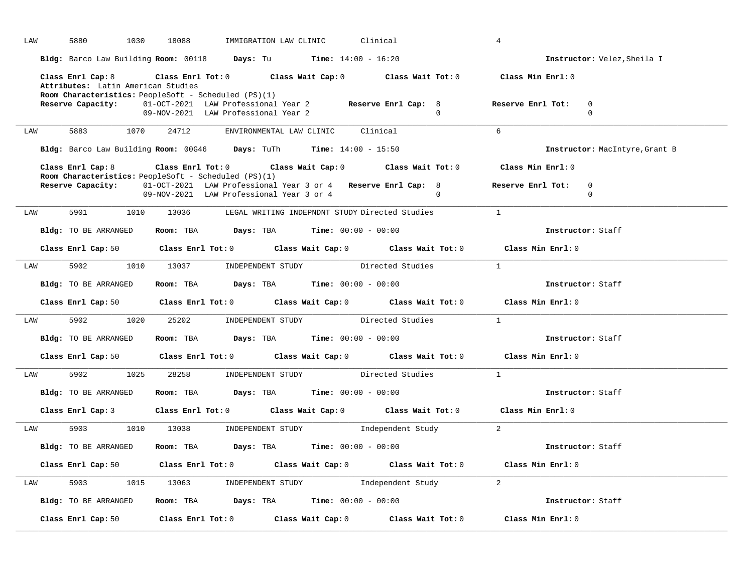| LAW |     | 5880                                                                                                                   | 1030 | 18088                                                                                                    |                                                      | IMMIGRATION LAW CLINIC            | Clinical |                  |                     | $\overline{4}$                                                                                                                 |                                |
|-----|-----|------------------------------------------------------------------------------------------------------------------------|------|----------------------------------------------------------------------------------------------------------|------------------------------------------------------|-----------------------------------|----------|------------------|---------------------|--------------------------------------------------------------------------------------------------------------------------------|--------------------------------|
|     |     | Bldg: Barco Law Building Room: 00118 Days: Tu Time: 14:00 - 16:20                                                      |      |                                                                                                          |                                                      |                                   |          |                  |                     |                                                                                                                                | Instructor: Velez, Sheila I    |
|     |     | Class Enrl Cap: 8<br>Attributes: Latin American Studies<br><b>Room Characteristics:</b> PeopleSoft - Scheduled (PS)(1) |      | Class Enrl Tot: $0$ Class Wait Cap: $0$ Class Wait Tot: $0$                                              |                                                      |                                   |          |                  |                     | Class Min Enrl: 0                                                                                                              |                                |
|     |     | Reserve Capacity: 01-OCT-2021 LAW Professional Year 2 Reserve Enrl Cap: 8                                              |      | 09-NOV-2021 LAW Professional Year 2                                                                      |                                                      |                                   |          |                  | $\cap$              | Reserve Enrl Tot:                                                                                                              | $\Omega$<br>$\Omega$           |
| LAW |     | 5883                                                                                                                   | 1070 | 24712                                                                                                    |                                                      | ENVIRONMENTAL LAW CLINIC Clinical |          |                  |                     | 6                                                                                                                              |                                |
|     |     | Bldg: Barco Law Building Room: 00G46 Days: TuTh Time: 14:00 - 15:50                                                    |      |                                                                                                          |                                                      |                                   |          |                  |                     |                                                                                                                                | Instructor: MacIntyre, Grant B |
|     |     | Class Enrl Cap: 8<br><b>Room Characteristics:</b> PeopleSoft - Scheduled (PS)(1)                                       |      | Class Enrl Tot: $0$ Class Wait Cap: $0$ Class Wait Tot: $0$                                              |                                                      |                                   |          |                  |                     | Class Min Enrl: 0                                                                                                              |                                |
|     |     | Reserve Capacity:                                                                                                      |      | 01-OCT-2021 LAW Professional Year 3 or 4 Reserve Enrl Cap: 8<br>09-NOV-2021 LAW Professional Year 3 or 4 |                                                      |                                   |          |                  | $\Omega$            | Reserve Enrl Tot: 0                                                                                                            | $\mathbf 0$                    |
| LAW |     | 5901                                                                                                                   | 1010 |                                                                                                          | 13036 LEGAL WRITING INDEPNDNT STUDY Directed Studies |                                   |          |                  |                     | $\mathbf{1}$                                                                                                                   |                                |
|     |     | Bldg: TO BE ARRANGED Room: TBA Days: TBA Time: 00:00 - 00:00                                                           |      |                                                                                                          |                                                      |                                   |          |                  |                     |                                                                                                                                | Instructor: Staff              |
|     |     | Class Enrl Cap: 50 Class Enrl Tot: 0 Class Wait Cap: 0 Class Wait Tot: 0                                               |      |                                                                                                          |                                                      |                                   |          |                  |                     | Class Min Enrl: 0                                                                                                              |                                |
|     | LAW | 5902 300                                                                                                               |      | 1010 13037 INDEPENDENT STUDY                                                                             |                                                      |                                   |          | Directed Studies |                     | $\overline{1}$                                                                                                                 |                                |
|     |     | Bldg: TO BE ARRANGED                                                                                                   |      | Room: TBA $Days:$ TBA $Time: 00:00 - 00:00$                                                              |                                                      |                                   |          |                  |                     |                                                                                                                                | Instructor: Staff              |
|     |     | Class Enrl Cap: 50 Class Enrl Tot: 0 Class Wait Cap: 0 Class Wait Tot: 0                                               |      |                                                                                                          |                                                      |                                   |          |                  |                     | Class Min Enrl: 0                                                                                                              |                                |
|     | LAW |                                                                                                                        |      | 5902 1020 25202 INDEPENDENT STUDY Directed Studies                                                       |                                                      |                                   |          |                  |                     | $\overline{1}$                                                                                                                 |                                |
|     |     | Bldg: TO BE ARRANGED                                                                                                   |      | Room: TBA $Days:$ TBA $Time: 00:00 - 00:00$                                                              |                                                      |                                   |          |                  |                     |                                                                                                                                | Instructor: Staff              |
|     |     |                                                                                                                        |      |                                                                                                          |                                                      |                                   |          |                  |                     | Class Enrl Cap: 50 Class Enrl Tot: 0 Class Wait Cap: 0 Class Wait Tot: 0 Class Min Enrl: 0                                     |                                |
|     | LAW |                                                                                                                        |      | 5902 1025 28258 INDEPENDENT STUDY Directed Studies 1                                                     |                                                      |                                   |          |                  |                     |                                                                                                                                |                                |
|     |     | Bldg: TO BE ARRANGED Room: TBA Days: TBA Time: 00:00 - 00:00                                                           |      |                                                                                                          |                                                      |                                   |          |                  |                     |                                                                                                                                | Instructor: Staff              |
|     |     |                                                                                                                        |      |                                                                                                          |                                                      |                                   |          |                  |                     | Class Enrl Cap: 3 class Enrl Tot: 0 class Wait Cap: 0 class Wait Tot: 0 class Min Enrl: 0                                      |                                |
|     | LAW |                                                                                                                        |      | 5903 1010 13038 INDEPENDENT STUDY Independent Study                                                      |                                                      |                                   |          |                  | $\sim$ 2            |                                                                                                                                |                                |
|     |     | Bldg: TO BE ARRANGED                                                                                                   |      | Room: TBA $\rule{1em}{0.15mm}$ Days: TBA Time: $00:00 - 00:00$                                           |                                                      |                                   |          |                  |                     |                                                                                                                                | Instructor: Staff              |
|     |     |                                                                                                                        |      |                                                                                                          |                                                      |                                   |          |                  |                     | Class Enrl Cap: 50 $\qquad$ Class Enrl Tot: 0 $\qquad$ Class Wait Cap: 0 $\qquad$ Class Wait Tot: 0 $\qquad$ Class Min Enrl: 0 |                                |
| LAW |     |                                                                                                                        |      | 5903 1015 13063 INDEPENDENT STUDY Independent Study                                                      |                                                      |                                   |          |                  | $\sim$ 2            |                                                                                                                                |                                |
|     |     | Bldg: TO BE ARRANGED                                                                                                   |      | Room: TBA $Days:$ TBA $Time:$ $00:00 - 00:00$                                                            |                                                      |                                   |          |                  |                     |                                                                                                                                | Instructor: Staff              |
|     |     | Class Enrl Cap: 50                                                                                                     |      | Class Enrl Tot: 0 Class Wait Cap: 0                                                                      |                                                      |                                   |          |                  | Class Wait Tot: $0$ | Class Min Enrl: 0                                                                                                              |                                |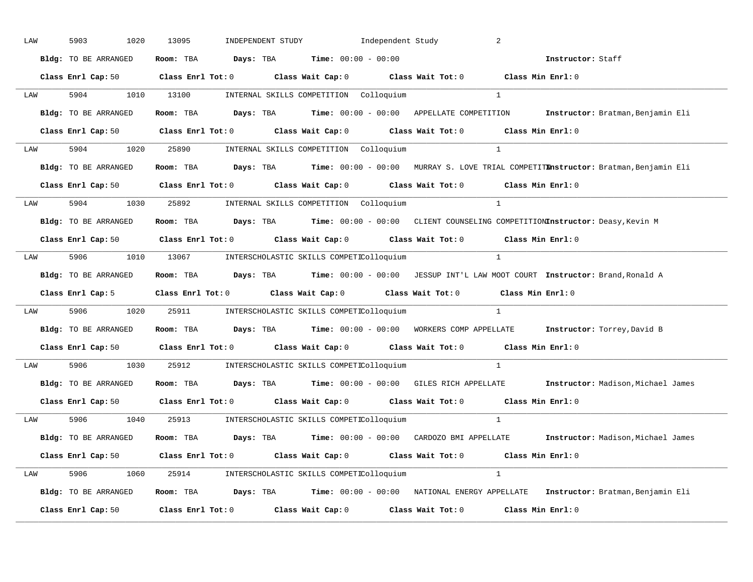| LAW |     | 5903                 | 1020 | 13095 |  | INDEPENDENT STUDY 1ndependent Study                          |                                                                                                                                | 2              |                                                                                                                             |
|-----|-----|----------------------|------|-------|--|--------------------------------------------------------------|--------------------------------------------------------------------------------------------------------------------------------|----------------|-----------------------------------------------------------------------------------------------------------------------------|
|     |     | Bldg: TO BE ARRANGED |      |       |  | Room: TBA $Days:$ TBA $Time: 00:00 - 00:00$                  | Instructor: Staff                                                                                                              |                |                                                                                                                             |
|     |     |                      |      |       |  |                                                              | Class Enrl Cap: 50 $\qquad$ Class Enrl Tot: 0 $\qquad$ Class Wait Cap: 0 $\qquad$ Class Wait Tot: 0 $\qquad$ Class Min Enrl: 0 |                |                                                                                                                             |
|     |     |                      |      |       |  | LAW 5904 1010 13100 INTERNAL SKILLS COMPETITION Colloquium   |                                                                                                                                | $\overline{1}$ |                                                                                                                             |
|     |     | Bldg: TO BE ARRANGED |      |       |  |                                                              |                                                                                                                                |                | Room: TBA Days: TBA Time: 00:00 - 00:00 APPELLATE COMPETITION Instructor: Bratman, Benjamin Eli                             |
|     |     |                      |      |       |  |                                                              | Class Enrl Cap: 50 $\qquad$ Class Enrl Tot: 0 $\qquad$ Class Wait Cap: 0 $\qquad$ Class Wait Tot: 0 $\qquad$ Class Min Enrl: 0 |                |                                                                                                                             |
|     |     |                      |      |       |  |                                                              | LAW 5904 1020 25890 INTERNAL SKILLS COMPETITION Colloquium 1                                                                   |                |                                                                                                                             |
|     |     |                      |      |       |  |                                                              |                                                                                                                                |                | Bldg: TO BE ARRANGED Room: TBA Days: TBA Time: 00:00 - 00:00 MURRAY S. LOVE TRIAL COMPETITEnstructor: Bratman, Benjamin Eli |
|     |     |                      |      |       |  |                                                              | Class Enrl Cap: 50 $\qquad$ Class Enrl Tot: 0 $\qquad$ Class Wait Cap: 0 $\qquad$ Class Wait Tot: 0 $\qquad$ Class Min Enrl: 0 |                |                                                                                                                             |
|     | LAW |                      |      |       |  | 5904 1030 25892 INTERNAL SKILLS COMPETITION Colloquium       | $\sim$ 1                                                                                                                       |                |                                                                                                                             |
|     |     | Bldg: TO BE ARRANGED |      |       |  |                                                              | Room: TBA Days: TBA Time: 00:00 - 00:00 CLIENT COUNSELING COMPETITIONInstructor: Deasy, Kevin M                                |                |                                                                                                                             |
|     |     |                      |      |       |  |                                                              | Class Enrl Cap: 50 $\qquad$ Class Enrl Tot: 0 $\qquad$ Class Wait Cap: 0 $\qquad$ Class Wait Tot: 0 $\qquad$ Class Min Enrl: 0 |                |                                                                                                                             |
|     |     |                      |      |       |  |                                                              | LAW 5906 1010 13067 INTERSCHOLASTIC SKILLS COMPETIColloquium 1                                                                 |                |                                                                                                                             |
|     |     |                      |      |       |  |                                                              |                                                                                                                                |                |                                                                                                                             |
|     |     | Bldg: TO BE ARRANGED |      |       |  |                                                              | Room: TBA Days: TBA Time: 00:00 - 00:00 JESSUP INT'L LAW MOOT COURT Instructor: Brand, Ronald A                                |                |                                                                                                                             |
|     |     |                      |      |       |  |                                                              | Class Enrl Cap: 5 Class Enrl Tot: 0 Class Wait Cap: 0 Class Wait Tot: 0 Class Min Enrl: 0                                      |                |                                                                                                                             |
|     | LAW |                      |      |       |  |                                                              | 5906 1020 25911 INTERSCHOLASTIC SKILLS COMPETIColloquium                                                                       | 1              |                                                                                                                             |
|     |     | Bldg: TO BE ARRANGED |      |       |  |                                                              | Room: TBA Days: TBA Time: 00:00 - 00:00 WORKERS COMP APPELLATE Instructor: Torrey, David B                                     |                |                                                                                                                             |
|     |     |                      |      |       |  |                                                              | Class Enrl Cap: 50 $\qquad$ Class Enrl Tot: 0 $\qquad$ Class Wait Cap: 0 $\qquad$ Class Wait Tot: 0 $\qquad$ Class Min Enrl: 0 |                |                                                                                                                             |
|     | LAW |                      |      |       |  | 5906 1030 25912 INTERSCHOLASTIC SKILLS COMPETIColloquium     |                                                                                                                                |                |                                                                                                                             |
|     |     | Bldg: TO BE ARRANGED |      |       |  |                                                              |                                                                                                                                |                | Room: TBA Days: TBA Time: 00:00 - 00:00 GILES RICH APPELLATE Instructor: Madison, Michael James                             |
|     |     |                      |      |       |  |                                                              | Class Enrl Cap: 50 $\qquad$ Class Enrl Tot: 0 $\qquad$ Class Wait Cap: 0 $\qquad$ Class Wait Tot: 0 $\qquad$ Class Min Enrl: 0 |                |                                                                                                                             |
|     |     |                      |      |       |  | LAW 5906 1040 25913 INTERSCHOLASTIC SKILLS COMPETIColloquium |                                                                                                                                |                |                                                                                                                             |
|     |     |                      |      |       |  |                                                              |                                                                                                                                |                | Bldg: TO BE ARRANGED Room: TBA Days: TBA Time: 00:00 - 00:00 CARDOZO BMI APPELLATE Instructor: Madison, Michael James       |
|     |     |                      |      |       |  |                                                              | Class Enrl Cap: 50 $\qquad$ Class Enrl Tot: 0 $\qquad$ Class Wait Cap: 0 $\qquad$ Class Wait Tot: 0 $\qquad$ Class Min Enrl: 0 |                |                                                                                                                             |
|     |     |                      |      |       |  | LAW 5906 1060 25914 INTERSCHOLASTIC SKILLS COMPETIColloquium |                                                                                                                                |                |                                                                                                                             |
|     |     |                      |      |       |  |                                                              |                                                                                                                                |                | Bldg: TO BE ARRANGED Room: TBA Days: TBA Time: 00:00 - 00:00 NATIONAL ENERGY APPELLATE Instructor: Bratman, Benjamin Eli    |
|     |     |                      |      |       |  |                                                              | Class Enrl Cap: 50 Class Enrl Tot: 0 Class Wait Cap: 0 Class Wait Tot: 0 Class Min Enrl: 0                                     |                |                                                                                                                             |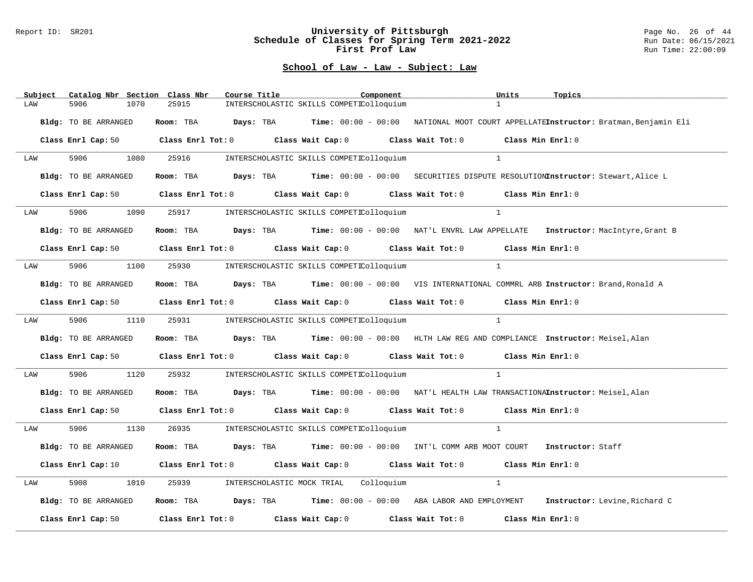#### Report ID: SR201 **University of Pittsburgh** Page No. 26 of 44 **Schedule of Classes for Spring Term 2021-2022** Run Date: 06/15/2021 **First Prof Law Run Time: 22:00:09** Run Time: 22:00:09

| Catalog Nbr Section Class Nbr<br>Subject | Course Title<br>Component<br>Units<br>Topics                                                                                   |
|------------------------------------------|--------------------------------------------------------------------------------------------------------------------------------|
| 5906<br>1070<br>LAW                      | 1<br>25915<br>INTERSCHOLASTIC SKILLS COMPETIColloquium                                                                         |
| Bldg: TO BE ARRANGED                     | Room: TBA Days: TBA Time: 00:00 - 00:00 NATIONAL MOOT COURT APPELLATEInstructor: Bratman, Benjamin Eli                         |
| Class Enrl Cap: 50                       | Class Enrl Tot: $0$ Class Wait Cap: $0$ Class Wait Tot: $0$ Class Min Enrl: $0$                                                |
| 5906<br>LAW                              | 1080<br>25916<br>$\mathbf{1}$<br>INTERSCHOLASTIC SKILLS COMPETIColloquium                                                      |
| Bldg: TO BE ARRANGED                     | Room: TBA Days: TBA Time: $00:00 - 00:00$ SECURITIES DISPUTE RESOLUTIONInstructor: Stewart, Alice L                            |
| Class Enrl Cap: 50                       | Class Enrl Tot: 0 Class Wait Cap: 0 Class Wait Tot: 0<br>Class Min Enrl: 0                                                     |
| 5906<br>1090<br>LAW                      | $\mathbf{1}$<br>25917<br>INTERSCHOLASTIC SKILLS COMPETIColloquium                                                              |
| Bldg: TO BE ARRANGED                     | Room: TBA Days: TBA Time: 00:00 - 00:00 NAT'L ENVRL LAW APPELLATE Instructor: MacIntyre, Grant B                               |
|                                          | Class Enrl Cap: 50 $\qquad$ Class Enrl Tot: 0 $\qquad$ Class Wait Cap: 0 $\qquad$ Class Wait Tot: 0 $\qquad$ Class Min Enrl: 0 |
| 5906<br>LAW                              | 1100<br>25930<br>INTERSCHOLASTIC SKILLS COMPETIColloquium<br>$\mathbf{1}$                                                      |
| Bldg: TO BE ARRANGED                     | Room: TBA Days: TBA Time: 00:00 - 00:00 VIS INTERNATIONAL COMMRL ARB Instructor: Brand, Ronald A                               |
|                                          | Class Enrl Cap: 50 $\qquad$ Class Enrl Tot: 0 $\qquad$ Class Wait Cap: 0 $\qquad$ Class Wait Tot: 0<br>Class Min Enrl: 0       |
| 5906 700<br>LAW                          | $\overline{1}$<br>1110<br>25931<br>INTERSCHOLASTIC SKILLS COMPETIColloquium                                                    |
| Bldg: TO BE ARRANGED                     | Room: TBA Days: TBA Time: 00:00 - 00:00 HLTH LAW REG AND COMPLIANCE Instructor: Meisel, Alan                                   |
|                                          | Class Enrl Cap: 50 $\qquad$ Class Enrl Tot: 0 $\qquad$ Class Wait Cap: 0 $\qquad$ Class Wait Tot: 0 $\qquad$ Class Min Enrl: 0 |
| 5906<br>1120<br>LAW                      | 25932<br>INTERSCHOLASTIC SKILLS COMPETIColloquium<br>$\mathbf{1}$                                                              |
| Bldg: TO BE ARRANGED                     | Room: TBA Days: TBA Time: 00:00 - 00:00 NAT'L HEALTH LAW TRANSACTIONAInstructor: Meisel, Alan                                  |
|                                          | Class Enrl Cap: 50 $\qquad$ Class Enrl Tot: 0 $\qquad$ Class Wait Cap: 0 $\qquad$ Class Wait Tot: 0 $\qquad$ Class Min Enrl: 0 |
| 5906 700<br>LAW                          | 1130<br>26935<br>$\frac{1}{2}$<br>INTERSCHOLASTIC SKILLS COMPETIColloquium                                                     |
| Bldg: TO BE ARRANGED                     | <b>Room:</b> TBA <b>Days:</b> TBA <b>Time:</b> $00:00 - 00:00$ INT'L COMM ARB MOOT COURT<br>Instructor: Staff                  |
| Class Enrl Cap: 10                       | Class Enrl Tot: 0 Class Wait Cap: 0 Class Wait Tot: 0 Class Min Enrl: 0                                                        |
| 5908<br>1010<br>LAW                      | 25939<br>INTERSCHOLASTIC MOCK TRIAL Colloquium<br>$\mathbf{1}$                                                                 |
| Bldg: TO BE ARRANGED                     | Room: TBA Days: TBA Time: 00:00 - 00:00 ABA LABOR AND EMPLOYMENT Instructor: Levine, Richard C                                 |
| Class Enrl Cap: 50                       | Class Enrl Tot: $0$ Class Wait Cap: $0$ Class Wait Tot: $0$<br>Class Min Enrl: 0                                               |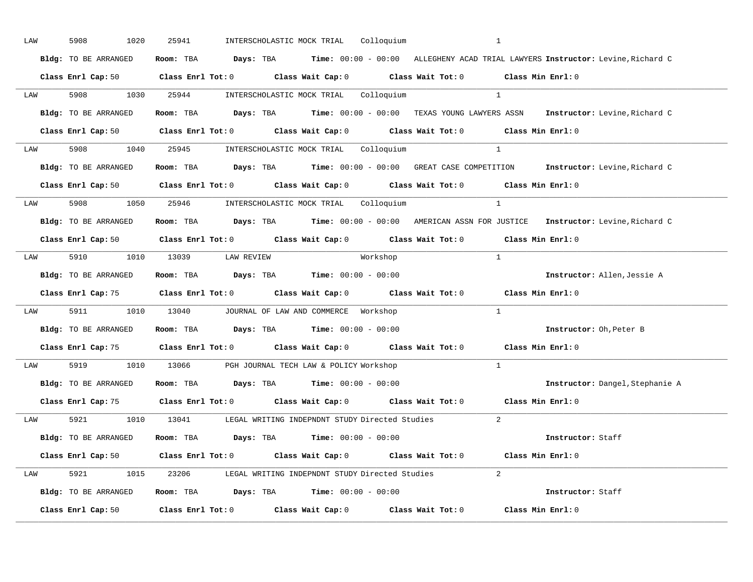| LAW |     | 5908<br>1020                                                                               | 25941 |                                                                | INTERSCHOLASTIC MOCK TRIAL Colloquium |          |                                                                                                                                | <sup>1</sup>   |                                                                                                                   |  |
|-----|-----|--------------------------------------------------------------------------------------------|-------|----------------------------------------------------------------|---------------------------------------|----------|--------------------------------------------------------------------------------------------------------------------------------|----------------|-------------------------------------------------------------------------------------------------------------------|--|
|     |     | Bldg: TO BE ARRANGED                                                                       |       |                                                                |                                       |          |                                                                                                                                |                | Room: TBA Days: TBA Time: 00:00 - 00:00 ALLEGHENY ACAD TRIAL LAWYERS Instructor: Levine, Richard C                |  |
|     |     |                                                                                            |       |                                                                |                                       |          | Class Enrl Cap: 50 $\qquad$ Class Enrl Tot: 0 $\qquad$ Class Wait Cap: 0 $\qquad$ Class Wait Tot: 0 $\qquad$ Class Min Enrl: 0 |                |                                                                                                                   |  |
|     |     | LAW 5908 1030 25944 INTERSCHOLASTIC MOCK TRIAL Colloquium                                  |       |                                                                |                                       |          |                                                                                                                                | $\overline{1}$ |                                                                                                                   |  |
|     |     | Bldg: TO BE ARRANGED                                                                       |       |                                                                |                                       |          |                                                                                                                                |                | Room: TBA Days: TBA Time: 00:00 - 00:00 TEXAS YOUNG LAWYERS ASSN Instructor: Levine, Richard C                    |  |
|     |     |                                                                                            |       |                                                                |                                       |          | Class Enrl Cap: 50 $\qquad$ Class Enrl Tot: 0 $\qquad$ Class Wait Cap: 0 $\qquad$ Class Wait Tot: 0 $\qquad$ Class Min Enrl: 0 |                |                                                                                                                   |  |
|     |     | LAW 5908 1040 25945 INTERSCHOLASTIC MOCK TRIAL Colloquium                                  |       |                                                                |                                       |          |                                                                                                                                | $\overline{1}$ |                                                                                                                   |  |
|     |     |                                                                                            |       |                                                                |                                       |          |                                                                                                                                |                | Bldg: TO BE ARRANGED Room: TBA Days: TBA Time: 00:00 - 00:00 GREAT CASE COMPETITION Instructor: Levine, Richard C |  |
|     |     |                                                                                            |       |                                                                |                                       |          | Class Enrl Cap: 50 $\qquad$ Class Enrl Tot: 0 $\qquad$ Class Wait Cap: 0 $\qquad$ Class Wait Tot: 0 $\qquad$ Class Min Enrl: 0 |                |                                                                                                                   |  |
|     | LAW | 5908 1050 25946 INTERSCHOLASTIC MOCK TRIAL Colloquium                                      |       |                                                                |                                       |          |                                                                                                                                |                |                                                                                                                   |  |
|     |     | Bldg: TO BE ARRANGED                                                                       |       |                                                                |                                       |          |                                                                                                                                |                | Room: TBA Days: TBA Time: 00:00 - 00:00 AMERICAN ASSN FOR JUSTICE Instructor: Levine, Richard C                   |  |
|     |     |                                                                                            |       |                                                                |                                       |          | Class Enrl Cap: 50 Class Enrl Tot: 0 Class Wait Cap: 0 Class Wait Tot: 0 Class Min Enrl: 0                                     |                |                                                                                                                   |  |
|     |     | LAW 5910 1010 13039 LAW REVIEW                                                             |       |                                                                |                                       | Workshop | $\sim$ 1                                                                                                                       |                |                                                                                                                   |  |
|     |     | Bldg: TO BE ARRANGED                                                                       |       | Room: TBA $Days:$ TBA $Time: 00:00 - 00:00$                    |                                       |          |                                                                                                                                |                | Instructor: Allen, Jessie A                                                                                       |  |
|     |     |                                                                                            |       |                                                                |                                       |          |                                                                                                                                |                |                                                                                                                   |  |
|     |     |                                                                                            |       |                                                                |                                       |          | Class Enrl Cap: 75 Class Enrl Tot: 0 Class Wait Cap: 0 Class Wait Tot: 0 Class Min Enrl: 0                                     |                |                                                                                                                   |  |
|     | LAW | 5911 1010 13040 JOURNAL OF LAW AND COMMERCE Workshop                                       |       |                                                                |                                       |          |                                                                                                                                | $\frac{1}{2}$  |                                                                                                                   |  |
|     |     | Bldg: TO BE ARRANGED                                                                       |       | Room: TBA $Days:$ TBA $Time: 00:00 - 00:00$                    |                                       |          |                                                                                                                                |                | Instructor: Oh, Peter B                                                                                           |  |
|     |     |                                                                                            |       |                                                                |                                       |          | Class Enrl Cap: 75 Class Enrl Tot: 0 Class Wait Cap: 0 Class Wait Tot: 0 Class Min Enrl: 0                                     |                |                                                                                                                   |  |
|     | LAW | 5919 1010 13066 PGH JOURNAL TECH LAW & POLICY Workshop                                     |       |                                                                |                                       |          |                                                                                                                                | $\mathbf{1}$   |                                                                                                                   |  |
|     |     | Bldg: TO BE ARRANGED Room: TBA Days: TBA Time: 00:00 - 00:00                               |       |                                                                |                                       |          |                                                                                                                                |                | Instructor: Dangel, Stephanie A                                                                                   |  |
|     |     | Class Enrl Cap: 75                                                                         |       |                                                                |                                       |          | Class Enrl Tot: $0$ Class Wait Cap: $0$ Class Wait Tot: $0$ Class Min Enrl: $0$                                                |                |                                                                                                                   |  |
|     |     |                                                                                            |       |                                                                |                                       |          | LAW 5921 1010 13041 LEGAL WRITING INDEPNDNT STUDY Directed Studies                                                             | 2              |                                                                                                                   |  |
|     |     | Bldg: TO BE ARRANGED                                                                       |       | Room: TBA $\rule{1em}{0.15mm}$ Days: TBA Time: $00:00 - 00:00$ |                                       |          |                                                                                                                                |                | <b>Instructor:</b> Staff                                                                                          |  |
|     |     |                                                                                            |       |                                                                |                                       |          | Class Enrl Cap: 50 $\qquad$ Class Enrl Tot: 0 $\qquad$ Class Wait Cap: 0 $\qquad$ Class Wait Tot: 0 $\qquad$ Class Min Enrl: 0 |                |                                                                                                                   |  |
|     |     |                                                                                            |       |                                                                |                                       |          | LAW 5921 1015 23206 LEGAL WRITING INDEPNDNT STUDY Directed Studies 2                                                           |                |                                                                                                                   |  |
|     |     | <b>Bldg:</b> TO BE ARRANGED <b>ROOM:</b> TBA <b>Days:</b> TBA <b>Time:</b> $00:00 - 00:00$ |       |                                                                |                                       |          |                                                                                                                                |                | Instructor: Staff                                                                                                 |  |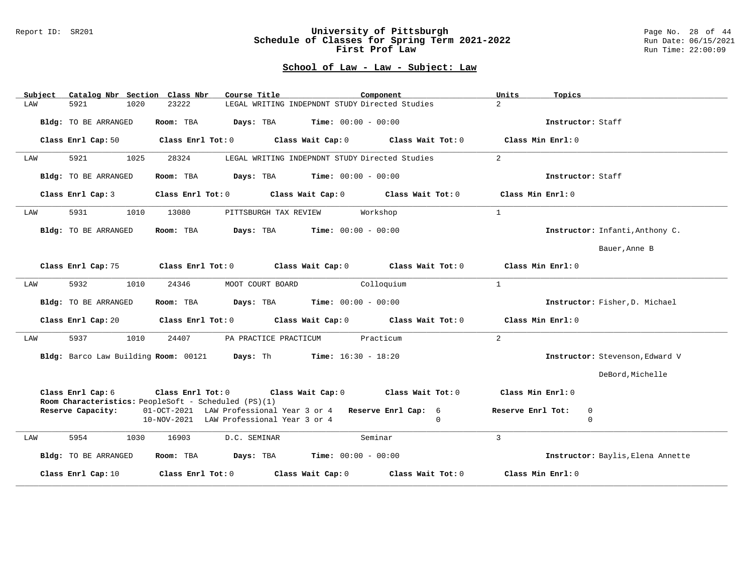#### Report ID: SR201 **University of Pittsburgh** Page No. 28 of 44 **Schedule of Classes for Spring Term 2021-2022** Run Date: 06/15/2021 **First Prof Law Run Time: 22:00:09** Run Time: 22:00:09

| Catalog Nbr Section Class Nbr<br>Subject                                  | Course Title                                                      | Component                  | Units<br>Topics                   |
|---------------------------------------------------------------------------|-------------------------------------------------------------------|----------------------------|-----------------------------------|
| 5921<br>1020<br>LAW                                                       | LEGAL WRITING INDEPNDNT STUDY Directed Studies<br>23222           | $\overline{2}$             |                                   |
| Bldg: TO BE ARRANGED                                                      | <b>Time:</b> $00:00 - 00:00$<br>Room: TBA<br>Days: TBA            |                            | Instructor: Staff                 |
| Class Enrl Cap: 50                                                        | Class Enrl Tot: 0 Class Wait Cap: 0 Class Wait Tot: 0             |                            | Class Min Enrl: 0                 |
| 5921<br>1025<br>LAW                                                       | 28324<br>LEGAL WRITING INDEPNDNT STUDY Directed Studies           | 2                          |                                   |
| Bldg: TO BE ARRANGED                                                      | Room: TBA<br><b>Time:</b> $00:00 - 00:00$<br>Days: TBA            |                            | Instructor: Staff                 |
| Class Enrl Cap: 3                                                         | Class Enrl Tot: 0 Class Wait Cap: 0                               | Class Wait Tot: 0          | Class Min Enrl: 0                 |
| 5931<br>1010<br>LAW                                                       | 13080<br>PITTSBURGH TAX REVIEW                                    | $\mathbf{1}$<br>Workshop   |                                   |
| Bldg: TO BE ARRANGED                                                      | Room: TBA<br>$\texttt{Davis:}$ TBA $\texttt{Time:}$ 00:00 - 00:00 |                            | Instructor: Infanti, Anthony C.   |
|                                                                           |                                                                   |                            | Bauer, Anne B                     |
| Class Enrl Cap: 75                                                        | Class Enrl Tot: 0 Class Wait Cap: 0                               | Class Wait Tot: 0          | Class Min Enrl: 0                 |
| 5932<br>1010<br>LAW                                                       | MOOT COURT BOARD<br>24346                                         | $\mathbf{1}$<br>Colloquium |                                   |
| Bldg: TO BE ARRANGED                                                      | $\texttt{DayS:}$ TBA Time: $00:00 - 00:00$<br>Room: TBA           |                            | Instructor: Fisher, D. Michael    |
| Class Enrl Cap: 20                                                        | Class Enrl Tot: 0 Class Wait Cap: 0 Class Wait Tot: 0             |                            | Class Min Enrl: 0                 |
| 5937<br>1010<br>LAW                                                       | 24407<br>PA PRACTICE PRACTICUM                                    | 2<br>Practicum             |                                   |
|                                                                           | Bldg: Barco Law Building Room: 00121 Days: Th Time: 16:30 - 18:20 |                            | Instructor: Stevenson, Edward V   |
|                                                                           |                                                                   |                            | DeBord, Michelle                  |
| Class Enrl Cap: 6<br>Room Characteristics: PeopleSoft - Scheduled (PS)(1) | Class Enrl Tot: $0$ Class Wait Cap: $0$ Class Wait Tot: $0$       |                            | Class Min Enrl: 0                 |
| Reserve Capacity:                                                         | 01-OCT-2021 LAW Professional Year 3 or 4 Reserve Enrl Cap: 6      |                            | Reserve Enrl Tot:<br>0            |
|                                                                           | 10-NOV-2021 LAW Professional Year 3 or 4                          | $\Omega$                   | $\mathbf 0$                       |
| 5954<br>1030<br>LAW                                                       | 16903<br>D.C. SEMINAR                                             | $\mathbf{3}$<br>Seminar    |                                   |
| Bldg: TO BE ARRANGED                                                      | <b>Days:</b> TBA <b>Time:</b> $00:00 - 00:00$<br>Room: TBA        |                            | Instructor: Baylis, Elena Annette |
| Class Enrl Cap: 10                                                        | Class Enrl Tot: 0<br>Class Wait Cap: 0                            | Class Wait Tot: 0          | Class Min Enrl: 0                 |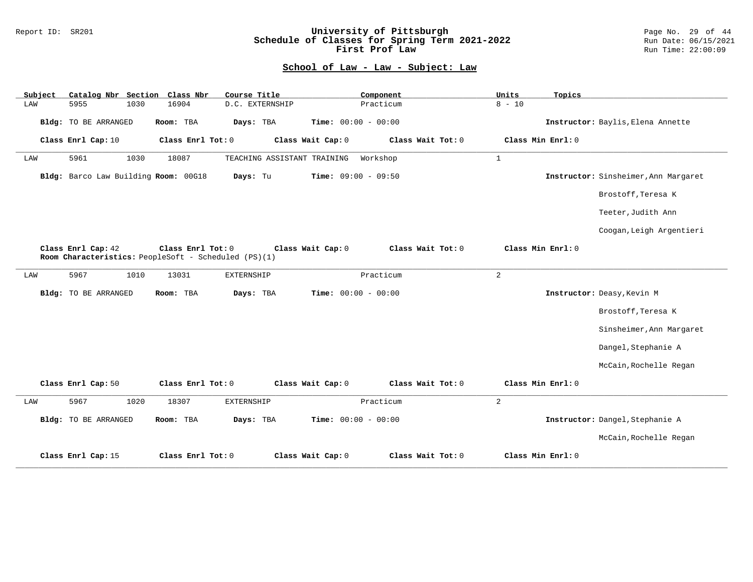### Report ID: SR201 **University of Pittsburgh** Page No. 29 of 44 **Schedule of Classes for Spring Term 2021-2022** Run Date: 06/15/2021 **First Prof Law Run Time: 22:00:09** Run Time: 22:00:09

| Catalog Nbr Section Class Nbr<br>Subject | Course Title                                                              | Component                              | Units<br>Topics                      |
|------------------------------------------|---------------------------------------------------------------------------|----------------------------------------|--------------------------------------|
| LAW<br>5955<br>1030                      | 16904<br>D.C. EXTERNSHIP                                                  | Practicum                              | $8 - 10$                             |
| <b>Bldg:</b> TO BE ARRANGED              | Room: TBA<br>Days: TBA                                                    | Time: $00:00 - 00:00$                  | Instructor: Baylis, Elena Annette    |
| Class Enrl Cap: 10                       | Class Enrl Tot: 0                                                         | Class Wait Tot: 0<br>Class Wait Cap: 0 | Class Min Enrl: 0                    |
| 5961<br>1030<br>LAW                      | 18087<br>TEACHING ASSISTANT TRAINING                                      | Workshop                               | $\mathbf{1}$                         |
| Bldg: Barco Law Building Room: 00G18     | Days: Tu                                                                  | Time: $09:00 - 09:50$                  | Instructor: Sinsheimer, Ann Margaret |
|                                          |                                                                           |                                        | Brostoff, Teresa K                   |
|                                          |                                                                           |                                        | Teeter, Judith Ann                   |
|                                          |                                                                           |                                        | Coogan, Leigh Argentieri             |
| Class Enrl Cap: 42                       | Class Enrl Tot: 0<br>Room Characteristics: PeopleSoft - Scheduled (PS)(1) | Class Wait Cap: 0<br>Class Wait Tot: 0 | Class Min Enrl: 0                    |
| 5967<br>1010<br>LAW                      | 13031<br><b>EXTERNSHIP</b>                                                | Practicum                              | $\overline{a}$                       |
| Bldg: TO BE ARRANGED                     | Room: TBA<br>Days: TBA                                                    | Time: $00:00 - 00:00$                  | Instructor: Deasy, Kevin M           |
|                                          |                                                                           |                                        | Brostoff, Teresa K                   |
|                                          |                                                                           |                                        | Sinsheimer, Ann Margaret             |
|                                          |                                                                           |                                        | Dangel, Stephanie A                  |
|                                          |                                                                           |                                        | McCain, Rochelle Regan               |
| Class Enrl Cap: 50                       | Class Enrl Tot: 0                                                         | Class Wait Cap: 0<br>Class Wait Tot: 0 | Class Min Enrl: 0                    |
| 5967<br>1020<br>LAW                      | 18307<br>EXTERNSHIP                                                       | Practicum                              | 2                                    |
| Bldg: TO BE ARRANGED                     | Room: TBA<br>Days: TBA                                                    | Time: $00:00 - 00:00$                  | Instructor: Dangel, Stephanie A      |
|                                          |                                                                           |                                        | McCain, Rochelle Regan               |
| Class Enrl Cap: 15                       | Class Enrl Tot: 0                                                         | Class Wait Cap: 0<br>Class Wait Tot: 0 | Class Min Enrl: 0                    |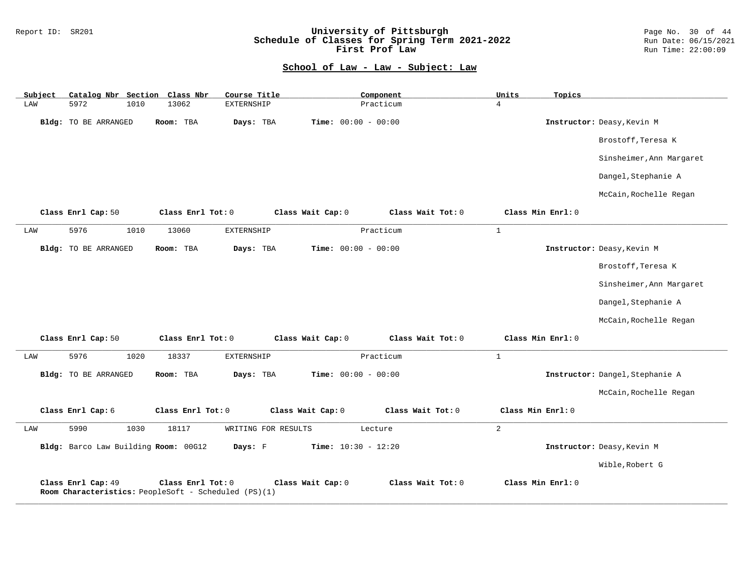| Subject | Catalog Nbr Section Class Nbr                                              |                   | Course Title        |                              | Component         | Units          | Topics            |                                 |
|---------|----------------------------------------------------------------------------|-------------------|---------------------|------------------------------|-------------------|----------------|-------------------|---------------------------------|
| LAW     | 5972<br>1010                                                               | 13062             | EXTERNSHIP          |                              | Practicum         | $\overline{4}$ |                   |                                 |
|         | Bldg: TO BE ARRANGED                                                       | Room: TBA         | Days: TBA           | Time: $00:00 - 00:00$        |                   |                |                   | Instructor: Deasy, Kevin M      |
|         |                                                                            |                   |                     |                              |                   |                |                   | Brostoff, Teresa K              |
|         |                                                                            |                   |                     |                              |                   |                |                   | Sinsheimer, Ann Margaret        |
|         |                                                                            |                   |                     |                              |                   |                |                   | Dangel, Stephanie A             |
|         |                                                                            |                   |                     |                              |                   |                |                   | McCain, Rochelle Regan          |
|         | Class Enrl Cap: 50                                                         | Class Enrl Tot: 0 |                     | Class Wait Cap: 0            | Class Wait Tot: 0 |                | Class Min Enrl: 0 |                                 |
| LAW     | 5976<br>1010                                                               | 13060             | EXTERNSHIP          |                              | Practicum         | $\mathbf{1}$   |                   |                                 |
|         | Bldg: TO BE ARRANGED                                                       | Room: TBA         | Days: TBA           | Time: $00:00 - 00:00$        |                   |                |                   | Instructor: Deasy, Kevin M      |
|         |                                                                            |                   |                     |                              |                   |                |                   | Brostoff, Teresa K              |
|         |                                                                            |                   |                     |                              |                   |                |                   | Sinsheimer, Ann Margaret        |
|         |                                                                            |                   |                     |                              |                   |                |                   | Dangel, Stephanie A             |
|         |                                                                            |                   |                     |                              |                   |                |                   | McCain, Rochelle Regan          |
|         | Class Enrl Cap: 50                                                         | Class Enrl Tot: 0 |                     | Class Wait Cap: 0            | Class Wait Tot: 0 |                | Class Min Enrl: 0 |                                 |
| LAW     | 5976<br>1020                                                               | 18337             | EXTERNSHIP          |                              | Practicum         | $\mathbf{1}$   |                   |                                 |
|         | Bldg: TO BE ARRANGED                                                       | Room: TBA         | Days: TBA           | <b>Time:</b> $00:00 - 00:00$ |                   |                |                   | Instructor: Dangel, Stephanie A |
|         |                                                                            |                   |                     |                              |                   |                |                   | McCain, Rochelle Regan          |
|         | Class Enrl Cap: 6                                                          | Class Enrl Tot: 0 |                     | Class Wait Cap: 0            | Class Wait Tot: 0 |                | Class Min Enrl: 0 |                                 |
| LAW     | 5990<br>1030                                                               | 18117             | WRITING FOR RESULTS |                              | Lecture           | 2              |                   |                                 |
|         | Bldg: Barco Law Building Room: 00G12                                       |                   | Days: F             | Time: $10:30 - 12:20$        |                   |                |                   | Instructor: Deasy, Kevin M      |
|         |                                                                            |                   |                     |                              |                   |                |                   | Wible, Robert G                 |
|         | Class Enrl Cap: 49<br>Room Characteristics: PeopleSoft - Scheduled (PS)(1) | Class Enrl Tot: 0 |                     | Class Wait Cap: 0            | Class Wait Tot: 0 |                | Class Min Enrl: 0 |                                 |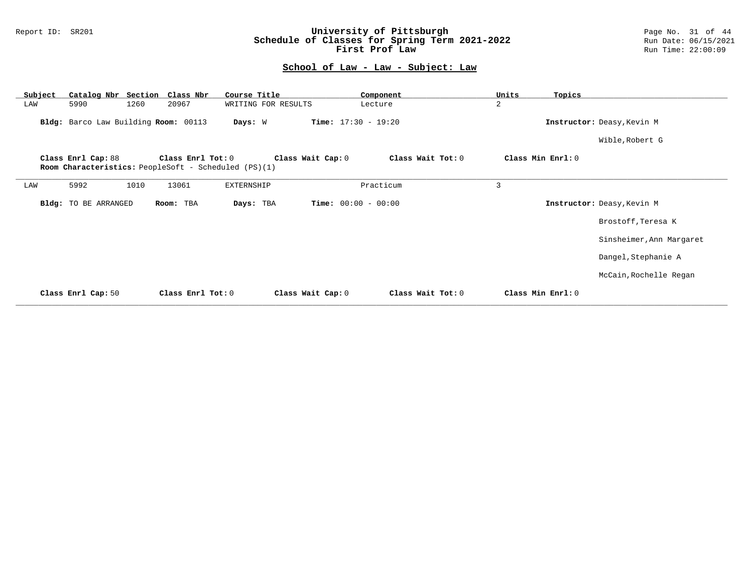### Report ID: SR201 **University of Pittsburgh** Page No. 31 of 44 **Schedule of Classes for Spring Term 2021-2022** Run Date: 06/15/2021 **First Prof Law Run Time: 22:00:09** Run Time: 22:00:09

| Subject | Catalog Nbr Section Class Nbr        |      |                   | Course Title                                         |                              | Component         | Units             | Topics |                            |
|---------|--------------------------------------|------|-------------------|------------------------------------------------------|------------------------------|-------------------|-------------------|--------|----------------------------|
| LAW     | 5990                                 | 1260 | 20967             | WRITING FOR RESULTS                                  |                              | Lecture           | $\overline{a}$    |        |                            |
|         | Bldg: Barco Law Building Room: 00113 |      |                   | Days: W                                              | <b>Time:</b> $17:30 - 19:20$ |                   |                   |        | Instructor: Deasy, Kevin M |
|         |                                      |      |                   |                                                      |                              |                   |                   |        | Wible, Robert G            |
|         | Class Enrl Cap: 88                   |      | Class Enrl Tot: 0 | Room Characteristics: PeopleSoft - Scheduled (PS)(1) | Class Wait Cap: 0            | Class Wait Tot: 0 | Class Min Enrl: 0 |        |                            |
|         |                                      |      |                   |                                                      |                              |                   |                   |        |                            |
| LAW     | 5992                                 | 1010 | 13061             | EXTERNSHIP                                           |                              | Practicum         | 3                 |        |                            |
|         | Bldg: TO BE ARRANGED                 |      | Room: TBA         | Days: TBA                                            | <b>Time:</b> $00:00 - 00:00$ |                   |                   |        | Instructor: Deasy, Kevin M |
|         |                                      |      |                   |                                                      |                              |                   |                   |        | Brostoff, Teresa K         |
|         |                                      |      |                   |                                                      |                              |                   |                   |        | Sinsheimer, Ann Margaret   |
|         |                                      |      |                   |                                                      |                              |                   |                   |        | Dangel, Stephanie A        |
|         |                                      |      |                   |                                                      |                              |                   |                   |        | McCain, Rochelle Regan     |
|         | Class Enrl Cap: 50                   |      | Class Enrl Tot: 0 |                                                      | Class Wait Cap: 0            | Class Wait Tot: 0 | Class Min Enrl: 0 |        |                            |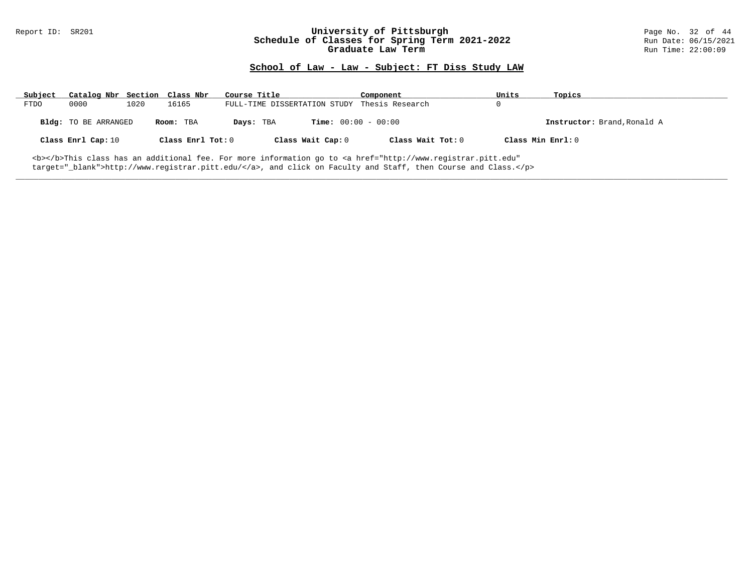#### Report ID: SR201 **University of Pittsburgh University of Pittsburgh** Page No. 32 of 44<br>**Schedule of Classes for Spring Term 2021-2022** Run Date: 06/15/2021 **Schedule of Classes for Spring Term 2021-2022** Run Date: 06/15/2021<br>**Graduate Law Term 2021-2022** Run Time: 22:00:09 **Graduate Law Term**

## **School of Law - Law - Subject: FT Diss Study LAW**

| Subject     | Catalog Nbr Section Class Nbr |      |                     | Course Title |                                              | Component                                                                                                                                      | Units             | Topics                      |
|-------------|-------------------------------|------|---------------------|--------------|----------------------------------------------|------------------------------------------------------------------------------------------------------------------------------------------------|-------------------|-----------------------------|
| <b>FTDO</b> | 0000                          | 1020 | 16165               |              | FULL-TIME DISSERTATION STUDY Thesis Research |                                                                                                                                                |                   |                             |
|             | Bldg: TO BE ARRANGED          |      | Room: TBA           | Days: TBA    |                                              | <b>Time:</b> $00:00 - 00:00$                                                                                                                   |                   | Instructor: Brand, Ronald A |
|             | Class Enrl Cap: 10            |      | Class Enrl Tot: $0$ |              | Class Wait Cap: 0                            | Class Wait Tot: 0                                                                                                                              | Class Min Enrl: 0 |                             |
|             |                               |      |                     |              |                                              | <b></b> This class has an additional fee. For more information go to <a <="" href="http://www.registrar.pitt.edu" td=""><td></td><td></td></a> |                   |                             |

**\_\_\_\_\_\_\_\_\_\_\_\_\_\_\_\_\_\_\_\_\_\_\_\_\_\_\_\_\_\_\_\_\_\_\_\_\_\_\_\_\_\_\_\_\_\_\_\_\_\_\_\_\_\_\_\_\_\_\_\_\_\_\_\_\_\_\_\_\_\_\_\_\_\_\_\_\_\_\_\_\_\_\_\_\_\_\_\_\_\_\_\_\_\_\_\_\_\_\_\_\_\_\_\_\_\_\_\_\_\_\_\_\_\_\_\_\_\_\_\_\_\_\_\_\_\_\_\_\_\_\_\_\_\_\_\_\_\_\_\_\_\_\_\_\_\_\_\_\_\_\_\_\_\_\_\_**

target="\_blank">http://www.registrar.pitt.edu/</a>, and click on Faculty and Staff, then Course and Class.</p>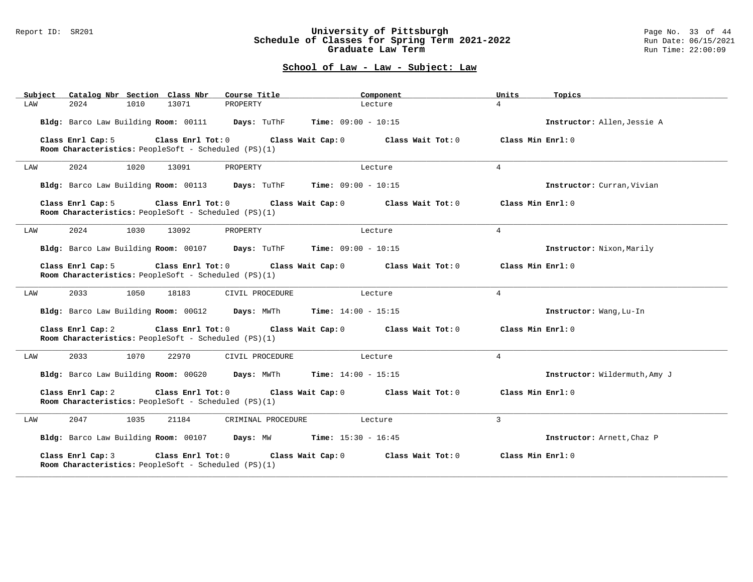### Report ID: SR201 **University of Pittsburgh** Page No. 33 of 44 **Schedule of Classes for Spring Term 2021-2022** Run Date: 06/15/2021 **Graduate Law Term Run Time: 22:00:09**

| Catalog Nbr Section Class Nbr<br>Subject                                                       | Course Title                               | Component                    | Units              | Topics                        |
|------------------------------------------------------------------------------------------------|--------------------------------------------|------------------------------|--------------------|-------------------------------|
| 2024<br>1010<br>13071<br>LAW                                                                   | PROPERTY                                   | Lecture                      | $\overline{4}$     |                               |
| Bldg: Barco Law Building Room: 00111                                                           | Days: TuThF                                | Time: $09:00 - 10:15$        |                    | Instructor: Allen, Jessie A   |
| Class Enrl Tot: 0<br>Class Enrl Cap: 5<br>Room Characteristics: PeopleSoft - Scheduled (PS)(1) | Class Wait Cap: 0                          | Class Wait Tot: 0            | Class Min Enrl: 0  |                               |
| 2024<br>1020<br>13091<br>LAW                                                                   | PROPERTY                                   | Lecture                      | $\overline{4}$     |                               |
| Bldg: Barco Law Building Room: 00113 Days: TuThF                                               |                                            | <b>Time:</b> $09:00 - 10:15$ |                    | Instructor: Curran, Vivian    |
| Class Enrl Cap: 5<br>Class Enrl Tot: 0<br>Room Characteristics: PeopleSoft - Scheduled (PS)(1) | Class Wait Cap: 0                          | Class Wait Tot: 0            | Class Min $Err1:0$ |                               |
| 2024<br>1030<br>13092<br>LAW                                                                   | PROPERTY                                   | Lecture                      | $\overline{4}$     |                               |
| Bldg: Barco Law Building Room: 00107 Days: TuThF                                               |                                            | <b>Time:</b> $09:00 - 10:15$ |                    | Instructor: Nixon, Marily     |
| Class Enrl Cap: 5<br>Class Enr1 Tot: 0<br>Room Characteristics: PeopleSoft - Scheduled (PS)(1) | Class Wait Cap: 0                          | Class Wait Tot: 0            | Class Min Enrl: 0  |                               |
| 2033<br>1050<br>18183<br>LAW                                                                   | CIVIL PROCEDURE                            | Lecture                      | $\overline{4}$     |                               |
| Bldg: Barco Law Building Room: 00G12                                                           | Days: MWTh<br><b>Time:</b> $14:00 - 15:15$ |                              |                    | Instructor: Wang, Lu-In       |
| Class Enrl Cap: 2<br>Class Enrl Tot: 0<br>Room Characteristics: PeopleSoft - Scheduled (PS)(1) | Class Wait Cap: 0                          | Class Wait Tot: 0            | Class Min Enrl: 0  |                               |
| 2033<br>1070<br>22970<br>LAW                                                                   | CIVIL PROCEDURE                            | Lecture                      | $\overline{4}$     |                               |
| Bldg: Barco Law Building Room: 00G20                                                           | <b>Time:</b> $14:00 - 15:15$<br>Days: MWTh |                              |                    | Instructor: Wildermuth, Amy J |
| Class Enrl Cap: 2<br>Class Enrl Tot: 0<br>Room Characteristics: PeopleSoft - Scheduled (PS)(1) | Class Wait Cap: 0                          | Class Wait Tot: 0            | Class Min Enrl: 0  |                               |
| 2047<br>1035<br>21184<br>LAW                                                                   | CRIMINAL PROCEDURE                         | Lecture                      | 3                  |                               |
| Bldg: Barco Law Building Room: 00107 Days: MW                                                  | <b>Time:</b> $15:30 - 16:45$               |                              |                    | Instructor: Arnett, Chaz P    |
| Class Enrl Cap: 3<br>Class Enrl Tot: 0<br>Room Characteristics: PeopleSoft - Scheduled (PS)(1) | Class Wait Cap: 0                          | Class Wait Tot: 0            | Class Min Enrl: 0  |                               |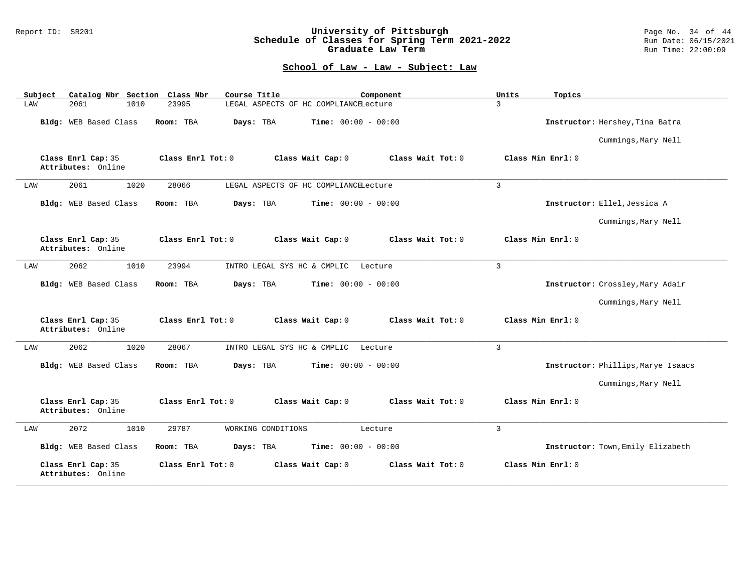### Report ID: SR201 **University of Pittsburgh** Page No. 34 of 44 **Schedule of Classes for Spring Term 2021-2022** Run Date: 06/15/2021 **Graduate Law Term Run Time: 22:00:09**

| Catalog Nbr Section<br>Subject           | Class Nbr<br>Course Title<br>Component                      | Units<br>Topics                    |
|------------------------------------------|-------------------------------------------------------------|------------------------------------|
| 2061<br>1010<br>LAW                      | 23995<br>LEGAL ASPECTS OF HC COMPLIANCELecture              | $\overline{3}$                     |
| Bldg: WEB Based Class                    | Room: TBA<br><b>Time:</b> $00:00 - 00:00$<br>Days: TBA      | Instructor: Hershey, Tina Batra    |
|                                          |                                                             | Cummings, Mary Nell                |
| Class Enrl Cap: 35<br>Attributes: Online | Class Wait Tot: 0<br>Class Enrl Tot: 0<br>Class Wait Cap: 0 | Class Min Enrl: 0                  |
| 1020<br>2061<br>LAW                      | 28066<br>LEGAL ASPECTS OF HC COMPLIANCELecture              | $\mathbf{3}$                       |
| Bldg: WEB Based Class                    | Room: TBA<br>Days: TBA<br><b>Time:</b> $00:00 - 00:00$      | Instructor: Ellel, Jessica A       |
|                                          |                                                             | Cummings, Mary Nell                |
| Class Enrl Cap: 35<br>Attributes: Online | Class Enrl Tot: 0<br>Class Wait Cap: 0<br>Class Wait Tot: 0 | Class Min Enrl: 0                  |
| 1010<br>2062<br>LAW                      | 23994<br>INTRO LEGAL SYS HC & CMPLIC<br>Lecture             | $\overline{3}$                     |
| Bldg: WEB Based Class                    | Days: TBA<br>Room: TBA<br><b>Time:</b> $00:00 - 00:00$      | Instructor: Crossley, Mary Adair   |
|                                          |                                                             | Cummings, Mary Nell                |
| Class Enrl Cap: 35<br>Attributes: Online | Class Enrl Tot: 0<br>Class Wait Cap: 0<br>Class Wait Tot: 0 | Class Min Enrl: 0                  |
| 2062<br>1020<br>LAW                      | 28067<br>INTRO LEGAL SYS HC & CMPLIC<br>Lecture             | $\overline{3}$                     |
| Bldg: WEB Based Class                    | Days: TBA<br><b>Time:</b> $00:00 - 00:00$<br>Room: TBA      | Instructor: Phillips, Marye Isaacs |
|                                          |                                                             | Cummings, Mary Nell                |
| Class Enrl Cap: 35<br>Attributes: Online | Class Enrl Tot: 0<br>Class Wait Cap: 0<br>Class Wait Tot: 0 | Class Min Enrl: 0                  |
| 2072<br>1010<br>LAW                      | 29787<br>WORKING CONDITIONS<br>Lecture                      | $\overline{3}$                     |
| Bldg: WEB Based Class                    | Time: $00:00 - 00:00$<br>Room: TBA<br>Days: TBA             | Instructor: Town, Emily Elizabeth  |
| Class Enrl Cap: 35<br>Attributes: Online | Class Enrl Tot: 0<br>Class Wait Cap: 0<br>Class Wait Tot: 0 | Class Min Enrl: 0                  |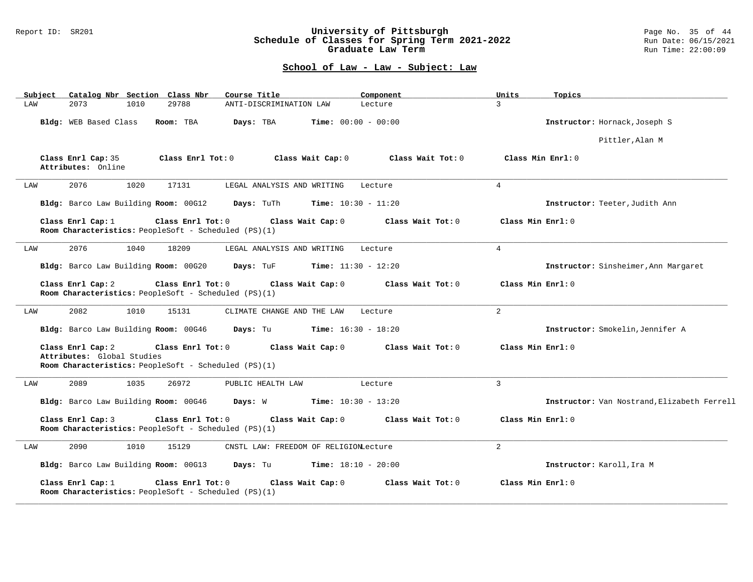### Report ID: SR201 **University of Pittsburgh** Page No. 35 of 44 **Schedule of Classes for Spring Term 2021-2022** Run Date: 06/15/2021 **Graduate Law Term Run Time: 22:00:09**

| Subject | Catalog Nbr Section Class Nbr                                             |      |                   | Course Title                                         |                              | Component         | Units             | Topics                                      |
|---------|---------------------------------------------------------------------------|------|-------------------|------------------------------------------------------|------------------------------|-------------------|-------------------|---------------------------------------------|
| LAW     | 2073                                                                      | 1010 | 29788             | ANTI-DISCRIMINATION LAW                              |                              | Lecture           | $\mathcal{L}$     |                                             |
|         | Bldg: WEB Based Class                                                     |      | Room: TBA         | Days: TBA                                            | <b>Time:</b> $00:00 - 00:00$ |                   |                   | Instructor: Hornack, Joseph S               |
|         |                                                                           |      |                   |                                                      |                              |                   |                   | Pittler, Alan M                             |
|         | Class Enrl Cap: 35<br>Attributes: Online                                  |      | Class Enrl Tot: 0 |                                                      | Class Wait Cap: 0            | Class Wait Tot: 0 |                   | Class Min Enrl: 0                           |
| LAW     | 2076                                                                      | 1020 | 17131             | LEGAL ANALYSIS AND WRITING                           |                              | Lecture           | $\overline{4}$    |                                             |
|         |                                                                           |      |                   | Bldg: Barco Law Building Room: 00G12 Days: TuTh      | <b>Time:</b> $10:30 - 11:20$ |                   |                   | Instructor: Teeter, Judith Ann              |
|         | Class Enrl Cap: 1<br>Room Characteristics: PeopleSoft - Scheduled (PS)(1) |      | Class Enrl Tot: 0 |                                                      | Class Wait Cap: 0            | Class Wait Tot: 0 | Class Min Enrl: 0 |                                             |
| LAW     | 2076                                                                      | 1040 | 18209             | LEGAL ANALYSIS AND WRITING                           |                              | Lecture           | $\overline{4}$    |                                             |
|         | Bldg: Barco Law Building Room: 00G20                                      |      |                   | Days: TuF                                            | <b>Time:</b> $11:30 - 12:20$ |                   |                   | Instructor: Sinsheimer, Ann Margaret        |
|         | Class Enrl Cap: 2<br>Room Characteristics: PeopleSoft - Scheduled (PS)(1) |      | Class Enrl Tot: 0 |                                                      | Class Wait Cap: 0            | Class Wait Tot: 0 | Class Min Enrl: 0 |                                             |
| LAW     | 2082                                                                      | 1010 | 15131             | CLIMATE CHANGE AND THE LAW                           |                              | Lecture           | $\overline{2}$    |                                             |
|         | Bldg: Barco Law Building Room: 00G46                                      |      |                   | Days: Tu                                             | <b>Time:</b> $16:30 - 18:20$ |                   |                   | Instructor: Smokelin, Jennifer A            |
|         | Class Enrl Cap: 2<br>Attributes: Global Studies                           |      | Class Enrl Tot: 0 | Room Characteristics: PeopleSoft - Scheduled (PS)(1) | Class Wait Cap: 0            | Class Wait Tot: 0 | Class Min Enrl: 0 |                                             |
| LAW     | 2089                                                                      | 1035 | 26972             | PUBLIC HEALTH LAW                                    |                              | Lecture           | $\mathbf{3}$      |                                             |
|         | Bldg: Barco Law Building Room: 00G46                                      |      |                   | Days: W                                              | <b>Time:</b> $10:30 - 13:20$ |                   |                   | Instructor: Van Nostrand, Elizabeth Ferrell |
|         | Class Enrl Cap: 3<br>Room Characteristics: PeopleSoft - Scheduled (PS)(1) |      | Class Enrl Tot: 0 |                                                      | Class Wait Cap: 0            | Class Wait Tot: 0 | Class Min Enrl: 0 |                                             |
| LAW     | 2090                                                                      | 1010 | 15129             | CNSTL LAW: FREEDOM OF RELIGIONLecture                |                              |                   | 2                 |                                             |
|         | Bldg: Barco Law Building Room: 00G13 Days: Tu                             |      |                   |                                                      | $Time: 18:10 - 20:00$        |                   |                   | Instructor: Karoll, Ira M                   |
|         | Class Enrl Cap: 1<br>Room Characteristics: PeopleSoft - Scheduled (PS)(1) |      | Class Enrl Tot: 0 |                                                      | Class Wait Cap: 0            | Class Wait Tot: 0 | Class Min Enrl: 0 |                                             |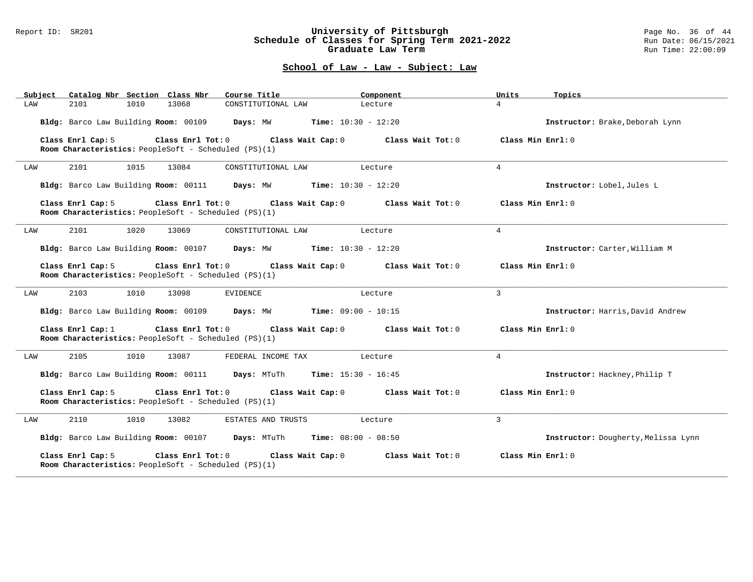### Report ID: SR201 **University of Pittsburgh** Page No. 36 of 44 **Schedule of Classes for Spring Term 2021-2022** Run Date: 06/15/2021 **Graduate Law Term Run Time: 22:00:09**

| Subject | Catalog Nbr Section Class Nbr        |      |                                                                           | Course Title                                                         | Component             | Units             | Topics                              |
|---------|--------------------------------------|------|---------------------------------------------------------------------------|----------------------------------------------------------------------|-----------------------|-------------------|-------------------------------------|
| LAW     | 2101                                 | 1010 | 13068                                                                     | CONSTITUTIONAL LAW                                                   | Lecture               | $\overline{4}$    |                                     |
|         |                                      |      | Bldg: Barco Law Building Room: 00109 Days: MW                             |                                                                      | $Time: 10:30 - 12:20$ |                   | Instructor: Brake, Deborah Lynn     |
|         | Class Enrl Cap: 5                    |      | Class Enrl Tot: 0<br>Room Characteristics: PeopleSoft - Scheduled (PS)(1) | Class Wait Cap: 0                                                    | Class Wait Tot: 0     | Class Min Enrl: 0 |                                     |
| LAW     | 2101                                 | 1015 | 13084                                                                     | CONSTITUTIONAL LAW                                                   | Lecture               | $\overline{4}$    |                                     |
|         |                                      |      |                                                                           | Bldg: Barco Law Building Room: 00111 Days: MW Time: 10:30 - 12:20    |                       |                   | Instructor: Lobel, Jules L          |
|         | Class Enrl Cap: 5                    |      | Class Enrl Tot: 0<br>Room Characteristics: PeopleSoft - Scheduled (PS)(1) | Class Wait Cap: 0                                                    | Class Wait Tot: 0     | Class Min Enrl: 0 |                                     |
| LAW     | 2101                                 | 1020 | 13069                                                                     | CONSTITUTIONAL LAW                                                   | Lecture               | $\overline{4}$    |                                     |
|         |                                      |      |                                                                           | Bldg: Barco Law Building Room: 00107 Days: MW Time: 10:30 - 12:20    |                       |                   | Instructor: Carter, William M       |
|         | Class Enrl Cap: 5                    |      | Class Enrl Tot: 0<br>Room Characteristics: PeopleSoft - Scheduled (PS)(1) | Class Wait Cap: 0                                                    | Class Wait Tot: 0     | Class Min Enrl: 0 |                                     |
| LAW     | 2103                                 | 1010 | 13098                                                                     | EVIDENCE                                                             | Lecture               | 3                 |                                     |
|         | Bldg: Barco Law Building Room: 00109 |      |                                                                           | Days: MW                                                             | $Time: 09:00 - 10:15$ |                   | Instructor: Harris, David Andrew    |
|         | Class Enrl Cap: $1$                  |      | Room Characteristics: PeopleSoft - Scheduled (PS)(1)                      | Class Enrl Tot: 0 Class Wait Cap: 0                                  | Class Wait Tot: 0     | Class Min Enrl: 0 |                                     |
| LAW     | 2105                                 | 1010 | 13087                                                                     | FEDERAL INCOME TAX                                                   | Lecture               | $\overline{4}$    |                                     |
|         |                                      |      |                                                                           | Bldg: Barco Law Building Room: 00111 Days: MTuTh Time: 15:30 - 16:45 |                       |                   | Instructor: Hackney, Philip T       |
|         | Class Enrl Cap: 5                    |      | Class Enrl Tot: 0<br>Room Characteristics: PeopleSoft - Scheduled (PS)(1) | Class Wait Cap: 0                                                    | Class Wait Tot: 0     | Class Min Enrl: 0 |                                     |
| LAW     | 2110                                 | 1010 | 13082                                                                     | ESTATES AND TRUSTS                                                   | Lecture               | 3                 |                                     |
|         |                                      |      |                                                                           | Bldg: Barco Law Building Room: 00107 Days: MTuTh                     | $Time: 08:00 - 08:50$ |                   | Instructor: Dougherty, Melissa Lynn |
|         | Class Enrl Cap: 5                    |      | Class Enrl Tot: 0<br>Room Characteristics: PeopleSoft - Scheduled (PS)(1) | Class Wait Cap: 0                                                    | Class Wait Tot: 0     | Class Min Enrl: 0 |                                     |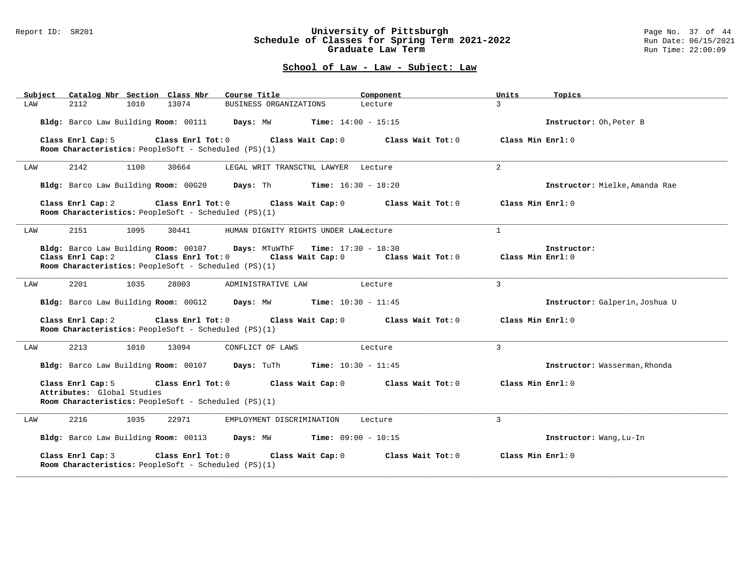#### Report ID: SR201 **University of Pittsburgh** Page No. 37 of 44 **Schedule of Classes for Spring Term 2021-2022** Run Date: 06/15/2021 **Graduate Law Term Run Time: 22:00:09**

| Subject |                                                 |      | Catalog Nbr Section Class Nbr                                                   | Course Title                                                                                | Component         | Units               | Topics                         |
|---------|-------------------------------------------------|------|---------------------------------------------------------------------------------|---------------------------------------------------------------------------------------------|-------------------|---------------------|--------------------------------|
| LAW     | 2112                                            | 1010 | 13074                                                                           | BUSINESS ORGANIZATIONS                                                                      | Lecture           | $\mathcal{E}$       |                                |
|         |                                                 |      |                                                                                 | Bldg: Barco Law Building Room: 00111 Days: MW Time: 14:00 - 15:15                           |                   |                     | Instructor: Oh, Peter B        |
|         | Class Enrl Cap: 5                               |      | Class Enrl Tot: 0<br>Room Characteristics: PeopleSoft - Scheduled (PS)(1)       | Class Wait Cap: 0                                                                           | Class Wait Tot: 0 | Class Min $Enr1:0$  |                                |
| LAW     | 2142                                            | 1100 | 30664                                                                           | LEGAL WRIT TRANSCTNL LAWYER Lecture                                                         |                   | $\overline{a}$      |                                |
|         |                                                 |      |                                                                                 | Bldg: Barco Law Building Room: 00G20 Days: Th Time: 16:30 - 18:20                           |                   |                     | Instructor: Mielke, Amanda Rae |
|         | Class Enrl Cap: 2                               |      | Room Characteristics: PeopleSoft - Scheduled (PS)(1)                            | Class Enrl Tot: 0 Class Wait Cap: 0                                                         | Class Wait Tot: 0 | Class Min $Enr1:0$  |                                |
| LAW     | 2151                                            | 1095 | 30441                                                                           | HUMAN DIGNITY RIGHTS UNDER LAWLecture                                                       |                   | $\mathbf{1}$        |                                |
|         | Class Enrl Cap: 2                               |      | $Class$ $Enr1$ $Tot: 0$<br>Room Characteristics: PeopleSoft - Scheduled (PS)(1) | Bldg: Barco Law Building Room: 00107 Days: MTuWThF Time: 17:30 - 18:30<br>Class Wait Cap: 0 | Class Wait Tot: 0 | Class Min Enrl: 0   | Instructor:                    |
| LAW     | 2201                                            | 1035 | 28003                                                                           | ADMINISTRATIVE LAW                                                                          | Lecture           | 3                   |                                |
|         |                                                 |      |                                                                                 | Bldg: Barco Law Building Room: 00G12 Days: MW Time: 10:30 - 11:45                           |                   |                     | Instructor: Galperin, Joshua U |
|         | Class Enrl Cap: 2                               |      | Class Enrl Tot: 0<br>Room Characteristics: PeopleSoft - Scheduled (PS)(1)       | Class Wait Cap: 0                                                                           | Class Wait Tot: 0 | Class Min Enrl: 0   |                                |
| LAW     | 2213                                            | 1010 | 13094                                                                           | CONFLICT OF LAWS                                                                            | Lecture           | 3                   |                                |
|         |                                                 |      |                                                                                 | Bldg: Barco Law Building Room: 00107 Days: TuTh<br><b>Time:</b> $10:30 - 11:45$             |                   |                     | Instructor: Wasserman, Rhonda  |
|         | Class Enrl Cap: 5<br>Attributes: Global Studies |      | Class Enrl Tot: 0<br>Room Characteristics: PeopleSoft - Scheduled (PS)(1)       | Class Wait Cap: 0                                                                           | Class Wait Tot: 0 | Class Min $Enr1: 0$ |                                |
| LAW     | 2216                                            | 1035 | 22971                                                                           | EMPLOYMENT DISCRIMINATION                                                                   | Lecture           | 3                   |                                |
|         |                                                 |      |                                                                                 | Bldg: Barco Law Building Room: 00113 Days: MW Time: 09:00 - 10:15                           |                   |                     | Instructor: Wang, Lu-In        |
|         | Class Enrl Cap: 3                               |      | Class Enrl Tot: 0<br>Room Characteristics: PeopleSoft - Scheduled (PS)(1)       | Class Wait Cap: 0                                                                           | Class Wait Tot: 0 | Class Min Enrl: 0   |                                |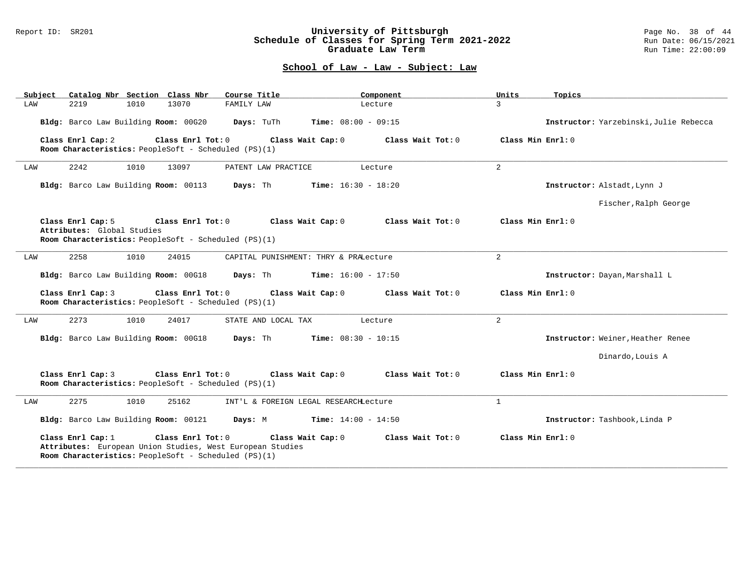#### Report ID: SR201 **University of Pittsburgh** Page No. 38 of 44 **Schedule of Classes for Spring Term 2021-2022** Run Date: 06/15/2021 **Graduate Law Term Run Time: 22:00:09**

| Catalog Nbr Section Class Nbr<br>Subject                                    | Course Title                                                                                        | Component<br>Units           | Topics                                |
|-----------------------------------------------------------------------------|-----------------------------------------------------------------------------------------------------|------------------------------|---------------------------------------|
| LAW<br>2219<br>1010                                                         | 13070<br>FAMILY LAW                                                                                 | $\overline{3}$<br>Lecture    |                                       |
| Bldg: Barco Law Building Room: 00G20                                        | Time: $08:00 - 09:15$<br>Days: TuTh                                                                 |                              | Instructor: Yarzebinski Julie Rebecca |
| Class Enrl Cap: 2<br>Room Characteristics: PeopleSoft - Scheduled (PS)(1)   | Class Enrl Tot: 0<br>Class Wait Cap: 0                                                              | Class Wait $Tot: 0$          | Class Min Enrl: 0                     |
| 2242<br>1010<br>LAW                                                         | 13097<br>PATENT LAW PRACTICE                                                                        | $\overline{a}$<br>Lecture    |                                       |
| Bldg: Barco Law Building Room: 00113                                        | <b>Time:</b> $16:30 - 18:20$<br>Days: Th                                                            |                              | Instructor: Alstadt, Lynn J           |
|                                                                             |                                                                                                     |                              | Fischer, Ralph George                 |
| Class Enrl Cap: 5<br>Attributes: Global Studies                             | Class Enrl Tot: 0<br>Class Wait Cap: 0                                                              | Class Wait Tot: 0            | Class Min Enrl: 0                     |
| Room Characteristics: PeopleSoft - Scheduled (PS)(1)                        |                                                                                                     |                              |                                       |
| 2258<br>1010<br>LAW                                                         | 24015<br>CAPITAL PUNISHMENT: THRY & PRALecture                                                      | $\overline{a}$               |                                       |
| Bldg: Barco Law Building Room: 00G18                                        | Days: Th                                                                                            | <b>Time:</b> $16:00 - 17:50$ | Instructor: Dayan, Marshall L         |
| Class Enrl Cap: 3<br>Room Characteristics: PeopleSoft - Scheduled (PS)(1)   | Class Enrl Tot: 0<br>Class Wait Cap: 0                                                              | Class Wait Tot: 0            | Class Min Enrl: 0                     |
| 2273<br>1010<br>LAW                                                         | 24017<br>STATE AND LOCAL TAX                                                                        | $\overline{a}$<br>Lecture    |                                       |
| Bldg: Barco Law Building Room: 00G18                                        | Days: Th<br><b>Time:</b> $08:30 - 10:15$                                                            |                              | Instructor: Weiner, Heather Renee     |
|                                                                             |                                                                                                     |                              | Dinardo, Louis A                      |
| Class Enrl Cap: 3<br>Room Characteristics: PeopleSoft - Scheduled (PS)(1)   | Class Enrl Tot: 0<br>Class Wait Cap: 0                                                              | Class Wait Tot: 0            | Class Min Enrl: 0                     |
| 2275<br>1010<br>LAW                                                         | 25162<br>INT'L & FOREIGN LEGAL RESEARCHLecture                                                      | $\mathbf{1}$                 |                                       |
| Bldg: Barco Law Building Room: 00121                                        | <b>Time:</b> $14:00 - 14:50$<br>Days: M                                                             |                              | Instructor: Tashbook, Linda P         |
| Class Enrl Cap: 1<br>Room Characteristics: PeopleSoft - Scheduled $(PS)(1)$ | Class Enrl Tot: 0<br>Class Wait Cap: 0<br>Attributes: European Union Studies, West European Studies | Class Wait Tot: 0            | Class Min Enrl: 0                     |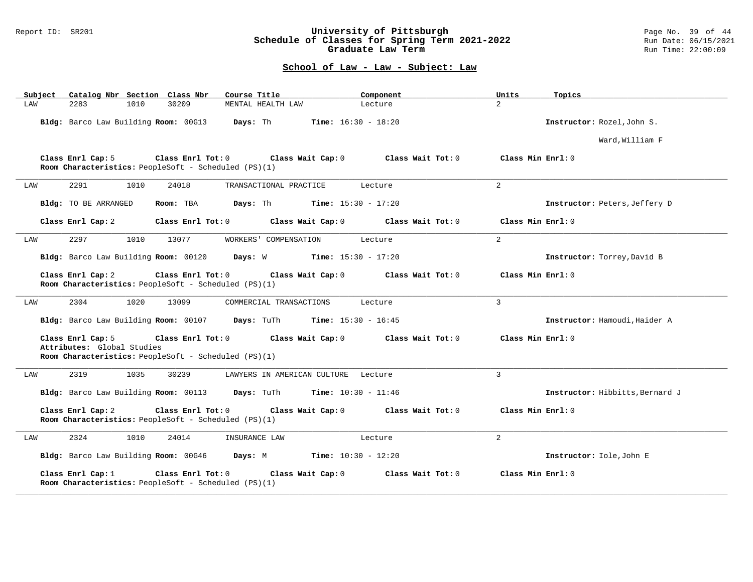#### Report ID: SR201 **University of Pittsburgh** Page No. 39 of 44 **Schedule of Classes for Spring Term 2021-2022** Run Date: 06/15/2021 **Graduate Law Term Run Time: 22:00:09**

| Subject              | Catalog Nbr Section Class Nbr        |                                                                                 | Course Title                                                                    | Component         | Units             | Topics                          |
|----------------------|--------------------------------------|---------------------------------------------------------------------------------|---------------------------------------------------------------------------------|-------------------|-------------------|---------------------------------|
| LAW<br>2283          | 1010                                 | 30209                                                                           | MENTAL HEALTH LAW                                                               | Lecture           | $\overline{2}$    |                                 |
|                      | Bldg: Barco Law Building Room: 00G13 |                                                                                 | Days: Th<br><b>Time:</b> $16:30 - 18:20$                                        |                   |                   | Instructor: Rozel, John S.      |
|                      |                                      |                                                                                 |                                                                                 |                   |                   | Ward, William F                 |
| Class Enrl Cap: 5    |                                      | Room Characteristics: PeopleSoft - Scheduled (PS)(1)                            | Class Enrl Tot: 0 Class Wait Cap: 0                                             | Class Wait Tot: 0 | Class Min Enrl: 0 |                                 |
| 2291<br>LAW          | 1010                                 | 24018                                                                           | TRANSACTIONAL PRACTICE                                                          | Lecture           | $\overline{2}$    |                                 |
| Bldg: TO BE ARRANGED |                                      | Room: TBA                                                                       | Days: Th<br><b>Time:</b> $15:30 - 17:20$                                        |                   |                   | Instructor: Peters, Jeffery D   |
| Class Enrl Cap: 2    |                                      | Class Enrl Tot: 0                                                               | Class Wait Cap: 0                                                               | Class Wait Tot: 0 | Class Min Enrl: 0 |                                 |
| 2297<br>LAW          | 1010                                 | 13077                                                                           | WORKERS' COMPENSATION                                                           | Lecture           | $\overline{a}$    |                                 |
|                      | Bldg: Barco Law Building Room: 00120 |                                                                                 | Days: W<br><b>Time:</b> $15:30 - 17:20$                                         |                   |                   | Instructor: Torrey, David B     |
| Class Enrl Cap: 2    |                                      | $Class$ $Enr1$ $Tot: 0$<br>Room Characteristics: PeopleSoft - Scheduled (PS)(1) | Class Wait Cap: 0                                                               | Class Wait Tot: 0 | Class Min Enrl: 0 |                                 |
| 2304<br>LAW          | 1020                                 | 13099                                                                           | COMMERCIAL TRANSACTIONS                                                         | Lecture           | 3                 |                                 |
|                      | Bldg: Barco Law Building Room: 00107 |                                                                                 | Time: $15:30 - 16:45$<br>Days: TuTh                                             |                   |                   | Instructor: Hamoudi, Haider A   |
| Class Enrl Cap: 5    | Attributes: Global Studies           | Room Characteristics: PeopleSoft - Scheduled (PS)(1)                            | Class Enrl Tot: 0 Class Wait Cap: 0                                             | Class Wait Tot: 0 | Class Min Enrl: 0 |                                 |
| 2319<br>LAW          | 1035                                 | 30239                                                                           | LAWYERS IN AMERICAN CULTURE Lecture                                             |                   | 3                 |                                 |
|                      |                                      |                                                                                 | Bldg: Barco Law Building Room: 00113 Days: TuTh<br><b>Time:</b> $10:30 - 11:46$ |                   |                   | Instructor: Hibbitts, Bernard J |
| Class Enrl Cap: 2    |                                      | Class Enrl Tot: 0<br>Room Characteristics: PeopleSoft - Scheduled (PS)(1)       | Class Wait Cap: 0                                                               | Class Wait Tot: 0 | Class Min Enrl: 0 |                                 |
| 2324<br>LAW          | 1010                                 | 24014                                                                           | INSURANCE LAW                                                                   | Lecture           | $\overline{a}$    |                                 |
|                      |                                      |                                                                                 | Bldg: Barco Law Building Room: 00G46 Days: M<br><b>Time:</b> $10:30 - 12:20$    |                   |                   | Instructor: Iole, John E        |
| Class Enrl Cap: $1$  |                                      | Class Enrl Tot: 0<br>Room Characteristics: PeopleSoft - Scheduled (PS)(1)       | Class Wait Cap: 0                                                               | Class Wait Tot: 0 | Class Min Enrl: 0 |                                 |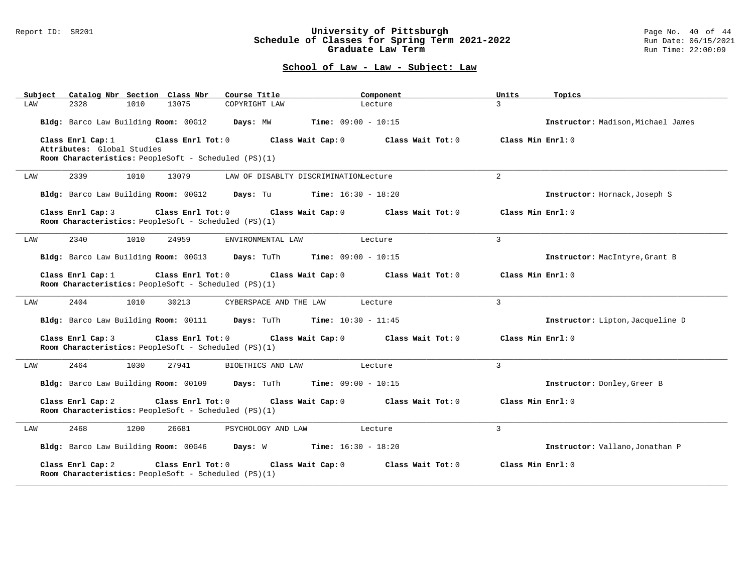#### Report ID: SR201 **University of Pittsburgh** Page No. 40 of 44 **Schedule of Classes for Spring Term 2021-2022** Run Date: 06/15/2021 **Graduate Law Term Run Time: 22:00:09**

| Catalog Nbr Section Class Nbr<br>Subject                                                       | Course Title                                   | Component                    | Units             | Topics                             |
|------------------------------------------------------------------------------------------------|------------------------------------------------|------------------------------|-------------------|------------------------------------|
| 2328<br>1010<br>13075<br>LAW                                                                   | COPYRIGHT LAW                                  | Lecture                      | $\overline{3}$    |                                    |
| Bldg: Barco Law Building Room: 00G12                                                           | Days: MW                                       | <b>Time:</b> $09:00 - 10:15$ |                   | Instructor: Madison, Michael James |
| Class Enrl Cap: 1<br>Class Enrl Tot: 0<br>Attributes: Global Studies                           | Class Wait Cap: 0                              | Class Wait Tot: 0            | Class Min Enrl: 0 |                                    |
| Room Characteristics: PeopleSoft - Scheduled (PS)(1)                                           |                                                |                              |                   |                                    |
| 2339<br>1010<br>13079<br>LAW                                                                   | LAW OF DISABLTY DISCRIMINATIONLecture          |                              | 2                 |                                    |
| Bldg: Barco Law Building Room: 00G12 Days: Tu Time: 16:30 - 18:20                              |                                                |                              |                   | Instructor: Hornack, Joseph S      |
| Class Enrl Tot: 0<br>Class Enrl Cap: 3<br>Room Characteristics: PeopleSoft - Scheduled (PS)(1) | Class Wait Cap: 0                              | Class Wait Tot: 0            | Class Min Enrl: 0 |                                    |
| 2340<br>1010<br>24959<br>LAW                                                                   | ENVIRONMENTAL LAW                              | Lecture                      | $\mathbf{3}$      |                                    |
| Bldg: Barco Law Building Room: 00G13                                                           | <b>Days:</b> TuTh <b>Time:</b> $09:00 - 10:15$ |                              |                   | Instructor: MacIntyre, Grant B     |
| Class Enrl Cap: 1<br>Class Enrl Tot: 0<br>Room Characteristics: PeopleSoft - Scheduled (PS)(1) | Class Wait Cap: 0                              | Class Wait Tot: 0            | Class Min Enrl: 0 |                                    |
| 2404<br>1010<br>30213<br>LAW                                                                   | CYBERSPACE AND THE LAW                         | Lecture                      | $\overline{3}$    |                                    |
| Bldg: Barco Law Building Room: 00111 Days: TuTh Time: 10:30 - 11:45                            |                                                |                              |                   | Instructor: Lipton, Jacqueline D   |
| Class Enrl Cap: 3<br>Class Enrl Tot: 0<br>Room Characteristics: PeopleSoft - Scheduled (PS)(1) | Class Wait Cap: 0                              | Class Wait Tot: 0            | Class Min Enrl: 0 |                                    |
| 2464<br>1030<br>27941<br>LAW                                                                   | BIOETHICS AND LAW                              | Lecture                      | $\mathbf{3}$      |                                    |
| Bldg: Barco Law Building Room: 00109                                                           | <b>Days:</b> TuTh <b>Time:</b> $09:00 - 10:15$ |                              |                   | Instructor: Donley, Greer B        |
| Class Enrl Cap: 2<br>Class Enrl Tot: 0<br>Room Characteristics: PeopleSoft - Scheduled (PS)(1) | Class Wait Cap: 0                              | Class Wait Tot: 0            | Class Min Enrl: 0 |                                    |
| 2468<br>1200<br>26681<br>LAW                                                                   | PSYCHOLOGY AND LAW                             | Lecture                      | $\mathbf{3}$      |                                    |
| Bldg: Barco Law Building Room: 00G46 Days: W                                                   | <b>Time:</b> $16:30 - 18:20$                   |                              |                   | Instructor: Vallano, Jonathan P    |
| Class Enrl Cap: 2<br>Class Enrl Tot: 0<br>Room Characteristics: PeopleSoft - Scheduled (PS)(1) | Class Wait Cap: 0                              | Class Wait Tot: 0            | Class Min Enrl: 0 |                                    |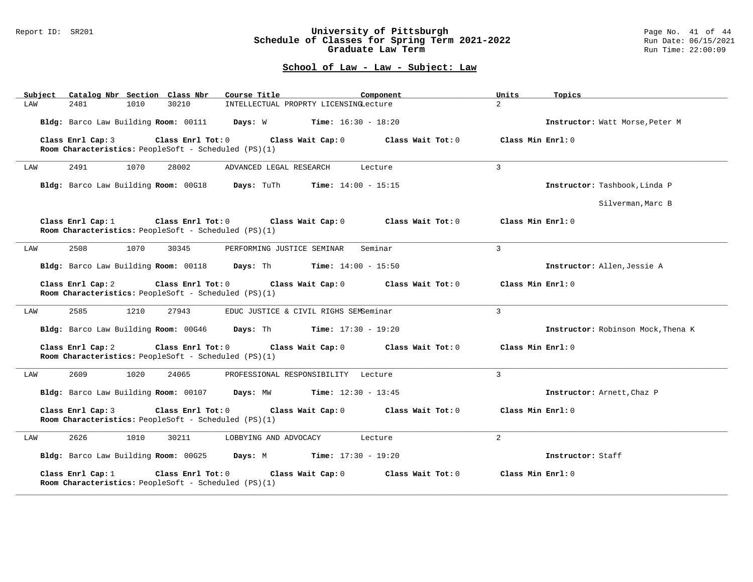#### Report ID: SR201 **University of Pittsburgh** Page No. 41 of 44 **Schedule of Classes for Spring Term 2021-2022** Run Date: 06/15/2021 **Graduate Law Term Run Time: 22:00:09**

| Subject | Catalog Nbr Section Class Nbr        |      |                                                                           | Course Title                                                        |                              | Component         |                   | Units             | Topics                             |
|---------|--------------------------------------|------|---------------------------------------------------------------------------|---------------------------------------------------------------------|------------------------------|-------------------|-------------------|-------------------|------------------------------------|
| LAW     | 2481                                 | 1010 | 30210                                                                     | INTELLECTUAL PROPRTY LICENSINGLecture                               |                              |                   |                   | $\overline{2}$    |                                    |
|         | Bldg: Barco Law Building Room: 00111 |      |                                                                           | Days: W                                                             | <b>Time:</b> $16:30 - 18:20$ |                   |                   |                   | Instructor: Watt Morse, Peter M    |
|         | Class Enrl Cap: 3                    |      | Class Enrl Tot: 0<br>Room Characteristics: PeopleSoft - Scheduled (PS)(1) |                                                                     | Class Wait Cap: 0            | Class Wait Tot: 0 |                   | Class Min Enrl: 0 |                                    |
| LAW     | 2491                                 | 1070 | 28002                                                                     | ADVANCED LEGAL RESEARCH                                             |                              | Lecture           |                   | $\overline{3}$    |                                    |
|         |                                      |      |                                                                           | Bldg: Barco Law Building Room: 00G18 Days: TuTh Time: 14:00 - 15:15 |                              |                   |                   |                   | Instructor: Tashbook, Linda P      |
|         |                                      |      |                                                                           |                                                                     |                              |                   |                   |                   | Silverman, Marc B                  |
|         | Class Enrl Cap: 1                    |      | Room Characteristics: PeopleSoft - Scheduled (PS)(1)                      | Class Enrl Tot: 0 Class Wait Cap: 0                                 |                              |                   | Class Wait Tot: 0 | Class Min Enrl: 0 |                                    |
| LAW     | 2508                                 | 1070 | 30345                                                                     | PERFORMING JUSTICE SEMINAR                                          |                              | Seminar           |                   | $\mathbf{3}$      |                                    |
|         | Bldg: Barco Law Building Room: 00118 |      |                                                                           | <b>Days:</b> Th <b>Time:</b> $14:00 - 15:50$                        |                              |                   |                   |                   | Instructor: Allen, Jessie A        |
|         | Class Enrl Cap: 2                    |      | Class Enrl Tot: 0<br>Room Characteristics: PeopleSoft - Scheduled (PS)(1) |                                                                     | Class Wait Cap: 0            | Class Wait Tot: 0 |                   | Class Min Enrl: 0 |                                    |
| LAW     | 2585                                 | 1210 | 27943                                                                     | EDUC JUSTICE & CIVIL RIGHS SEMSeminar                               |                              |                   |                   | $\mathbf{R}$      |                                    |
|         | Bldg: Barco Law Building Room: 00G46 |      |                                                                           | <b>Days:</b> Th                                                     | <b>Time:</b> $17:30 - 19:20$ |                   |                   |                   | Instructor: Robinson Mock, Thena K |
|         | Class Enrl Cap: 2                    |      | Class Enrl Tot: 0<br>Room Characteristics: PeopleSoft - Scheduled (PS)(1) |                                                                     | Class Wait Cap: 0            | Class Wait Tot: 0 |                   | Class Min Enrl: 0 |                                    |
| LAW     | 2609                                 | 1020 | 24065                                                                     | PROFESSIONAL RESPONSIBILITY Lecture                                 |                              |                   |                   | 3                 |                                    |
|         |                                      |      | Bldg: Barco Law Building Room: 00107                                      | Days: MW                                                            | <b>Time:</b> $12:30 - 13:45$ |                   |                   |                   | Instructor: Arnett, Chaz P         |
|         | Class Enrl Cap: 3                    |      | Class Enrl Tot: 0<br>Room Characteristics: PeopleSoft - Scheduled (PS)(1) |                                                                     | Class Wait Cap: 0            | Class Wait Tot: 0 |                   | Class Min Enrl: 0 |                                    |
| LAW     | 2626                                 | 1010 | 30211                                                                     | LOBBYING AND ADVOCACY                                               |                              | Lecture           |                   | $\overline{a}$    |                                    |
|         | Bldg: Barco Law Building Room: 00G25 |      |                                                                           | <b>Days:</b> M <b>Time:</b> $17:30 - 19:20$                         |                              |                   |                   |                   | Instructor: Staff                  |
|         | Class Enrl Cap: 1                    |      | Class Enrl Tot: 0<br>Room Characteristics: PeopleSoft - Scheduled (PS)(1) |                                                                     | Class Wait Cap: 0            |                   | Class Wait Tot: 0 | Class Min Enrl: 0 |                                    |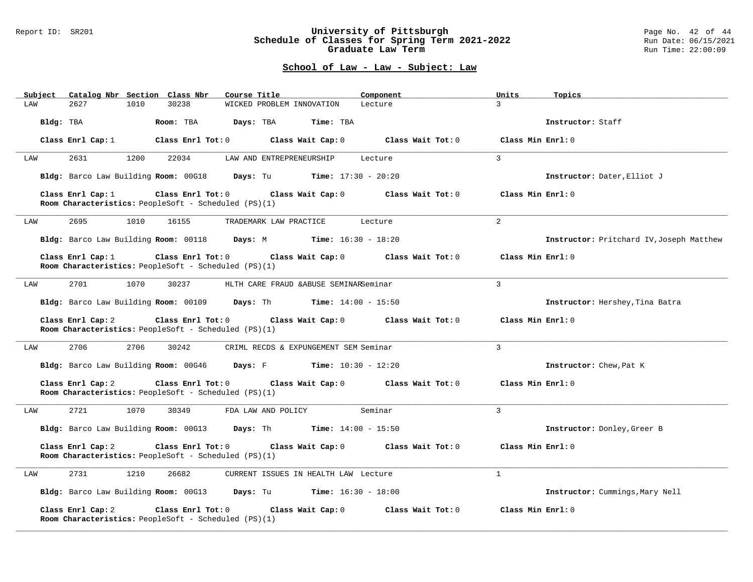### Report ID: SR201 **University of Pittsburgh** Page No. 42 of 44 **Schedule of Classes for Spring Term 2021-2022** Run Date: 06/15/2021 **Graduate Law Term Run Time: 22:00:09**

| Subject Catalog Nbr Section Class Nbr                                                                 | Course Title<br>Component                                         | Units<br>Topics                          |
|-------------------------------------------------------------------------------------------------------|-------------------------------------------------------------------|------------------------------------------|
| 30238<br>2627<br>1010<br>LAW                                                                          | WICKED PROBLEM INNOVATION<br>Lecture                              | $\mathbf{3}$                             |
| Bldg: TBA<br>Room: TBA                                                                                | Days: TBA<br>Time: TBA                                            | Instructor: Staff                        |
| Class Enrl Cap: 1                                                                                     | Class Enrl Tot: 0 Class Wait Cap: 0 Class Wait Tot: 0             | Class Min Enrl: 0                        |
| 2631<br>1200<br>22034<br>LAW                                                                          | LAW AND ENTREPRENEURSHIP<br>Lecture                               | $\mathbf{3}$                             |
| Bldg: Barco Law Building Room: 00G18                                                                  | <b>Days:</b> Tu <b>Time:</b> $17:30 - 20:20$                      | Instructor: Dater, Elliot J              |
| Class Enrl Cap: 1<br>Room Characteristics: PeopleSoft - Scheduled (PS)(1)                             | Class Enrl Tot: 0 Class Wait Cap: 0<br>Class Wait Tot: 0          | Class Min Enrl: 0                        |
| 1010<br>2695<br>16155<br>LAW                                                                          | TRADEMARK LAW PRACTICE<br>Lecture                                 | $\overline{a}$                           |
|                                                                                                       | Bldg: Barco Law Building Room: 00118 Days: M Time: 16:30 - 18:20  | Instructor: Pritchard IV, Joseph Matthew |
| Class Enrl Cap: 1<br>Room Characteristics: PeopleSoft - Scheduled (PS)(1)                             | Class Enrl Tot: 0 Class Wait Cap: 0<br>Class Wait Tot: 0          | Class Min Enrl: 0                        |
| 2701<br>1070<br>30237<br>LAW                                                                          | HLTH CARE FRAUD & ABUSE SEMINARSeminar                            | 3                                        |
|                                                                                                       | Bldg: Barco Law Building Room: 00109 Days: Th Time: 14:00 - 15:50 | Instructor: Hershey, Tina Batra          |
| Class Enrl Cap: 2<br>Class Enrl Tot: 0<br>Room Characteristics: PeopleSoft - Scheduled (PS)(1)        | Class Wait Cap: 0<br>Class Wait Tot: 0                            | Class Min Enrl: 0                        |
| 2706<br>2706<br>30242<br>LAW                                                                          | CRIML RECDS & EXPUNGEMENT SEM Seminar                             | $\overline{3}$                           |
|                                                                                                       | Bldg: Barco Law Building Room: 00G46 Days: F Time: 10:30 - 12:20  | Instructor: Chew, Pat K                  |
| Class Enrl Cap: 2<br>Room Characteristics: PeopleSoft - Scheduled (PS)(1)                             | Class Enrl Tot: 0 Class Wait Cap: 0<br>Class Wait Tot: 0          | Class Min Enrl: 0                        |
| 2721<br>1070<br>30349<br>LAW                                                                          | Seminar<br>FDA LAW AND POLICY                                     | $\overline{3}$                           |
|                                                                                                       | Bldg: Barco Law Building Room: 00G13 Days: Th Time: 14:00 - 15:50 | Instructor: Donley, Greer B              |
| Class Enrl Cap: 2<br>Room Characteristics: PeopleSoft - Scheduled (PS)(1)                             | Class Enrl Tot: 0 Class Wait Cap: 0<br>Class Wait Tot: 0          | Class Min Enrl: 0                        |
| 2731<br>1210<br>26682<br>LAW                                                                          | CURRENT ISSUES IN HEALTH LAW Lecture                              | $\mathbf{1}$                             |
|                                                                                                       | Bldg: Barco Law Building Room: 00G13 Days: Tu Time: 16:30 - 18:00 | Instructor: Cummings, Mary Nell          |
| Class Enrl Cap: 2<br>Class Enrl Tot: 0<br><b>Room Characteristics:</b> PeopleSoft - Scheduled (PS)(1) | Class Wait Cap: 0<br>Class Wait Tot: 0                            | Class Min Enrl: 0                        |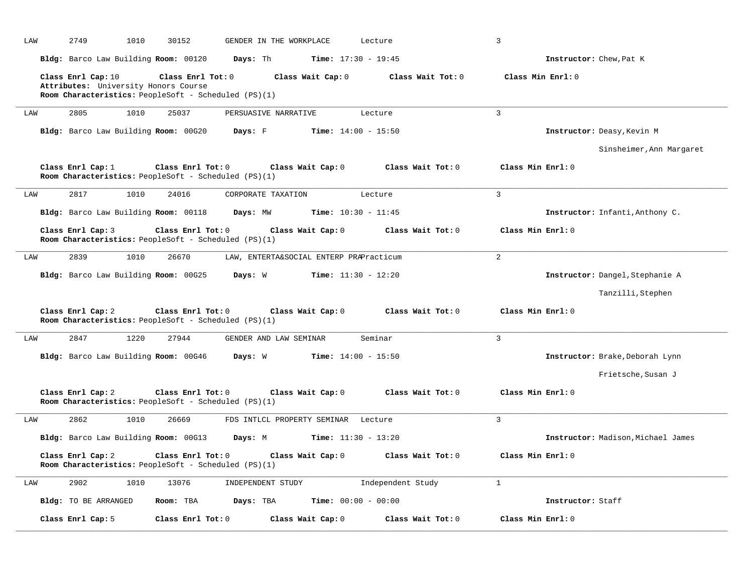| LAW | 2749<br>1010                                               | 30152                                                                              | GENDER IN THE WORKPLACE                 | Lecture                      | 3                                  |  |
|-----|------------------------------------------------------------|------------------------------------------------------------------------------------|-----------------------------------------|------------------------------|------------------------------------|--|
|     | Bldg: Barco Law Building Room: 00120                       | Days: Th                                                                           |                                         | <b>Time:</b> $17:30 - 19:45$ | Instructor: Chew, Pat K            |  |
|     | Class Enrl Cap: 10<br>Attributes: University Honors Course | Class Enrl Tot: 0<br>Room Characteristics: PeopleSoft - Scheduled (PS)(1)          | Class Wait Cap: 0                       | Class Wait Tot: 0            | Class Min Enrl: 0                  |  |
| LAW | 2805<br>1010                                               | 25037                                                                              | PERSUASIVE NARRATIVE                    | Lecture                      | $\overline{3}$                     |  |
|     | Bldg: Barco Law Building Room: 00G20                       | Days: F                                                                            |                                         | <b>Time:</b> $14:00 - 15:50$ | Instructor: Deasy, Kevin M         |  |
|     |                                                            |                                                                                    |                                         |                              | Sinsheimer, Ann Margaret           |  |
|     | Class Enrl Cap: 1                                          | Class Enrl Tot: 0<br>Room Characteristics: PeopleSoft - Scheduled (PS)(1)          | Class Wait Cap: 0                       | Class Wait Tot: 0            | Class Min Enrl: 0                  |  |
| LAW | 2817<br>1010                                               | 24016                                                                              | CORPORATE TAXATION                      | Lecture                      | 3                                  |  |
|     | Bldg: Barco Law Building Room: 00118                       | Days: MW                                                                           |                                         | <b>Time:</b> $10:30 - 11:45$ | Instructor: Infanti, Anthony C.    |  |
|     | Class Enrl Cap: 3                                          | Class Enrl Tot: 0<br>Room Characteristics: PeopleSoft - Scheduled (PS)(1)          | Class Wait Cap: 0                       | Class Wait Tot: 0            | Class Min Enrl: 0                  |  |
| LAW | 2839<br>1010                                               | 26670                                                                              | LAW, ENTERTA&SOCIAL ENTERP PRAPracticum |                              | 2                                  |  |
|     | Bldg: Barco Law Building Room: 00G25                       | Days: W                                                                            |                                         | <b>Time:</b> $11:30 - 12:20$ | Instructor: Dangel, Stephanie A    |  |
|     |                                                            |                                                                                    |                                         |                              | Tanzilli, Stephen                  |  |
|     | Class Enrl Cap: 2                                          | Class Enrl Tot: 0<br>Room Characteristics: PeopleSoft - Scheduled (PS)(1)          | Class Wait Cap: 0                       | Class Wait Tot: 0            | Class Min Enrl: 0                  |  |
| LAW | 2847<br>1220                                               | 27944                                                                              | GENDER AND LAW SEMINAR                  | Seminar                      | 3                                  |  |
|     | Bldg: Barco Law Building Room: 00G46                       | Days: W                                                                            |                                         | <b>Time:</b> $14:00 - 15:50$ | Instructor: Brake, Deborah Lynn    |  |
|     |                                                            |                                                                                    |                                         |                              | Frietsche, Susan J                 |  |
|     | Class Enrl Cap: 2                                          | Class Enrl Tot: 0<br>Room Characteristics: PeopleSoft - Scheduled (PS)(1)          | Class Wait Cap: 0                       | Class Wait Tot: 0            | Class Min Enrl: 0                  |  |
| LAW | 2862<br>1010                                               | 26669                                                                              | FDS INTLCL PROPERTY SEMINAR             | Lecture                      | 3                                  |  |
|     | Bldg: Barco Law Building Room: 00G13                       | Days: M                                                                            |                                         | <b>Time:</b> $11:30 - 13:20$ | Instructor: Madison, Michael James |  |
|     | Class Enrl Cap: 2                                          | Class Enrl Tot: $0$<br><b>Room Characteristics:</b> PeopleSoft - Scheduled (PS)(1) | Class Wait Cap: 0                       | Class Wait Tot: 0            | Class Min Enrl: 0                  |  |
| LAW | 2902<br>1010                                               | 13076                                                                              | INDEPENDENT STUDY                       | Independent Study            | $\mathbf{1}$                       |  |
|     | Bldg: TO BE ARRANGED                                       | Room: TBA<br>Days: TBA                                                             |                                         | <b>Time:</b> $00:00 - 00:00$ | Instructor: Staff                  |  |
|     | Class Enrl Cap: 5                                          | Class Enrl Tot: 0                                                                  | Class Wait Cap: 0                       | Class Wait Tot: 0            | Class Min Enrl: 0                  |  |